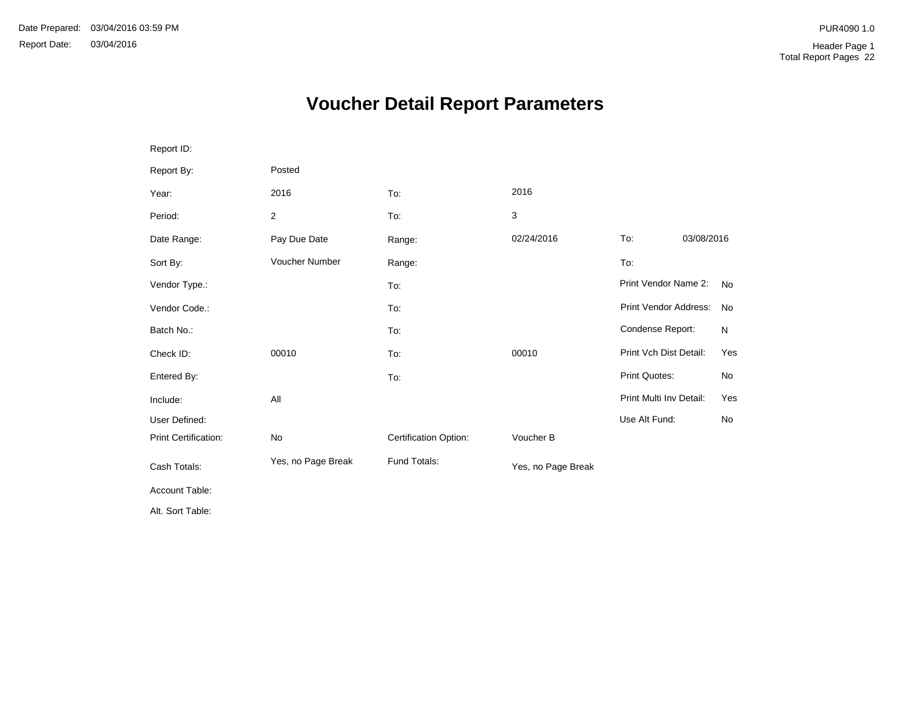# **Voucher Detail Report Parameters**

| Report ID:           |                         |                       |                    |                         |            |           |
|----------------------|-------------------------|-----------------------|--------------------|-------------------------|------------|-----------|
| Report By:           | Posted                  |                       |                    |                         |            |           |
| Year:                | 2016                    | To:                   | 2016               |                         |            |           |
| Period:              | $\overline{\mathbf{c}}$ | To:                   | 3                  |                         |            |           |
| Date Range:          | Pay Due Date            | Range:                | 02/24/2016         | To:                     | 03/08/2016 |           |
| Sort By:             | Voucher Number          | Range:                |                    | To:                     |            |           |
| Vendor Type.:        |                         | To:                   |                    | Print Vendor Name 2:    |            | <b>No</b> |
| Vendor Code.:        |                         | To:                   |                    | Print Vendor Address:   |            | <b>No</b> |
| Batch No.:           |                         | To:                   |                    | Condense Report:        |            | N         |
| Check ID:            | 00010                   | To:                   | 00010              | Print Vch Dist Detail:  |            | Yes       |
| Entered By:          |                         | To:                   |                    | Print Quotes:           |            | No        |
| Include:             | All                     |                       |                    | Print Multi Inv Detail: |            | Yes       |
| User Defined:        |                         |                       |                    | Use Alt Fund:           |            | <b>No</b> |
| Print Certification: | No                      | Certification Option: | Voucher B          |                         |            |           |
| Cash Totals:         | Yes, no Page Break      | Fund Totals:          | Yes, no Page Break |                         |            |           |
| Account Table:       |                         |                       |                    |                         |            |           |
| Alt. Sort Table:     |                         |                       |                    |                         |            |           |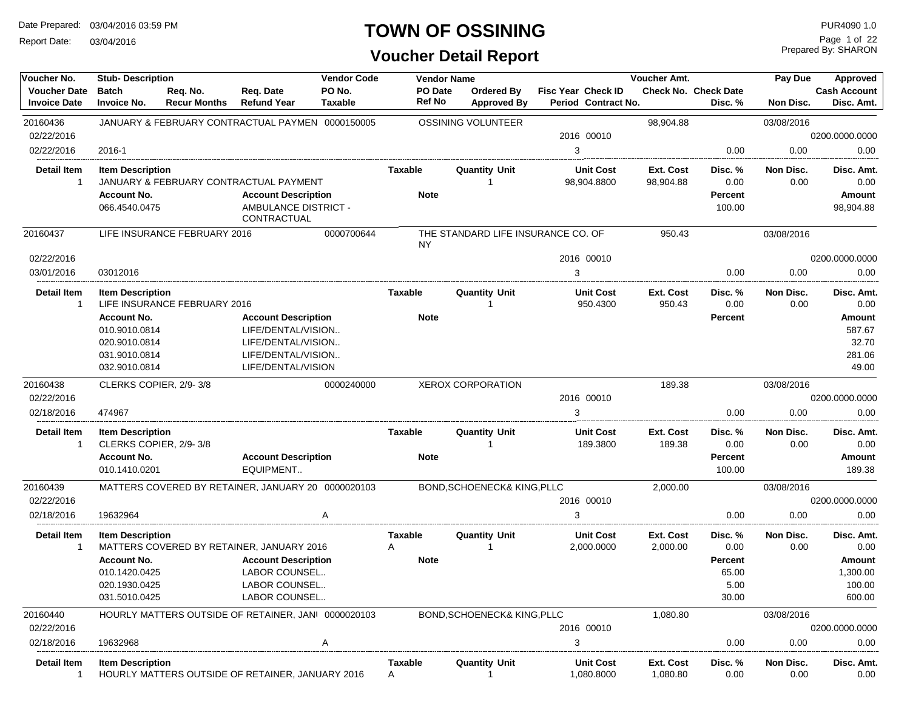Report Date: 03/04/2016

#### **TOWN OF OSSINING**

**Voucher Detail Report**

Prepared By: SHARON Page 1 of 22

| Voucher No.                                | <b>Vendor Code</b><br><b>Stub-Description</b><br>Voucher Amt.<br><b>Vendor Name</b> |                                 | Pay Due                                             | Approved                 |                   |                                         |                                                  |                        |                                        |                   |                                   |
|--------------------------------------------|-------------------------------------------------------------------------------------|---------------------------------|-----------------------------------------------------|--------------------------|-------------------|-----------------------------------------|--------------------------------------------------|------------------------|----------------------------------------|-------------------|-----------------------------------|
| <b>Voucher Date</b><br><b>Invoice Date</b> | <b>Batch</b><br><b>Invoice No.</b>                                                  | Reg. No.<br><b>Recur Months</b> | Req. Date<br><b>Refund Year</b>                     | PO No.<br><b>Taxable</b> | PO Date<br>Ref No | <b>Ordered By</b><br><b>Approved By</b> | <b>Fisc Year Check ID</b><br>Period Contract No. |                        | <b>Check No. Check Date</b><br>Disc. % | Non Disc.         | <b>Cash Account</b><br>Disc. Amt. |
| 20160436                                   |                                                                                     |                                 | JANUARY & FEBRUARY CONTRACTUAL PAYMEN 0000150005    |                          |                   | <b>OSSINING VOLUNTEER</b>               |                                                  | 98,904.88              |                                        | 03/08/2016        |                                   |
| 02/22/2016                                 |                                                                                     |                                 |                                                     |                          |                   |                                         | 2016 00010                                       |                        |                                        |                   | 0200.0000.0000                    |
| 02/22/2016                                 | 2016-1                                                                              |                                 |                                                     |                          |                   |                                         | 3                                                |                        | 0.00                                   | 0.00              | 0.00                              |
|                                            |                                                                                     |                                 |                                                     |                          |                   |                                         |                                                  |                        |                                        |                   |                                   |
| Detail Item<br>1                           | <b>Item Description</b>                                                             |                                 | JANUARY & FEBRUARY CONTRACTUAL PAYMENT              |                          | Taxable           | <b>Quantity Unit</b>                    | <b>Unit Cost</b><br>98,904.8800                  | Ext. Cost<br>98,904.88 | Disc. %<br>0.00                        | Non Disc.<br>0.00 | Disc. Amt.<br>0.00                |
|                                            | <b>Account No.</b>                                                                  |                                 | <b>Account Description</b>                          |                          | <b>Note</b>       |                                         |                                                  |                        | <b>Percent</b>                         |                   | Amount                            |
|                                            | 066.4540.0475                                                                       |                                 | AMBULANCE DISTRICT -<br>CONTRACTUAL                 |                          |                   |                                         |                                                  |                        | 100.00                                 |                   | 98,904.88                         |
| 20160437                                   |                                                                                     | LIFE INSURANCE FEBRUARY 2016    |                                                     | 0000700644               | NY                |                                         | THE STANDARD LIFE INSURANCE CO. OF               | 950.43                 |                                        | 03/08/2016        |                                   |
| 02/22/2016                                 |                                                                                     |                                 |                                                     |                          |                   |                                         | 2016 00010                                       |                        |                                        |                   | 0200.0000.0000                    |
| 03/01/2016                                 | 03012016                                                                            |                                 |                                                     |                          |                   |                                         | 3                                                |                        | 0.00                                   | 0.00              | 0.00                              |
| Detail Item<br>-1                          | <b>Item Description</b>                                                             | LIFE INSURANCE FEBRUARY 2016    |                                                     |                          | Taxable           | <b>Quantity Unit</b>                    | <b>Unit Cost</b><br>950.4300                     | Ext. Cost<br>950.43    | Disc. %<br>0.00                        | Non Disc.<br>0.00 | Disc. Amt.<br>0.00                |
|                                            | <b>Account No.</b>                                                                  |                                 | <b>Account Description</b>                          |                          | <b>Note</b>       |                                         |                                                  |                        | <b>Percent</b>                         |                   | Amount                            |
|                                            | 010.9010.0814                                                                       |                                 | LIFE/DENTAL/VISION                                  |                          |                   |                                         |                                                  |                        |                                        |                   | 587.67                            |
|                                            | 020.9010.0814                                                                       |                                 | LIFE/DENTAL/VISION                                  |                          |                   |                                         |                                                  |                        |                                        |                   | 32.70                             |
|                                            | 031.9010.0814                                                                       |                                 | LIFE/DENTAL/VISION                                  |                          |                   |                                         |                                                  |                        |                                        |                   | 281.06                            |
|                                            | 032.9010.0814                                                                       |                                 | LIFE/DENTAL/VISION                                  |                          |                   |                                         |                                                  |                        |                                        |                   | 49.00                             |
| 20160438                                   | CLERKS COPIER, 2/9-3/8                                                              |                                 |                                                     | 0000240000               |                   | <b>XEROX CORPORATION</b>                |                                                  | 189.38                 |                                        | 03/08/2016        |                                   |
| 02/22/2016                                 |                                                                                     |                                 |                                                     |                          |                   |                                         | 2016 00010                                       |                        |                                        |                   | 0200.0000.0000                    |
| 02/18/2016                                 | 474967                                                                              |                                 |                                                     |                          |                   |                                         | 3                                                |                        | 0.00                                   | 0.00              | 0.00                              |
| Detail Item                                | <b>Item Description</b>                                                             |                                 |                                                     |                          | Taxable           | <b>Quantity Unit</b>                    | <b>Unit Cost</b>                                 | Ext. Cost              | Disc. %                                | Non Disc.         | Disc. Amt.                        |
| 1                                          | CLERKS COPIER, 2/9-3/8                                                              |                                 |                                                     |                          |                   |                                         | 189.3800                                         | 189.38                 | 0.00                                   | 0.00              | 0.00                              |
|                                            | <b>Account No.</b>                                                                  |                                 | <b>Account Description</b>                          |                          | <b>Note</b>       |                                         |                                                  |                        | <b>Percent</b>                         |                   | Amount                            |
|                                            | 010.1410.0201                                                                       |                                 | EQUIPMENT                                           |                          |                   |                                         |                                                  |                        | 100.00                                 |                   | 189.38                            |
| 20160439                                   |                                                                                     |                                 | MATTERS COVERED BY RETAINER, JANUARY 20 0000020103  |                          |                   | BOND, SCHOENECK& KING, PLLC             |                                                  | 2,000.00               |                                        | 03/08/2016        |                                   |
| 02/22/2016                                 |                                                                                     |                                 |                                                     |                          |                   |                                         | 2016 00010                                       |                        |                                        |                   | 0200.0000.0000                    |
| 02/18/2016                                 | 19632964                                                                            |                                 |                                                     | A                        |                   |                                         | 3                                                |                        | 0.00                                   | 0.00              | 0.00                              |
| <b>Detail Item</b>                         | <b>Item Description</b>                                                             |                                 |                                                     |                          | <b>Taxable</b>    | <b>Quantity Unit</b>                    | <b>Unit Cost</b>                                 | Ext. Cost              | Disc. %                                | Non Disc.         | Disc. Amt.                        |
| -1                                         |                                                                                     |                                 | MATTERS COVERED BY RETAINER, JANUARY 2016           |                          | A                 | -1                                      | 2,000.0000                                       | 2,000.00               | 0.00                                   | 0.00              | 0.00                              |
|                                            | <b>Account No.</b>                                                                  |                                 | <b>Account Description</b>                          |                          | <b>Note</b>       |                                         |                                                  |                        | <b>Percent</b>                         |                   | Amount                            |
|                                            | 010.1420.0425                                                                       |                                 | LABOR COUNSEL                                       |                          |                   |                                         |                                                  |                        | 65.00                                  |                   | 1,300.00                          |
|                                            | 020.1930.0425                                                                       |                                 | LABOR COUNSEL                                       |                          |                   |                                         |                                                  |                        | 5.00                                   |                   | 100.00                            |
|                                            | 031.5010.0425                                                                       |                                 | LABOR COUNSEL                                       |                          |                   |                                         |                                                  |                        | 30.00                                  |                   | 600.00                            |
| 20160440                                   |                                                                                     |                                 | HOURLY MATTERS OUTSIDE OF RETAINER, JANI 0000020103 |                          |                   | BOND, SCHOENECK& KING, PLLC             |                                                  | 1,080.80               |                                        | 03/08/2016        |                                   |
| 02/22/2016                                 |                                                                                     |                                 |                                                     |                          |                   |                                         | 2016 00010                                       |                        |                                        |                   | 0200.0000.0000                    |
| 02/18/2016                                 | 19632968                                                                            |                                 |                                                     | Α                        |                   |                                         | 3                                                |                        | 0.00                                   | 0.00              | 0.00                              |
| <b>Detail Item</b>                         | <b>Item Description</b>                                                             |                                 |                                                     |                          | Taxable           | <b>Quantity Unit</b>                    | <b>Unit Cost</b>                                 | Ext. Cost              | Disc. %                                | Non Disc.         | Disc. Amt.                        |
| $\mathbf 1$                                |                                                                                     |                                 | HOURLY MATTERS OUTSIDE OF RETAINER, JANUARY 2016    |                          | A                 |                                         | 1,080.8000                                       | 1,080.80               | 0.00                                   | 0.00              | 0.00                              |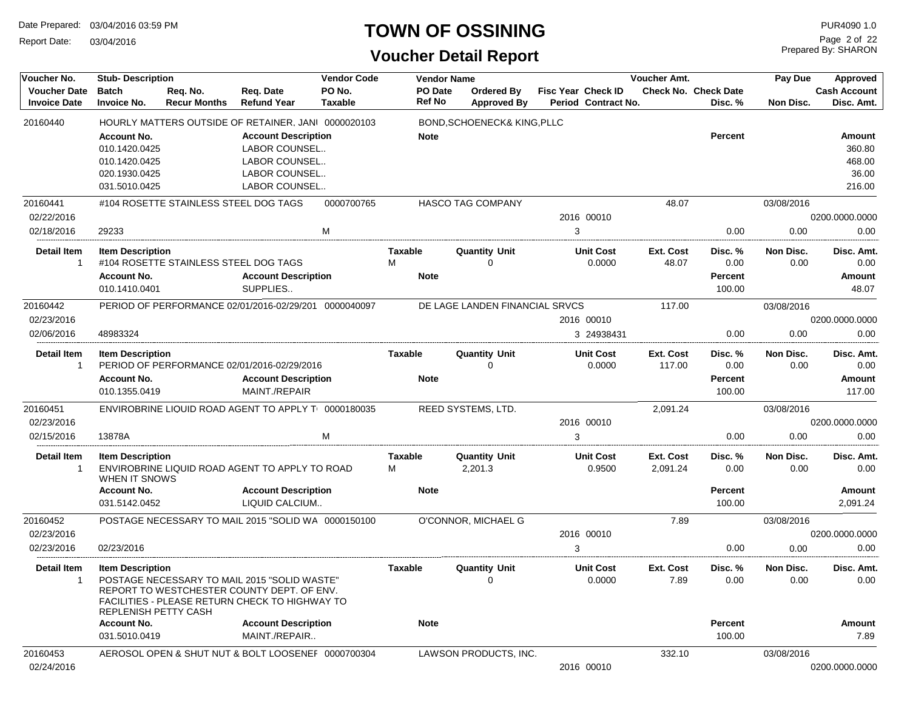Report Date: 03/04/2016

#### **TOWN OF OSSINING**

Prepared By: SHARON Page 2 of 22

| Voucher No.                                | <b>Vendor Code</b><br>Voucher Amt.<br><b>Stub-Description</b><br><b>Vendor Name</b>    |                                       |                                                                                                                                                     |                          |                             | Pay Due           | Approved                               |                           |                            |                            |                                             |                   |                                               |
|--------------------------------------------|----------------------------------------------------------------------------------------|---------------------------------------|-----------------------------------------------------------------------------------------------------------------------------------------------------|--------------------------|-----------------------------|-------------------|----------------------------------------|---------------------------|----------------------------|----------------------------|---------------------------------------------|-------------------|-----------------------------------------------|
| <b>Voucher Date</b><br><b>Invoice Date</b> | <b>Batch</b><br><b>Invoice No.</b>                                                     | Req. No.<br><b>Recur Months</b>       | Req. Date<br><b>Refund Year</b>                                                                                                                     | PO No.<br><b>Taxable</b> |                             | PO Date<br>Ref No | Ordered By<br><b>Approved By</b>       | <b>Fisc Year Check ID</b> | Period Contract No.        |                            | <b>Check No. Check Date</b><br>Disc. %      | Non Disc.         | <b>Cash Account</b><br>Disc. Amt.             |
| 20160440                                   |                                                                                        |                                       | HOURLY MATTERS OUTSIDE OF RETAINER, JANI 0000020103                                                                                                 |                          |                             |                   | <b>BOND, SCHOENECK&amp; KING, PLLC</b> |                           |                            |                            |                                             |                   |                                               |
|                                            | <b>Account No.</b><br>010.1420.0425<br>010.1420.0425<br>020.1930.0425<br>031.5010.0425 |                                       | <b>Account Description</b><br><b>LABOR COUNSEL</b><br>LABOR COUNSEL<br>LABOR COUNSEL<br>LABOR COUNSEL                                               |                          |                             | <b>Note</b>       |                                        |                           |                            |                            | <b>Percent</b>                              |                   | Amount<br>360.80<br>468.00<br>36.00<br>216.00 |
| 20160441                                   |                                                                                        | #104 ROSETTE STAINLESS STEEL DOG TAGS |                                                                                                                                                     | 0000700765               |                             |                   | <b>HASCO TAG COMPANY</b>               |                           |                            | 48.07                      |                                             | 03/08/2016        |                                               |
| 02/22/2016                                 |                                                                                        |                                       |                                                                                                                                                     |                          |                             |                   |                                        |                           | 2016 00010                 |                            |                                             |                   | 0200.0000.0000                                |
| 02/18/2016                                 | 29233                                                                                  |                                       |                                                                                                                                                     | M                        |                             |                   |                                        | 3                         |                            |                            | 0.00                                        | 0.00              | 0.00                                          |
| Detail Item<br>-1                          | <b>Item Description</b><br><b>Account No.</b><br>010.1410.0401                         | #104 ROSETTE STAINLESS STEEL DOG TAGS | <b>Account Description</b><br>SUPPLIES                                                                                                              |                          | Taxable<br>м                | <b>Note</b>       | <b>Quantity Unit</b><br>0              |                           | <b>Unit Cost</b><br>0.0000 | Ext. Cost<br>48.07         | Disc. %<br>0.00<br><b>Percent</b><br>100.00 | Non Disc.<br>0.00 | Disc. Amt.<br>0.00<br>Amount<br>48.07         |
| 20160442                                   |                                                                                        |                                       | PERIOD OF PERFORMANCE 02/01/2016-02/29/201 0000040097                                                                                               |                          |                             |                   | DE LAGE LANDEN FINANCIAL SRVCS         |                           |                            | 117.00                     |                                             | 03/08/2016        |                                               |
| 02/23/2016                                 |                                                                                        |                                       |                                                                                                                                                     |                          |                             |                   |                                        |                           | 2016 00010                 |                            |                                             |                   | 0200.0000.0000                                |
| 02/06/2016                                 | 48983324                                                                               |                                       |                                                                                                                                                     |                          |                             |                   |                                        |                           | 3 24938431                 |                            | 0.00                                        | 0.00              | 0.00                                          |
| Detail Item<br>$\mathbf{1}$                | <b>Item Description</b><br><b>Account No.</b><br>010.1355.0419                         |                                       | PERIOD OF PERFORMANCE 02/01/2016-02/29/2016<br><b>Account Description</b><br>MAINT./REPAIR                                                          |                          | Taxable                     | <b>Note</b>       | <b>Quantity Unit</b><br>$\Omega$       |                           | Unit Cost<br>0.0000        | <b>Ext. Cost</b><br>117.00 | Disc. %<br>0.00<br><b>Percent</b><br>100.00 | Non Disc.<br>0.00 | Disc. Amt.<br>0.00<br>Amount<br>117.00        |
| 20160451                                   |                                                                                        |                                       | ENVIROBRINE LIQUID ROAD AGENT TO APPLY T 0000180035                                                                                                 |                          |                             |                   | REED SYSTEMS, LTD.                     |                           |                            | 2,091.24                   |                                             | 03/08/2016        |                                               |
| 02/23/2016                                 |                                                                                        |                                       |                                                                                                                                                     |                          |                             |                   |                                        |                           | 2016 00010                 |                            |                                             |                   | 0200.0000.0000                                |
| 02/15/2016                                 | 13878A                                                                                 |                                       |                                                                                                                                                     | м                        |                             |                   |                                        | 3                         |                            |                            | 0.00                                        | 0.00              | 0.00                                          |
| <b>Detail Item</b><br>1                    | <b>Item Description</b><br>WHEN IT SNOWS<br><b>Account No.</b><br>031.5142.0452        |                                       | ENVIROBRINE LIQUID ROAD AGENT TO APPLY TO ROAD<br><b>Account Description</b><br>LIQUID CALCIUM                                                      |                          | Taxable<br>м<br><b>Note</b> |                   | <b>Quantity Unit</b><br>2,201.3        |                           | <b>Unit Cost</b><br>0.9500 | Ext. Cost<br>2,091.24      | Disc. %<br>0.00<br><b>Percent</b><br>100.00 | Non Disc.<br>0.00 | Disc. Amt.<br>0.00<br>Amount<br>2,091.24      |
| 20160452                                   |                                                                                        |                                       | POSTAGE NECESSARY TO MAIL 2015 "SOLID WA 0000150100                                                                                                 |                          |                             |                   | O'CONNOR, MICHAEL G                    |                           |                            | 7.89                       |                                             | 03/08/2016        |                                               |
| 02/23/2016                                 |                                                                                        |                                       |                                                                                                                                                     |                          |                             |                   |                                        |                           | 2016 00010                 |                            |                                             |                   | 0200.0000.0000                                |
| 02/23/2016                                 | 02/23/2016                                                                             |                                       |                                                                                                                                                     |                          |                             |                   |                                        | 3                         |                            |                            | 0.00                                        | 0.00              | 0.00                                          |
| Detail Item<br>-1                          | <b>Item Description</b><br>REPLENISH PETTY CASH                                        |                                       | POSTAGE NECESSARY TO MAIL 2015 "SOLID WASTE"<br>REPORT TO WESTCHESTER COUNTY DEPT. OF ENV.<br><b>FACILITIES - PLEASE RETURN CHECK TO HIGHWAY TO</b> |                          | Taxable                     |                   | <b>Quantity Unit</b><br>0              |                           | <b>Unit Cost</b><br>0.0000 | Ext. Cost<br>7.89          | Disc. %<br>0.00                             | Non Disc.<br>0.00 | Disc. Amt.<br>0.00                            |
|                                            | <b>Account No.</b>                                                                     |                                       | <b>Account Description</b>                                                                                                                          |                          |                             | <b>Note</b>       |                                        |                           |                            |                            | Percent                                     |                   | Amount                                        |
|                                            | 031.5010.0419                                                                          |                                       | MAINT./REPAIR                                                                                                                                       |                          |                             |                   |                                        |                           |                            |                            | 100.00                                      |                   | 7.89                                          |
| 20160453<br>02/24/2016                     |                                                                                        |                                       | AEROSOL OPEN & SHUT NUT & BOLT LOOSENEF 0000700304                                                                                                  |                          |                             |                   | LAWSON PRODUCTS, INC.                  |                           | 2016 00010                 | 332.10                     |                                             | 03/08/2016        | 0200.0000.0000                                |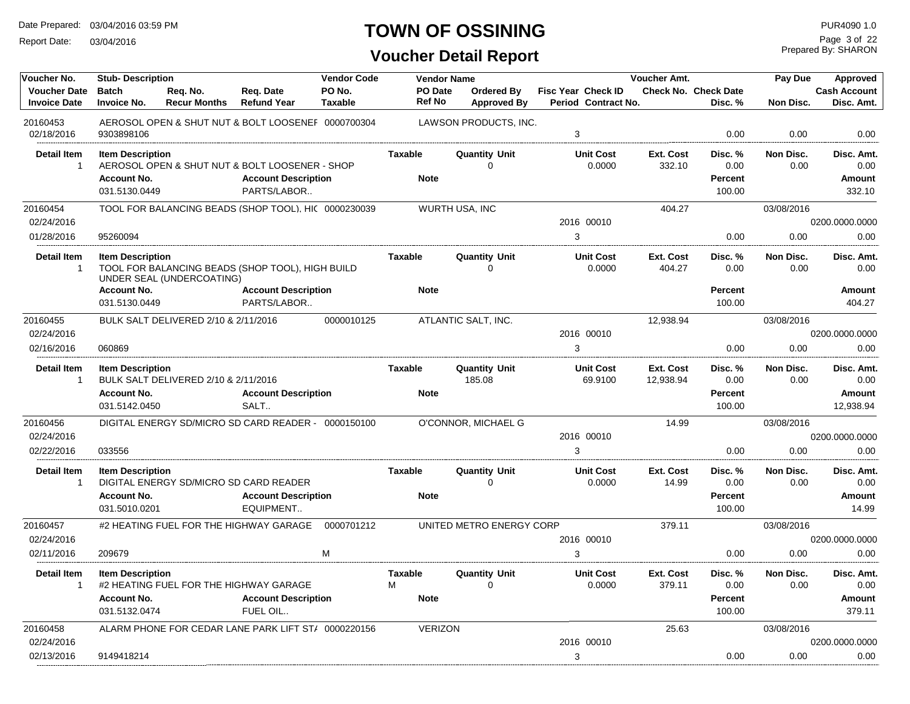Report Date: 03/04/2016

### **TOWN OF OSSINING**

Prepared By: SHARON Page 3 of 22

| Voucher No.                                | <b>Stub-Description</b>             |                                      |                                                      | <b>Vendor Code</b>       | <b>Vendor Name</b>       |                                  |                                                  | Voucher Amt.           |                                 | Pay Due           | Approved                          |
|--------------------------------------------|-------------------------------------|--------------------------------------|------------------------------------------------------|--------------------------|--------------------------|----------------------------------|--------------------------------------------------|------------------------|---------------------------------|-------------------|-----------------------------------|
| <b>Voucher Date</b><br><b>Invoice Date</b> | <b>Batch</b><br><b>Invoice No.</b>  | Reg. No.<br><b>Recur Months</b>      | Reg. Date<br><b>Refund Year</b>                      | PO No.<br><b>Taxable</b> | PO Date<br><b>Ref No</b> | Ordered By<br><b>Approved By</b> | <b>Fisc Year Check ID</b><br>Period Contract No. |                        | Check No. Check Date<br>Disc. % | Non Disc.         | <b>Cash Account</b><br>Disc. Amt. |
| 20160453                                   |                                     |                                      | AEROSOL OPEN & SHUT NUT & BOLT LOOSENEF 0000700304   |                          |                          | LAWSON PRODUCTS, INC.            |                                                  |                        |                                 |                   |                                   |
| 02/18/2016                                 | 9303898106                          |                                      |                                                      |                          |                          |                                  | 3                                                |                        | 0.00                            | 0.00              | 0.00                              |
| <b>Detail Item</b>                         | <b>Item Description</b>             |                                      |                                                      |                          | <b>Taxable</b>           | <b>Quantity Unit</b>             | <b>Unit Cost</b>                                 | Ext. Cost              | Disc. %                         | Non Disc.         | Disc. Amt.                        |
| -1                                         |                                     |                                      | AEROSOL OPEN & SHUT NUT & BOLT LOOSENER - SHOP       |                          |                          | $\Omega$                         | 0.0000                                           | 332.10                 | 0.00                            | 0.00              | 0.00                              |
|                                            | <b>Account No.</b>                  |                                      | <b>Account Description</b>                           |                          | <b>Note</b>              |                                  |                                                  |                        | Percent                         |                   | Amount                            |
|                                            | 031.5130.0449                       |                                      | PARTS/LABOR                                          |                          |                          |                                  |                                                  |                        | 100.00                          |                   | 332.10                            |
| 20160454                                   |                                     |                                      | TOOL FOR BALANCING BEADS (SHOP TOOL), HI( 0000230039 |                          |                          | WURTH USA, INC                   |                                                  | 404.27                 |                                 | 03/08/2016        |                                   |
| 02/24/2016                                 |                                     |                                      |                                                      |                          |                          |                                  | 2016 00010                                       |                        |                                 |                   | 0200.0000.0000                    |
| 01/28/2016                                 | 95260094                            |                                      |                                                      |                          |                          |                                  | 3                                                |                        | 0.00                            | 0.00              | 0.00                              |
| <b>Detail Item</b>                         | <b>Item Description</b>             |                                      |                                                      |                          | <b>Taxable</b>           | <b>Quantity Unit</b>             | <b>Unit Cost</b>                                 | Ext. Cost              | Disc. %                         | Non Disc.         | Disc. Amt.                        |
| $\mathbf{1}$                               |                                     | UNDER SEAL (UNDERCOATING)            | TOOL FOR BALANCING BEADS (SHOP TOOL), HIGH BUILD     |                          |                          | $\Omega$                         | 0.0000                                           | 404.27                 | 0.00                            | 0.00              | 0.00                              |
|                                            | <b>Account No.</b>                  |                                      | <b>Account Description</b>                           |                          | <b>Note</b>              |                                  |                                                  |                        | <b>Percent</b>                  |                   | <b>Amount</b>                     |
|                                            | 031.5130.0449                       |                                      | PARTS/LABOR                                          |                          |                          |                                  |                                                  |                        | 100.00                          |                   | 404.27                            |
| 20160455                                   |                                     | BULK SALT DELIVERED 2/10 & 2/11/2016 |                                                      | 0000010125               |                          | ATLANTIC SALT, INC.              |                                                  | 12,938.94              |                                 | 03/08/2016        |                                   |
| 02/24/2016                                 |                                     |                                      |                                                      |                          |                          |                                  | 2016 00010                                       |                        |                                 |                   | 0200.0000.0000                    |
| 02/16/2016                                 | 060869                              |                                      |                                                      |                          |                          |                                  | 3                                                |                        | 0.00                            | 0.00              | 0.00                              |
| <b>Detail Item</b><br>$\overline{1}$       | <b>Item Description</b>             | BULK SALT DELIVERED 2/10 & 2/11/2016 |                                                      |                          | <b>Taxable</b>           | <b>Quantity Unit</b><br>185.08   | <b>Unit Cost</b><br>69.9100                      | Ext. Cost<br>12,938.94 | Disc. %<br>0.00                 | Non Disc.<br>0.00 | Disc. Amt.<br>0.00                |
|                                            | <b>Account No.</b>                  |                                      | <b>Account Description</b>                           |                          | <b>Note</b>              |                                  |                                                  |                        | Percent                         |                   | Amount                            |
|                                            | 031.5142.0450                       |                                      | SALT                                                 |                          |                          |                                  |                                                  |                        | 100.00                          |                   | 12,938.94                         |
| 20160456                                   |                                     |                                      | DIGITAL ENERGY SD/MICRO SD CARD READER - 0000150100  |                          |                          | O'CONNOR, MICHAEL G              |                                                  | 14.99                  |                                 | 03/08/2016        |                                   |
| 02/24/2016                                 |                                     |                                      |                                                      |                          |                          |                                  | 2016 00010                                       |                        |                                 |                   | 0200.0000.0000                    |
| 02/22/2016                                 | 033556                              |                                      |                                                      |                          |                          |                                  | 3                                                |                        | 0.00                            | 0.00              | 0.00                              |
| <b>Detail Item</b><br>$\overline{1}$       | <b>Item Description</b>             |                                      | DIGITAL ENERGY SD/MICRO SD CARD READER               |                          | <b>Taxable</b>           | <b>Quantity Unit</b><br>$\Omega$ | <b>Unit Cost</b><br>0.0000                       | Ext. Cost<br>14.99     | Disc. %<br>0.00                 | Non Disc.<br>0.00 | Disc. Amt.<br>0.00                |
|                                            | <b>Account No.</b>                  |                                      | <b>Account Description</b>                           |                          | <b>Note</b>              |                                  |                                                  |                        | Percent                         |                   | Amount                            |
|                                            | 031.5010.0201                       |                                      | EQUIPMENT                                            |                          |                          |                                  |                                                  |                        | 100.00                          |                   | 14.99                             |
| 20160457                                   |                                     |                                      | #2 HEATING FUEL FOR THE HIGHWAY GARAGE               | 0000701212               |                          | UNITED METRO ENERGY CORP         |                                                  | 379.11                 |                                 | 03/08/2016        |                                   |
| 02/24/2016                                 |                                     |                                      |                                                      |                          |                          |                                  | 2016 00010                                       |                        |                                 |                   | 0200.0000.0000                    |
| 02/11/2016                                 | 209679                              |                                      |                                                      | M                        |                          |                                  | 3                                                |                        | 0.00                            | 0.00              | 0.00                              |
| <b>Detail Item</b><br>$\mathbf{1}$         | <b>Item Description</b>             |                                      | #2 HEATING FUEL FOR THE HIGHWAY GARAGE               |                          | <b>Taxable</b><br>M      | <b>Quantity Unit</b><br>$\Omega$ | <b>Unit Cost</b><br>0.0000                       | Ext. Cost<br>379.11    | Disc. %<br>0.00                 | Non Disc.<br>0.00 | Disc. Amt.<br>0.00                |
|                                            | <b>Account No.</b><br>031.5132.0474 |                                      | <b>Account Description</b><br>FUEL OIL               |                          | <b>Note</b>              |                                  |                                                  |                        | <b>Percent</b><br>100.00        |                   | <b>Amount</b><br>379.11           |
| 20160458                                   |                                     |                                      | ALARM PHONE FOR CEDAR LANE PARK LIFT ST/ 0000220156  |                          | <b>VERIZON</b>           |                                  |                                                  | 25.63                  |                                 | 03/08/2016        |                                   |
| 02/24/2016                                 |                                     |                                      |                                                      |                          |                          |                                  | 2016 00010                                       |                        |                                 |                   | 0200.0000.0000                    |
| 02/13/2016                                 | 9149418214                          |                                      |                                                      |                          |                          |                                  | 3                                                |                        | 0.00                            | 0.00              | 0.00                              |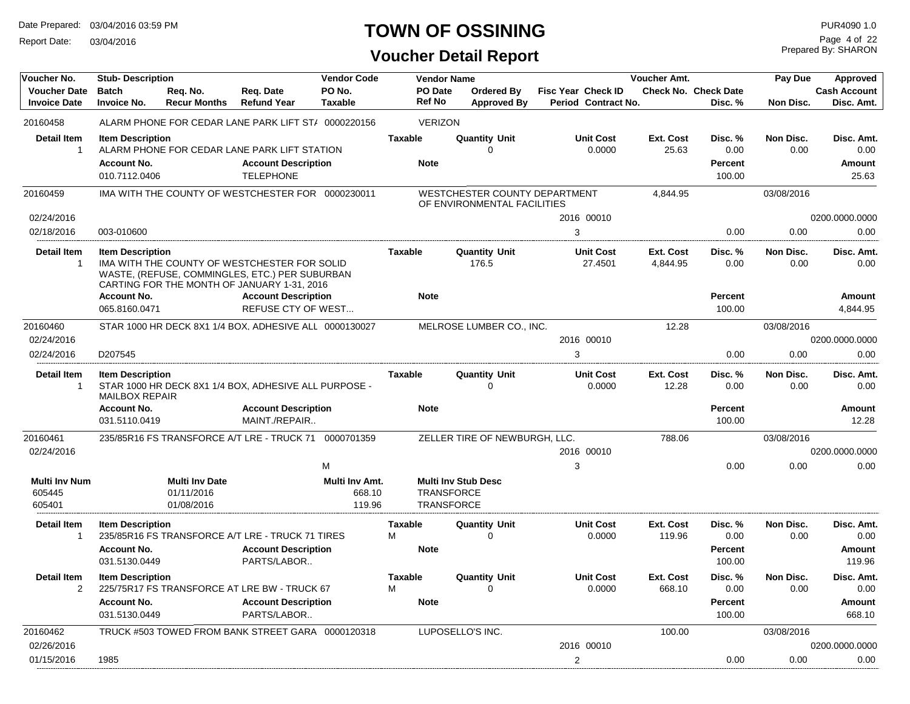Report Date: 03/04/2016

### **TOWN OF OSSINING**

| Voucher No.                                                                                                                                       | <b>Stub-Description</b>                                        |                                                   |                                                                                                                                                                                                          | <b>Vendor Code</b>                 |                                    | <b>Vendor Name</b>                     |                                                              |                                                  | <b>Voucher Amt.</b>   |                                      | Pay Due            | Approved                                 |
|---------------------------------------------------------------------------------------------------------------------------------------------------|----------------------------------------------------------------|---------------------------------------------------|----------------------------------------------------------------------------------------------------------------------------------------------------------------------------------------------------------|------------------------------------|------------------------------------|----------------------------------------|--------------------------------------------------------------|--------------------------------------------------|-----------------------|--------------------------------------|--------------------|------------------------------------------|
| <b>Voucher Date</b><br><b>Invoice Date</b>                                                                                                        | <b>Batch</b><br><b>Invoice No.</b>                             | Req. No.<br><b>Recur Months</b>                   | Req. Date<br><b>Refund Year</b>                                                                                                                                                                          | PO No.<br><b>Taxable</b>           | PO Date<br><b>Ref No</b>           |                                        | <b>Ordered By</b><br><b>Approved By</b>                      | Fisc Year Check ID<br><b>Period Contract No.</b> |                       | Check No. Check Date<br>Disc. %      | Non Disc.          | <b>Cash Account</b><br>Disc. Amt.        |
| 20160458                                                                                                                                          |                                                                |                                                   | ALARM PHONE FOR CEDAR LANE PARK LIFT ST/ 0000220156                                                                                                                                                      |                                    |                                    | <b>VERIZON</b>                         |                                                              |                                                  |                       |                                      |                    |                                          |
| <b>Detail Item</b><br>$\overline{1}$                                                                                                              | <b>Item Description</b><br><b>Account No.</b><br>010.7112.0406 |                                                   | ALARM PHONE FOR CEDAR LANE PARK LIFT STATION<br><b>Account Description</b><br><b>TELEPHONE</b>                                                                                                           |                                    | <b>Taxable</b><br><b>Note</b>      |                                        | <b>Quantity Unit</b><br>$\Omega$                             | <b>Unit Cost</b><br>0.0000                       | Ext. Cost<br>25.63    | Disc. %<br>0.00<br>Percent<br>100.00 | Non Disc.<br>0.00  | Disc. Amt.<br>0.00<br>Amount<br>25.63    |
| 20160459                                                                                                                                          |                                                                |                                                   | IMA WITH THE COUNTY OF WESTCHESTER FOR 0000230011                                                                                                                                                        |                                    |                                    |                                        | WESTCHESTER COUNTY DEPARTMENT<br>OF ENVIRONMENTAL FACILITIES |                                                  | 4,844.95              |                                      | 03/08/2016         |                                          |
| 02/24/2016                                                                                                                                        |                                                                |                                                   |                                                                                                                                                                                                          |                                    |                                    |                                        |                                                              | 2016 00010                                       |                       |                                      |                    | 0200.0000.0000                           |
| 02/18/2016                                                                                                                                        | 003-010600                                                     |                                                   |                                                                                                                                                                                                          |                                    |                                    |                                        |                                                              | 3                                                |                       | 0.00                                 | 0.00               | 0.00                                     |
| <b>Detail Item</b><br>-1                                                                                                                          | <b>Item Description</b><br><b>Account No.</b><br>065.8160.0471 |                                                   | IMA WITH THE COUNTY OF WESTCHESTER FOR SOLID<br>WASTE, (REFUSE, COMMINGLES, ETC.) PER SUBURBAN<br>CARTING FOR THE MONTH OF JANUARY 1-31, 2016<br><b>Account Description</b><br><b>REFUSE CTY OF WEST</b> |                                    | <b>Taxable</b><br><b>Note</b>      |                                        | <b>Quantity Unit</b><br>176.5                                | <b>Unit Cost</b><br>27.4501                      | Ext. Cost<br>4,844.95 | Disc. %<br>0.00<br>Percent<br>100.00 | Non Disc.<br>0.00  | Disc. Amt.<br>0.00<br>Amount<br>4,844.95 |
| 20160460                                                                                                                                          |                                                                |                                                   | STAR 1000 HR DECK 8X1 1/4 BOX, ADHESIVE ALL 0000130027                                                                                                                                                   |                                    |                                    |                                        | MELROSE LUMBER CO., INC.                                     |                                                  | 12.28                 |                                      | 03/08/2016         |                                          |
| 02/24/2016                                                                                                                                        |                                                                |                                                   |                                                                                                                                                                                                          |                                    |                                    |                                        |                                                              | 2016 00010                                       |                       |                                      |                    | 0200.0000.0000                           |
| 02/24/2016                                                                                                                                        | D207545                                                        |                                                   |                                                                                                                                                                                                          |                                    |                                    |                                        |                                                              | 3                                                |                       | 0.00                                 | 0.00               | 0.00                                     |
| <b>Detail Item</b><br><b>Item Description</b><br>STAR 1000 HR DECK 8X1 1/4 BOX, ADHESIVE ALL PURPOSE -<br>$\overline{1}$<br><b>MAILBOX REPAIR</b> |                                                                |                                                   |                                                                                                                                                                                                          | Taxable                            |                                    | <b>Quantity Unit</b><br>$\Omega$       | <b>Unit Cost</b><br>0.0000                                   | Ext. Cost<br>12.28                               | Disc. %<br>0.00       | Non Disc.<br>0.00                    | Disc. Amt.<br>0.00 |                                          |
|                                                                                                                                                   | <b>Account No.</b><br>031.5110.0419                            |                                                   | <b>Account Description</b><br>MAINT./REPAIR                                                                                                                                                              |                                    | <b>Note</b>                        |                                        |                                                              |                                                  |                       | <b>Percent</b><br>100.00             |                    | Amount<br>12.28                          |
| 20160461                                                                                                                                          |                                                                |                                                   | 235/85R16 FS TRANSFORCE A/T LRE - TRUCK 71                                                                                                                                                               | 0000701359                         |                                    |                                        | ZELLER TIRE OF NEWBURGH, LLC.                                |                                                  | 788.06                |                                      | 03/08/2016         |                                          |
| 02/24/2016                                                                                                                                        |                                                                |                                                   |                                                                                                                                                                                                          |                                    |                                    |                                        |                                                              | 2016 00010                                       |                       |                                      |                    | 0200.0000.0000                           |
|                                                                                                                                                   |                                                                |                                                   |                                                                                                                                                                                                          | M                                  |                                    |                                        |                                                              | 3                                                |                       | 0.00                                 | 0.00               | 0.00                                     |
| <b>Multi Inv Num</b><br>605445<br>605401                                                                                                          |                                                                | <b>Multi Inv Date</b><br>01/11/2016<br>01/08/2016 |                                                                                                                                                                                                          | Multi Inv Amt.<br>668.10<br>119.96 |                                    | <b>TRANSFORCE</b><br><b>TRANSFORCE</b> | <b>Multi Inv Stub Desc</b>                                   |                                                  |                       |                                      |                    |                                          |
| <b>Detail Item</b><br>$\overline{1}$                                                                                                              | <b>Item Description</b>                                        |                                                   | 235/85R16 FS TRANSFORCE A/T LRE - TRUCK 71 TIRES                                                                                                                                                         |                                    | <b>Taxable</b><br>M                |                                        | <b>Quantity Unit</b><br>$\mathbf 0$                          | <b>Unit Cost</b><br>0.0000                       | Ext. Cost<br>119.96   | Disc. %<br>0.00                      | Non Disc.<br>0.00  | Disc. Amt.<br>0.00                       |
|                                                                                                                                                   | <b>Account No.</b><br>031.5130.0449                            |                                                   | <b>Account Description</b><br>PARTS/LABOR                                                                                                                                                                |                                    | <b>Note</b>                        |                                        |                                                              |                                                  |                       | Percent<br>100.00                    |                    | Amount<br>119.96                         |
| <b>Detail Item</b><br>$\overline{2}$                                                                                                              | <b>Item Description</b><br><b>Account No.</b><br>031.5130.0449 |                                                   | 225/75R17 FS TRANSFORCE AT LRE BW - TRUCK 67<br><b>Account Description</b><br>PARTS/LABOR                                                                                                                |                                    | <b>Taxable</b><br>M<br><b>Note</b> |                                        | <b>Quantity Unit</b><br>$\Omega$                             | <b>Unit Cost</b><br>0.0000                       | Ext. Cost<br>668.10   | Disc.%<br>0.00<br>Percent<br>100.00  | Non Disc.<br>0.00  | Disc. Amt.<br>0.00<br>Amount<br>668.10   |
| 20160462                                                                                                                                          |                                                                |                                                   | TRUCK #503 TOWED FROM BANK STREET GARA 0000120318                                                                                                                                                        |                                    |                                    |                                        | LUPOSELLO'S INC.                                             |                                                  | 100.00                |                                      | 03/08/2016         |                                          |
| 02/26/2016<br>01/15/2016                                                                                                                          | 1985                                                           |                                                   |                                                                                                                                                                                                          |                                    |                                    |                                        |                                                              | 2016 00010<br>$\overline{2}$                     |                       | 0.00                                 | 0.00               | 0200.0000.0000<br>0.00                   |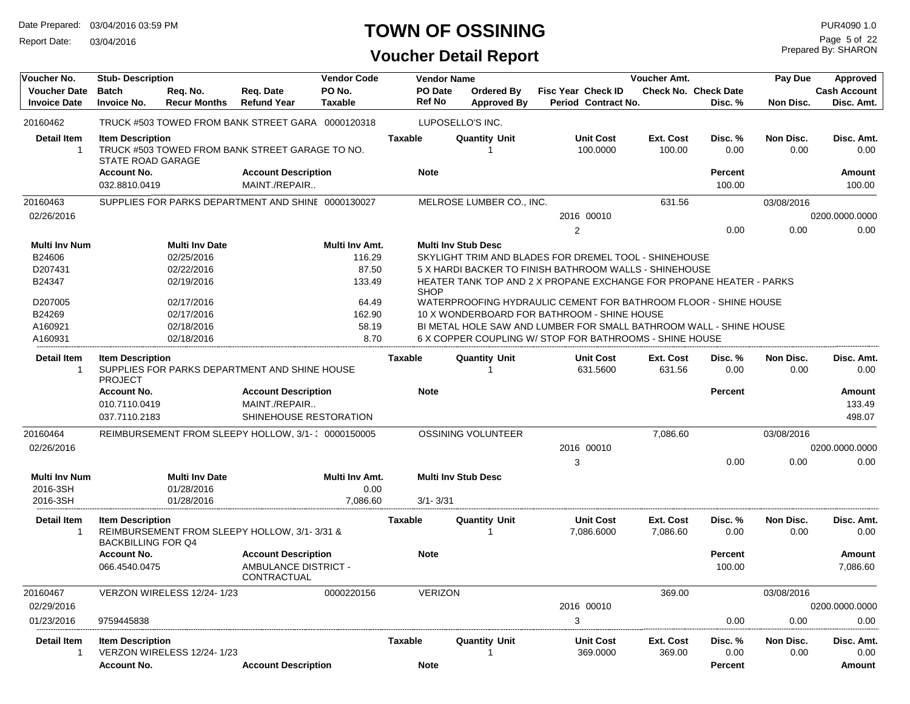Report Date: 03/04/2016

### **TOWN OF OSSINING** PURA090 1.0

| Voucher No.                                | <b>Stub-Description</b>                                                                                                                        |                                 |                                                    | <b>Vendor Code</b>       |                | <b>Vendor Name</b>              |                                  |                                                                     | Voucher Amt.          |                                        | Pay Due           | <b>Approved</b>                   |
|--------------------------------------------|------------------------------------------------------------------------------------------------------------------------------------------------|---------------------------------|----------------------------------------------------|--------------------------|----------------|---------------------------------|----------------------------------|---------------------------------------------------------------------|-----------------------|----------------------------------------|-------------------|-----------------------------------|
| <b>Voucher Date</b><br><b>Invoice Date</b> | <b>Batch</b><br><b>Invoice No.</b>                                                                                                             | Req. No.<br><b>Recur Months</b> | Req. Date<br><b>Refund Year</b>                    | PO No.<br><b>Taxable</b> |                | <b>PO</b> Date<br><b>Ref No</b> | Ordered By<br><b>Approved By</b> | <b>Fisc Year Check ID</b><br>Period Contract No.                    |                       | <b>Check No. Check Date</b><br>Disc. % | Non Disc.         | <b>Cash Account</b><br>Disc. Amt. |
| 20160462                                   |                                                                                                                                                |                                 | TRUCK #503 TOWED FROM BANK STREET GARA 0000120318  |                          |                |                                 | LUPOSELLO'S INC.                 |                                                                     |                       |                                        |                   |                                   |
| <b>Detail Item</b><br>-1                   | <b>Item Description</b><br>STATE ROAD GARAGE                                                                                                   |                                 | TRUCK #503 TOWED FROM BANK STREET GARAGE TO NO.    |                          | <b>Taxable</b> |                                 | <b>Quantity Unit</b>             | <b>Unit Cost</b><br>100.0000                                        | Ext. Cost<br>100.00   | Disc. %<br>0.00                        | Non Disc.<br>0.00 | Disc. Amt.<br>0.00                |
|                                            | <b>Account No.</b><br>032.8810.0419                                                                                                            |                                 | <b>Account Description</b><br>MAINT./REPAIR        |                          |                | <b>Note</b>                     |                                  |                                                                     |                       | <b>Percent</b><br>100.00               |                   | Amount<br>100.00                  |
| 20160463                                   |                                                                                                                                                |                                 | SUPPLIES FOR PARKS DEPARTMENT AND SHINE 0000130027 |                          |                |                                 | MELROSE LUMBER CO., INC.         |                                                                     | 631.56                |                                        | 03/08/2016        |                                   |
| 02/26/2016                                 |                                                                                                                                                |                                 |                                                    |                          |                |                                 |                                  | 2016 00010                                                          |                       |                                        |                   | 0200.0000.0000                    |
|                                            |                                                                                                                                                |                                 |                                                    |                          |                |                                 |                                  | 2                                                                   |                       | 0.00                                   | 0.00              | 0.00                              |
| Multi Inv Num                              |                                                                                                                                                | <b>Multi Inv Date</b>           |                                                    | Multi Inv Amt.           |                |                                 | <b>Multi Inv Stub Desc</b>       |                                                                     |                       |                                        |                   |                                   |
| B24606                                     |                                                                                                                                                | 02/25/2016                      |                                                    | 116.29                   |                |                                 |                                  | SKYLIGHT TRIM AND BLADES FOR DREMEL TOOL - SHINEHOUSE               |                       |                                        |                   |                                   |
| D207431                                    |                                                                                                                                                | 02/22/2016                      |                                                    | 87.50                    |                |                                 |                                  | 5 X HARDI BACKER TO FINISH BATHROOM WALLS - SHINEHOUSE              |                       |                                        |                   |                                   |
| B24347                                     |                                                                                                                                                | 02/19/2016                      |                                                    | 133.49                   |                | <b>SHOP</b>                     |                                  | HEATER TANK TOP AND 2 X PROPANE EXCHANGE FOR PROPANE HEATER - PARKS |                       |                                        |                   |                                   |
| D207005                                    |                                                                                                                                                | 02/17/2016                      |                                                    | 64.49                    |                |                                 |                                  | WATERPROOFING HYDRAULIC CEMENT FOR BATHROOM FLOOR - SHINE HOUSE     |                       |                                        |                   |                                   |
| B24269                                     |                                                                                                                                                | 02/17/2016                      |                                                    | 162.90                   |                |                                 |                                  | 10 X WONDERBOARD FOR BATHROOM - SHINE HOUSE                         |                       |                                        |                   |                                   |
| A160921                                    |                                                                                                                                                | 02/18/2016                      |                                                    | 58.19                    |                |                                 |                                  | BI METAL HOLE SAW AND LUMBER FOR SMALL BATHROOM WALL - SHINE HOUSE  |                       |                                        |                   |                                   |
| A160931                                    |                                                                                                                                                | 02/18/2016                      |                                                    | 8.70                     |                |                                 |                                  | 6 X COPPER COUPLING W/ STOP FOR BATHROOMS - SHINE HOUSE             |                       |                                        |                   |                                   |
| <b>Detail Item</b><br>$\overline{1}$       | <b>Item Description</b><br>SUPPLIES FOR PARKS DEPARTMENT AND SHINE HOUSE<br><b>PROJECT</b><br><b>Account No.</b><br><b>Account Description</b> |                                 |                                                    |                          | <b>Taxable</b> |                                 | <b>Quantity Unit</b>             | <b>Unit Cost</b><br>631.5600                                        | Ext. Cost<br>631.56   | Disc. %<br>0.00                        | Non Disc.<br>0.00 | Disc. Amt.<br>0.00                |
|                                            |                                                                                                                                                |                                 |                                                    |                          |                | <b>Note</b>                     |                                  |                                                                     |                       | <b>Percent</b>                         |                   | Amount                            |
|                                            | 010.7110.0419                                                                                                                                  |                                 | MAINT./REPAIR                                      |                          |                |                                 |                                  |                                                                     |                       |                                        |                   | 133.49                            |
|                                            | 037.7110.2183                                                                                                                                  |                                 | SHINEHOUSE RESTORATION                             |                          |                |                                 |                                  |                                                                     |                       |                                        |                   | 498.07                            |
| 20160464                                   |                                                                                                                                                |                                 | REIMBURSEMENT FROM SLEEPY HOLLOW, 3/1-: 0000150005 |                          |                |                                 | OSSINING VOLUNTEER               |                                                                     | 7,086.60              |                                        | 03/08/2016        |                                   |
| 02/26/2016                                 |                                                                                                                                                |                                 |                                                    |                          |                |                                 |                                  | 2016 00010                                                          |                       |                                        |                   | 0200.0000.0000                    |
|                                            |                                                                                                                                                |                                 |                                                    |                          |                |                                 |                                  | 3                                                                   |                       | 0.00                                   | 0.00              | 0.00                              |
| <b>Multi Inv Num</b>                       |                                                                                                                                                | <b>Multi Inv Date</b>           |                                                    | Multi Inv Amt.           |                |                                 | <b>Multi Inv Stub Desc</b>       |                                                                     |                       |                                        |                   |                                   |
| 2016-3SH<br>2016-3SH                       |                                                                                                                                                | 01/28/2016<br>01/28/2016        |                                                    | 0.00<br>7,086.60         |                | $3/1 - 3/31$                    |                                  |                                                                     |                       |                                        |                   |                                   |
|                                            |                                                                                                                                                |                                 |                                                    |                          |                |                                 |                                  |                                                                     |                       |                                        |                   |                                   |
| <b>Detail Item</b><br>$\overline{1}$       | <b>Item Description</b><br><b>BACKBILLING FOR Q4</b>                                                                                           |                                 | REIMBURSEMENT FROM SLEEPY HOLLOW, 3/1-3/31 &       |                          | <b>Taxable</b> |                                 | <b>Quantity Unit</b>             | <b>Unit Cost</b><br>7,086.6000                                      | Ext. Cost<br>7,086.60 | Disc. %<br>0.00                        | Non Disc.<br>0.00 | Disc. Amt.<br>0.00                |
|                                            | <b>Account No.</b>                                                                                                                             |                                 | <b>Account Description</b>                         |                          |                | <b>Note</b>                     |                                  |                                                                     |                       | <b>Percent</b>                         |                   | Amount                            |
|                                            | 066.4540.0475                                                                                                                                  |                                 | AMBULANCE DISTRICT -<br>CONTRACTUAL                |                          |                |                                 |                                  |                                                                     |                       | 100.00                                 |                   | 7,086.60                          |
| 20160467                                   | VERZON WIRELESS 12/24-1/23                                                                                                                     |                                 |                                                    | 0000220156               |                | <b>VERIZON</b>                  |                                  |                                                                     | 369.00                |                                        | 03/08/2016        |                                   |
| 02/29/2016                                 |                                                                                                                                                |                                 |                                                    |                          |                |                                 |                                  | 2016 00010                                                          |                       |                                        |                   | 0200.0000.0000                    |
| 01/23/2016                                 | 9759445838                                                                                                                                     |                                 |                                                    |                          |                |                                 |                                  | 3                                                                   |                       | 0.00                                   | 0.00              | 0.00                              |
| Detail Item<br>$\overline{1}$              | <b>Item Description</b><br>VERZON WIRELESS 12/24-1/23                                                                                          |                                 |                                                    |                          | Taxable        |                                 | <b>Quantity Unit</b>             | <b>Unit Cost</b><br>369.0000                                        | Ext. Cost<br>369.00   | Disc. %<br>0.00                        | Non Disc.<br>0.00 | Disc. Amt.<br>0.00                |
|                                            | <b>Account No.</b>                                                                                                                             |                                 | <b>Account Description</b>                         |                          |                | <b>Note</b>                     |                                  |                                                                     |                       | Percent                                |                   | Amount                            |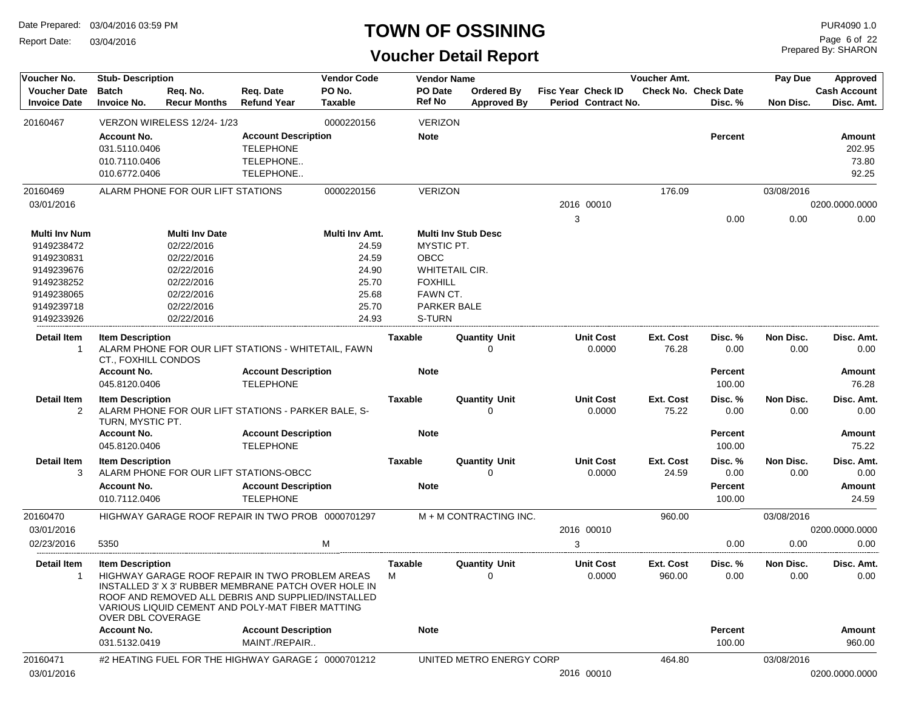Report Date: 03/04/2016

### **TOWN OF OSSINING**

| Voucher No.                                | <b>Stub-Description</b>                                                                                                                                                                                                                                           |                                   |                                                                          | <b>Vendor Code</b> |                           | <b>Vendor Name</b>        |                                  |                            |                                                         | Voucher Amt.       |                                        | Pay Due            | <b>Approved</b>                    |
|--------------------------------------------|-------------------------------------------------------------------------------------------------------------------------------------------------------------------------------------------------------------------------------------------------------------------|-----------------------------------|--------------------------------------------------------------------------|--------------------|---------------------------|---------------------------|----------------------------------|----------------------------|---------------------------------------------------------|--------------------|----------------------------------------|--------------------|------------------------------------|
| <b>Voucher Date</b><br><b>Invoice Date</b> | <b>Batch</b><br><b>Invoice No.</b>                                                                                                                                                                                                                                | Req. No.<br><b>Recur Months</b>   | Req. Date<br><b>Refund Year</b>                                          | PO No.<br>Taxable  | PO Date<br><b>Ref No</b>  |                           | Ordered By<br><b>Approved By</b> |                            | <b>Fisc Year Check ID</b><br><b>Period Contract No.</b> |                    | <b>Check No. Check Date</b><br>Disc. % | Non Disc.          | <b>Cash Account</b><br>Disc. Amt.  |
| 20160467                                   |                                                                                                                                                                                                                                                                   | VERZON WIRELESS 12/24-1/23        |                                                                          | 0000220156         |                           | <b>VERIZON</b>            |                                  |                            |                                                         |                    |                                        |                    |                                    |
|                                            | <b>Account No.</b><br>031.5110.0406<br>010.7110.0406<br>010.6772.0406                                                                                                                                                                                             |                                   | <b>Account Description</b><br><b>TELEPHONE</b><br>TELEPHONE<br>TELEPHONE |                    | <b>Note</b>               |                           |                                  |                            |                                                         |                    | Percent                                |                    | Amount<br>202.95<br>73.80<br>92.25 |
|                                            |                                                                                                                                                                                                                                                                   | ALARM PHONE FOR OUR LIFT STATIONS |                                                                          | 0000220156         |                           | <b>VERIZON</b>            |                                  |                            |                                                         | 176.09             |                                        | 03/08/2016         |                                    |
| 20160469<br>03/01/2016                     |                                                                                                                                                                                                                                                                   |                                   |                                                                          |                    |                           |                           |                                  |                            | 2016 00010                                              |                    |                                        |                    | 0200.0000.0000                     |
|                                            |                                                                                                                                                                                                                                                                   |                                   |                                                                          |                    |                           |                           |                                  |                            |                                                         |                    |                                        |                    |                                    |
|                                            |                                                                                                                                                                                                                                                                   |                                   |                                                                          |                    |                           |                           |                                  | 3                          |                                                         |                    | 0.00                                   | 0.00               | 0.00                               |
| <b>Multi Inv Num</b>                       |                                                                                                                                                                                                                                                                   | <b>Multi Inv Date</b>             |                                                                          | Multi Inv Amt.     |                           |                           | <b>Multi Inv Stub Desc</b>       |                            |                                                         |                    |                                        |                    |                                    |
| 9149238472                                 |                                                                                                                                                                                                                                                                   | 02/22/2016                        |                                                                          | 24.59              |                           | MYSTIC PT.                |                                  |                            |                                                         |                    |                                        |                    |                                    |
| 9149230831                                 |                                                                                                                                                                                                                                                                   | 02/22/2016                        |                                                                          | 24.59              | OBCC                      |                           |                                  |                            |                                                         |                    |                                        |                    |                                    |
| 9149239676                                 |                                                                                                                                                                                                                                                                   | 02/22/2016                        |                                                                          | 24.90              |                           | <b>WHITETAIL CIR.</b>     |                                  |                            |                                                         |                    |                                        |                    |                                    |
| 9149238252                                 |                                                                                                                                                                                                                                                                   | 02/22/2016                        |                                                                          | 25.70              | <b>FOXHILL</b>            |                           |                                  |                            |                                                         |                    |                                        |                    |                                    |
| 9149238065                                 |                                                                                                                                                                                                                                                                   | 02/22/2016                        |                                                                          | 25.68              |                           | FAWN CT.                  |                                  |                            |                                                         |                    |                                        |                    |                                    |
| 9149239718<br>9149233926                   |                                                                                                                                                                                                                                                                   | 02/22/2016<br>02/22/2016          |                                                                          | 25.70<br>24.93     | S-TURN                    | <b>PARKER BALE</b>        |                                  |                            |                                                         |                    |                                        |                    |                                    |
|                                            |                                                                                                                                                                                                                                                                   |                                   |                                                                          |                    |                           |                           |                                  |                            |                                                         |                    |                                        |                    |                                    |
| <b>Detail Item</b><br>$\mathbf{1}$         | <b>Item Description</b><br>CT., FOXHILL CONDOS                                                                                                                                                                                                                    |                                   | ALARM PHONE FOR OUR LIFT STATIONS - WHITETAIL, FAWN                      |                    | Taxable                   |                           | <b>Quantity Unit</b><br>U        |                            | <b>Unit Cost</b><br>0.0000                              | Ext. Cost<br>76.28 | Disc. %<br>0.00                        | Non Disc.<br>0.00  | Disc. Amt.<br>0.00                 |
|                                            | <b>Account No.</b>                                                                                                                                                                                                                                                |                                   | <b>Account Description</b><br><b>TELEPHONE</b>                           |                    | <b>Note</b>               |                           |                                  |                            |                                                         |                    | <b>Percent</b><br>100.00               |                    | <b>Amount</b><br>76.28             |
| <b>Detail Item</b><br>2                    | 045.8120.0406<br><b>Item Description</b><br>ALARM PHONE FOR OUR LIFT STATIONS - PARKER BALE, S-<br>TURN, MYSTIC PT.                                                                                                                                               |                                   |                                                                          | <b>Taxable</b>     |                           | <b>Quantity Unit</b><br>0 |                                  | <b>Unit Cost</b><br>0.0000 | Ext. Cost<br>75.22                                      | Disc. %<br>0.00    | Non Disc.<br>0.00                      | Disc. Amt.<br>0.00 |                                    |
|                                            | <b>Account No.</b><br>045.8120.0406                                                                                                                                                                                                                               |                                   | <b>Account Description</b><br><b>TELEPHONE</b>                           |                    | <b>Note</b>               |                           |                                  |                            |                                                         |                    | <b>Percent</b><br>100.00               |                    | Amount<br>75.22                    |
| <b>Detail Item</b><br>3                    | <b>Item Description</b>                                                                                                                                                                                                                                           |                                   | ALARM PHONE FOR OUR LIFT STATIONS-OBCC                                   |                    | Taxable                   |                           | <b>Quantity Unit</b><br>O        |                            | <b>Unit Cost</b><br>0.0000                              | Ext. Cost<br>24.59 | Disc. %<br>0.00                        | Non Disc.<br>0.00  | Disc. Amt.<br>0.00                 |
|                                            | <b>Account No.</b><br>010.7112.0406                                                                                                                                                                                                                               |                                   | <b>Account Description</b><br><b>TELEPHONE</b>                           |                    | <b>Note</b>               |                           |                                  |                            |                                                         |                    | Percent<br>100.00                      |                    | <b>Amount</b><br>24.59             |
| 20160470                                   |                                                                                                                                                                                                                                                                   |                                   | HIGHWAY GARAGE ROOF REPAIR IN TWO PROB 0000701297                        |                    |                           |                           | M + M CONTRACTING INC.           |                            |                                                         | 960.00             |                                        | 03/08/2016         |                                    |
| 03/01/2016                                 |                                                                                                                                                                                                                                                                   |                                   |                                                                          |                    |                           |                           |                                  |                            | 2016 00010                                              |                    |                                        |                    | 0200.0000.0000                     |
| 02/23/2016                                 | 5350                                                                                                                                                                                                                                                              |                                   |                                                                          | м                  |                           |                           |                                  | 3                          |                                                         |                    | 0.00                                   | 0.00               | 0.00                               |
| <b>Detail Item</b><br>-1                   | <b>Item Description</b><br>HIGHWAY GARAGE ROOF REPAIR IN TWO PROBLEM AREAS<br>INSTALLED 3' X 3' RUBBER MEMBRANE PATCH OVER HOLE IN<br>ROOF AND REMOVED ALL DEBRIS AND SUPPLIED/INSTALLED<br>VARIOUS LIQUID CEMENT AND POLY-MAT FIBER MATTING<br>OVER DBL COVERAGE |                                   | <b>Taxable</b><br>м                                                      |                    | <b>Quantity Unit</b><br>0 |                           | <b>Unit Cost</b><br>0.0000       | Ext. Cost<br>960.00        | Disc. %<br>0.00                                         | Non Disc.<br>0.00  | Disc. Amt.<br>0.00                     |                    |                                    |
|                                            | <b>Account No.</b><br>031.5132.0419                                                                                                                                                                                                                               |                                   | <b>Account Description</b><br>MAINT./REPAIR                              |                    | <b>Note</b>               |                           |                                  |                            |                                                         |                    | Percent<br>100.00                      |                    | Amount<br>960.00                   |
| 20160471<br>03/01/2016                     |                                                                                                                                                                                                                                                                   |                                   | #2 HEATING FUEL FOR THE HIGHWAY GARAGE 2 0000701212                      |                    |                           |                           | UNITED METRO ENERGY CORP         |                            | 2016 00010                                              | 464.80             |                                        | 03/08/2016         | 0200.0000.0000                     |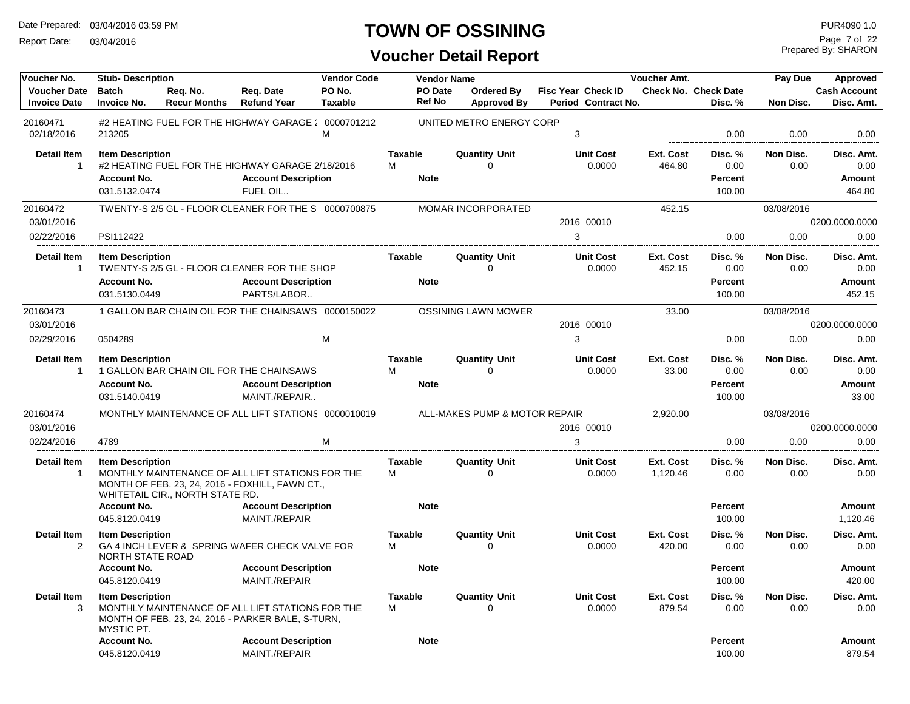Report Date: 03/04/2016

### **TOWN OF OSSINING** PURA090 1.0

Prepared By: SHARON Page 7 of 22

| Voucher No.                                | <b>Stub-Description</b>             |                                 |                                                                                                       | <b>Vendor Code</b>       |                | <b>Vendor Name</b>       |                                         |                                                  | Voucher Amt. |                                        | Pay Due    | Approved                          |
|--------------------------------------------|-------------------------------------|---------------------------------|-------------------------------------------------------------------------------------------------------|--------------------------|----------------|--------------------------|-----------------------------------------|--------------------------------------------------|--------------|----------------------------------------|------------|-----------------------------------|
| <b>Voucher Date</b><br><b>Invoice Date</b> | <b>Batch</b><br><b>Invoice No.</b>  | Req. No.<br><b>Recur Months</b> | Req. Date<br><b>Refund Year</b>                                                                       | PO No.<br><b>Taxable</b> |                | PO Date<br><b>Ref No</b> | <b>Ordered By</b><br><b>Approved By</b> | <b>Fisc Year Check ID</b><br>Period Contract No. |              | <b>Check No. Check Date</b><br>Disc. % | Non Disc.  | <b>Cash Account</b><br>Disc. Amt. |
| 20160471                                   |                                     |                                 | #2 HEATING FUEL FOR THE HIGHWAY GARAGE 2 0000701212                                                   |                          |                |                          | UNITED METRO ENERGY CORP                |                                                  |              |                                        |            |                                   |
| 02/18/2016                                 | 213205                              |                                 |                                                                                                       | м                        |                |                          |                                         | 3                                                |              | 0.00                                   | 0.00       | 0.00                              |
| <b>Detail Item</b>                         | <b>Item Description</b>             |                                 |                                                                                                       |                          | <b>Taxable</b> |                          | <b>Quantity Unit</b>                    | <b>Unit Cost</b>                                 | Ext. Cost    | Disc. %                                | Non Disc.  | Disc. Amt.                        |
| $\mathbf{1}$                               |                                     |                                 | #2 HEATING FUEL FOR THE HIGHWAY GARAGE 2/18/2016                                                      |                          | м              |                          | $\Omega$                                | 0.0000                                           | 464.80       | 0.00                                   | 0.00       | 0.00                              |
|                                            | <b>Account No.</b>                  |                                 | <b>Account Description</b>                                                                            |                          |                | <b>Note</b>              |                                         |                                                  |              | <b>Percent</b>                         |            | Amount                            |
|                                            | 031.5132.0474                       |                                 | FUEL OIL                                                                                              |                          |                |                          |                                         |                                                  |              | 100.00                                 |            | 464.80                            |
| 20160472                                   |                                     |                                 | TWENTY-S 2/5 GL - FLOOR CLEANER FOR THE S 0000700875                                                  |                          |                |                          | <b>MOMAR INCORPORATED</b>               |                                                  | 452.15       |                                        | 03/08/2016 |                                   |
| 03/01/2016<br>02/22/2016                   | PSI112422                           |                                 |                                                                                                       |                          |                |                          |                                         | 2016 00010<br>3                                  |              | 0.00                                   | 0.00       | 0200.0000.0000<br>0.00            |
|                                            |                                     |                                 |                                                                                                       |                          |                |                          |                                         |                                                  |              |                                        |            |                                   |
| Detail Item                                | <b>Item Description</b>             |                                 |                                                                                                       |                          | <b>Taxable</b> |                          | <b>Quantity Unit</b>                    | <b>Unit Cost</b>                                 | Ext. Cost    | Disc. %                                | Non Disc.  | Disc. Amt.                        |
| $\mathbf{1}$                               |                                     |                                 | TWENTY-S 2/5 GL - FLOOR CLEANER FOR THE SHOP                                                          |                          |                |                          | $\Omega$                                | 0.0000                                           | 452.15       | 0.00                                   | 0.00       | 0.00                              |
|                                            | <b>Account No.</b>                  |                                 | <b>Account Description</b>                                                                            |                          |                | <b>Note</b>              |                                         |                                                  |              | <b>Percent</b>                         |            | Amount                            |
|                                            | 031.5130.0449                       |                                 | PARTS/LABOR                                                                                           |                          |                |                          |                                         |                                                  |              | 100.00                                 |            | 452.15                            |
| 20160473<br>03/01/2016                     |                                     |                                 | 1 GALLON BAR CHAIN OIL FOR THE CHAINSAWS 0000150022                                                   |                          |                |                          | <b>OSSINING LAWN MOWER</b>              |                                                  | 33.00        |                                        | 03/08/2016 |                                   |
| 02/29/2016                                 |                                     |                                 |                                                                                                       | M                        |                |                          |                                         | 2016 00010<br>3                                  |              | 0.00                                   | 0.00       | 0200.0000.0000                    |
|                                            | 0504289                             |                                 |                                                                                                       |                          |                |                          |                                         |                                                  |              |                                        |            | 0.00                              |
| <b>Detail Item</b><br>$\mathbf{1}$         | <b>Item Description</b>             |                                 |                                                                                                       |                          | <b>Taxable</b> |                          | <b>Quantity Unit</b>                    | <b>Unit Cost</b>                                 | Ext. Cost    | Disc. %                                | Non Disc.  | Disc. Amt.                        |
|                                            |                                     |                                 | 1 GALLON BAR CHAIN OIL FOR THE CHAINSAWS                                                              |                          | M              |                          | $\Omega$                                | 0.0000                                           | 33.00        | 0.00                                   | 0.00       | 0.00                              |
|                                            | <b>Account No.</b><br>031.5140.0419 |                                 | <b>Account Description</b><br>MAINT./REPAIR                                                           |                          |                | <b>Note</b>              |                                         |                                                  |              | <b>Percent</b><br>100.00               |            | Amount<br>33.00                   |
| 20160474                                   |                                     |                                 | MONTHLY MAINTENANCE OF ALL LIFT STATIONS 0000010019                                                   |                          |                |                          | ALL-MAKES PUMP & MOTOR REPAIR           |                                                  | 2,920.00     |                                        | 03/08/2016 |                                   |
| 03/01/2016                                 |                                     |                                 |                                                                                                       |                          |                |                          |                                         | 2016 00010                                       |              |                                        |            | 0200.0000.0000                    |
| 02/24/2016                                 | 4789                                |                                 |                                                                                                       | M                        |                |                          |                                         | 3                                                |              | 0.00                                   | 0.00       | 0.00                              |
| Detail Item                                | <b>Item Description</b>             |                                 |                                                                                                       |                          | <b>Taxable</b> |                          | <b>Quantity Unit</b>                    | <b>Unit Cost</b>                                 | Ext. Cost    | Disc. %                                | Non Disc.  | Disc. Amt.                        |
| $\mathbf{1}$                               |                                     |                                 | MONTHLY MAINTENANCE OF ALL LIFT STATIONS FOR THE                                                      |                          | М              |                          | $\Omega$                                | 0.0000                                           | 1,120.46     | 0.00                                   | 0.00       | 0.00                              |
|                                            |                                     | WHITETAIL CIR., NORTH STATE RD. | MONTH OF FEB. 23, 24, 2016 - FOXHILL, FAWN CT.,                                                       |                          |                |                          |                                         |                                                  |              |                                        |            |                                   |
|                                            | <b>Account No.</b>                  |                                 | <b>Account Description</b>                                                                            |                          |                | <b>Note</b>              |                                         |                                                  |              | <b>Percent</b>                         |            | <b>Amount</b>                     |
|                                            | 045.8120.0419                       |                                 | MAINT./REPAIR                                                                                         |                          |                |                          |                                         |                                                  |              | 100.00                                 |            | 1,120.46                          |
| Detail Item                                | <b>Item Description</b>             |                                 |                                                                                                       |                          | <b>Taxable</b> |                          | <b>Quantity Unit</b>                    | <b>Unit Cost</b>                                 | Ext. Cost    | Disc.%                                 | Non Disc.  | Disc. Amt.                        |
| 2                                          | NORTH STATE ROAD                    |                                 | GA 4 INCH LEVER & SPRING WAFER CHECK VALVE FOR                                                        |                          | м              |                          | $\Omega$                                | 0.0000                                           | 420.00       | 0.00                                   | 0.00       | 0.00                              |
|                                            | <b>Account No.</b>                  |                                 | <b>Account Description</b>                                                                            |                          |                | <b>Note</b>              |                                         |                                                  |              | <b>Percent</b>                         |            | Amount                            |
|                                            | 045.8120.0419                       |                                 | MAINT./REPAIR                                                                                         |                          |                |                          |                                         |                                                  |              | 100.00                                 |            | 420.00                            |
| <b>Detail Item</b>                         | <b>Item Description</b>             |                                 |                                                                                                       |                          | <b>Taxable</b> |                          | <b>Quantity Unit</b>                    | <b>Unit Cost</b>                                 | Ext. Cost    | Disc. %                                | Non Disc.  | Disc. Amt.                        |
| 3                                          | MYSTIC PT.                          |                                 | MONTHLY MAINTENANCE OF ALL LIFT STATIONS FOR THE<br>MONTH OF FEB. 23, 24, 2016 - PARKER BALE, S-TURN, |                          | M              |                          | $\Omega$                                | 0.0000                                           | 879.54       | 0.00                                   | 0.00       | 0.00                              |
|                                            | <b>Account No.</b>                  |                                 | <b>Account Description</b>                                                                            |                          |                | <b>Note</b>              |                                         |                                                  |              | <b>Percent</b>                         |            | Amount                            |
|                                            | 045.8120.0419                       |                                 | MAINT./REPAIR                                                                                         |                          |                |                          |                                         |                                                  |              | 100.00                                 |            | 879.54                            |
|                                            |                                     |                                 |                                                                                                       |                          |                |                          |                                         |                                                  |              |                                        |            |                                   |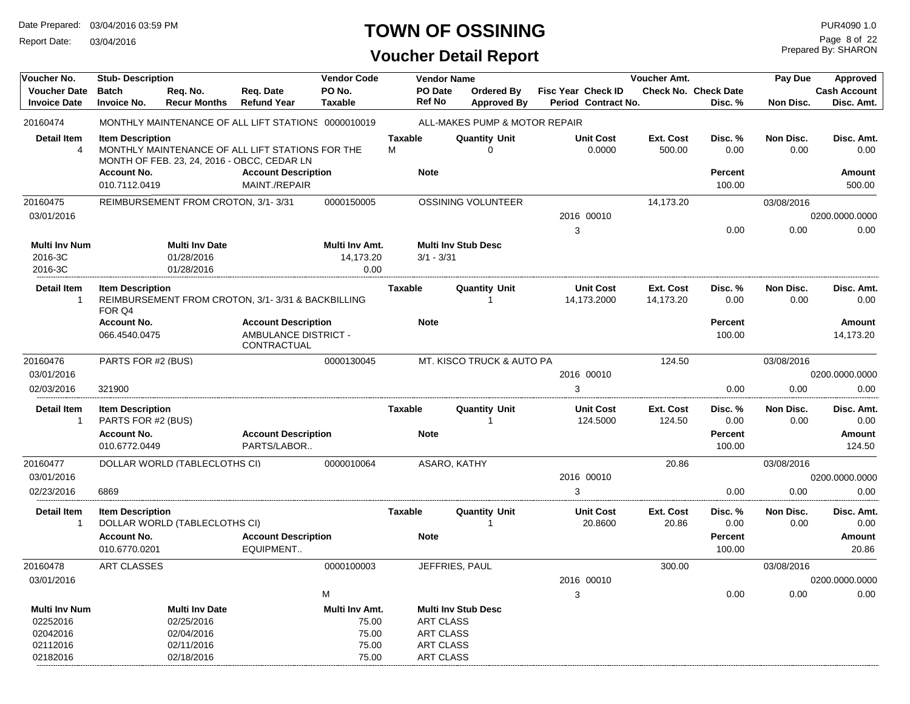Report Date: 03/04/2016

### **TOWN OF OSSINING**

Prepared By: SHARON Page 8 of 22

| Voucher No.                                   | <b>Stub-Description</b>                       |                                                   |                                                                                                 | <b>Vendor Code</b>                  |                          | <b>Vendor Name</b>               |                                                  | Voucher Amt.           |                                        | Pay Due           | Approved                          |
|-----------------------------------------------|-----------------------------------------------|---------------------------------------------------|-------------------------------------------------------------------------------------------------|-------------------------------------|--------------------------|----------------------------------|--------------------------------------------------|------------------------|----------------------------------------|-------------------|-----------------------------------|
| <b>Voucher Date</b><br><b>Invoice Date</b>    | <b>Batch</b><br><b>Invoice No.</b>            | Reg. No.<br><b>Recur Months</b>                   | Reg. Date<br><b>Refund Year</b>                                                                 | PO No.<br><b>Taxable</b>            | PO Date<br><b>Ref No</b> | Ordered By<br><b>Approved By</b> | <b>Fisc Year Check ID</b><br>Period Contract No. |                        | <b>Check No. Check Date</b><br>Disc. % | Non Disc.         | <b>Cash Account</b><br>Disc. Amt. |
| 20160474                                      |                                               |                                                   | MONTHLY MAINTENANCE OF ALL LIFT STATIONS 0000010019                                             |                                     |                          | ALL-MAKES PUMP & MOTOR REPAIR    |                                                  |                        |                                        |                   |                                   |
| <b>Detail Item</b><br>$\overline{\mathbf{4}}$ | <b>Item Description</b>                       |                                                   | MONTHLY MAINTENANCE OF ALL LIFT STATIONS FOR THE<br>MONTH OF FEB. 23, 24, 2016 - OBCC, CEDAR LN |                                     | <b>Taxable</b><br>М      | <b>Quantity Unit</b><br>$\Omega$ | <b>Unit Cost</b><br>0.0000                       | Ext. Cost<br>500.00    | Disc. %<br>0.00                        | Non Disc.<br>0.00 | Disc. Amt.<br>0.00                |
|                                               | <b>Account No.</b><br>010.7112.0419           |                                                   | <b>Account Description</b><br>MAINT./REPAIR                                                     |                                     | <b>Note</b>              |                                  |                                                  |                        | <b>Percent</b><br>100.00               |                   | Amount<br>500.00                  |
| 20160475                                      |                                               | REIMBURSEMENT FROM CROTON, 3/1-3/31               |                                                                                                 | 0000150005                          |                          | <b>OSSINING VOLUNTEER</b>        |                                                  | 14,173.20              |                                        | 03/08/2016        |                                   |
| 03/01/2016                                    |                                               |                                                   |                                                                                                 |                                     |                          |                                  | 2016 00010<br>3                                  |                        | 0.00                                   | 0.00              | 0200.0000.0000<br>0.00            |
| <b>Multi Inv Num</b><br>2016-3C<br>2016-3C    |                                               | <b>Multi Inv Date</b><br>01/28/2016<br>01/28/2016 |                                                                                                 | Multi Inv Amt.<br>14,173.20<br>0.00 | $3/1 - 3/31$             | <b>Multi Inv Stub Desc</b>       |                                                  |                        |                                        |                   |                                   |
| <b>Detail Item</b><br>$\overline{1}$          | <b>Item Description</b><br>FOR Q4             |                                                   | REIMBURSEMENT FROM CROTON, 3/1-3/31 & BACKBILLING                                               |                                     | <b>Taxable</b>           | <b>Quantity Unit</b><br>-1       | <b>Unit Cost</b><br>14,173.2000                  | Ext. Cost<br>14,173.20 | Disc. %<br>0.00                        | Non Disc.<br>0.00 | Disc. Amt.<br>0.00                |
|                                               | <b>Account No.</b><br>066.4540.0475           |                                                   | <b>Account Description</b><br>AMBULANCE DISTRICT -<br>CONTRACTUAL                               |                                     | <b>Note</b>              |                                  |                                                  |                        | Percent<br>100.00                      |                   | Amount<br>14,173.20               |
| 20160476                                      | PARTS FOR #2 (BUS)                            |                                                   |                                                                                                 | 0000130045                          |                          | MT. KISCO TRUCK & AUTO PA        |                                                  | 124.50                 |                                        | 03/08/2016        |                                   |
| 03/01/2016<br>02/03/2016                      | 321900                                        |                                                   |                                                                                                 |                                     |                          |                                  | 2016 00010<br>3                                  |                        | 0.00                                   | 0.00              | 0200.0000.0000<br>0.00            |
| <b>Detail Item</b><br>$\overline{1}$          | <b>Item Description</b><br>PARTS FOR #2 (BUS) |                                                   |                                                                                                 |                                     | <b>Taxable</b>           | <b>Quantity Unit</b><br>1        | <b>Unit Cost</b><br>124.5000                     | Ext. Cost<br>124.50    | Disc. %<br>0.00                        | Non Disc.<br>0.00 | Disc. Amt.<br>0.00                |
|                                               | <b>Account No.</b><br>010.6772.0449           |                                                   | <b>Account Description</b><br>PARTS/LABOR                                                       |                                     | <b>Note</b>              |                                  |                                                  |                        | <b>Percent</b><br>100.00               |                   | <b>Amount</b><br>124.50           |
| 20160477                                      |                                               | DOLLAR WORLD (TABLECLOTHS CI)                     |                                                                                                 | 0000010064                          |                          | ASARO, KATHY                     |                                                  | 20.86                  |                                        | 03/08/2016        |                                   |
| 03/01/2016                                    |                                               |                                                   |                                                                                                 |                                     |                          |                                  | 2016 00010                                       |                        |                                        |                   | 0200.0000.0000                    |
| 02/23/2016                                    | 6869                                          |                                                   |                                                                                                 |                                     |                          |                                  | 3                                                |                        | 0.00                                   | 0.00              | 0.00                              |
| <b>Detail Item</b><br>$\overline{1}$          | <b>Item Description</b>                       | DOLLAR WORLD (TABLECLOTHS CI)                     |                                                                                                 |                                     | <b>Taxable</b>           | <b>Quantity Unit</b><br>-1       | <b>Unit Cost</b><br>20.8600                      | Ext. Cost<br>20.86     | Disc. %<br>0.00                        | Non Disc.<br>0.00 | Disc. Amt.<br>0.00                |
|                                               | <b>Account No.</b><br>010.6770.0201           |                                                   | <b>Account Description</b><br>EQUIPMENT                                                         |                                     | <b>Note</b>              |                                  |                                                  |                        | <b>Percent</b><br>100.00               |                   | <b>Amount</b><br>20.86            |
| 20160478                                      | <b>ART CLASSES</b>                            |                                                   |                                                                                                 | 0000100003                          |                          | JEFFRIES, PAUL                   |                                                  | 300.00                 |                                        | 03/08/2016        |                                   |
| 03/01/2016                                    |                                               |                                                   |                                                                                                 | M                                   |                          |                                  | 2016 00010<br>3                                  |                        | 0.00                                   | 0.00              | 0200.0000.0000<br>0.00            |
| <b>Multi Inv Num</b>                          |                                               | <b>Multi Inv Date</b>                             |                                                                                                 | Multi Inv Amt.                      |                          | <b>Multi Inv Stub Desc</b>       |                                                  |                        |                                        |                   |                                   |
| 02252016                                      |                                               | 02/25/2016                                        |                                                                                                 | 75.00                               |                          | <b>ART CLASS</b>                 |                                                  |                        |                                        |                   |                                   |
| 02042016                                      |                                               | 02/04/2016                                        |                                                                                                 | 75.00                               |                          | <b>ART CLASS</b>                 |                                                  |                        |                                        |                   |                                   |
| 02112016                                      |                                               | 02/11/2016                                        |                                                                                                 | 75.00                               |                          | <b>ART CLASS</b>                 |                                                  |                        |                                        |                   |                                   |
| 02182016                                      |                                               | 02/18/2016                                        |                                                                                                 | 75.00                               |                          | <b>ART CLASS</b>                 |                                                  |                        |                                        |                   |                                   |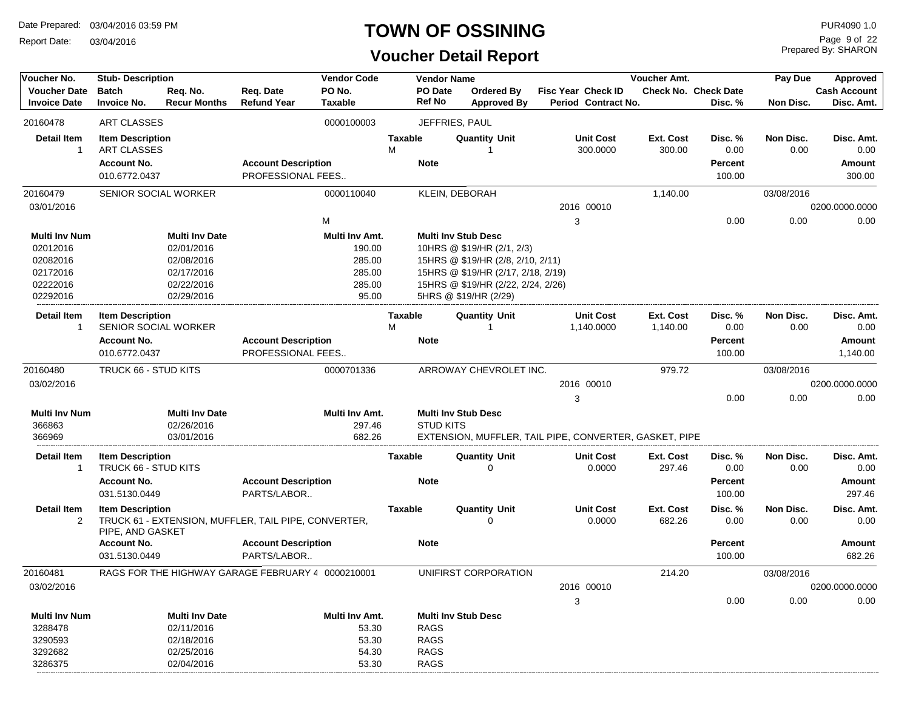Report Date: 03/04/2016

### **TOWN OF OSSINING**

### **Voucher Detail Report**

Prepared By: SHARON Page 9 of 22

| Voucher No.             | <b>Stub-Description</b>     |                       |                                                      | <b>Vendor Code</b> |                | <b>Vendor Name</b> |                                    |                                                        | Voucher Amt.               |                      | Pay Due           | Approved            |
|-------------------------|-----------------------------|-----------------------|------------------------------------------------------|--------------------|----------------|--------------------|------------------------------------|--------------------------------------------------------|----------------------------|----------------------|-------------------|---------------------|
| <b>Voucher Date</b>     | <b>Batch</b>                | Req. No.              | Req. Date                                            | PO No.             |                | PO Date            | <b>Ordered By</b>                  | Fisc Year Check ID                                     |                            | Check No. Check Date |                   | <b>Cash Account</b> |
| <b>Invoice Date</b>     | <b>Invoice No.</b>          | <b>Recur Months</b>   | <b>Refund Year</b>                                   | <b>Taxable</b>     |                | <b>Ref No</b>      | <b>Approved By</b>                 | Period Contract No.                                    |                            | Disc. %              | Non Disc.         | Disc. Amt.          |
| 20160478                | <b>ART CLASSES</b>          |                       |                                                      | 0000100003         |                | JEFFRIES, PAUL     |                                    |                                                        |                            |                      |                   |                     |
| <b>Detail Item</b>      | <b>Item Description</b>     |                       |                                                      |                    | <b>Taxable</b> |                    | <b>Quantity Unit</b>               | <b>Unit Cost</b>                                       | Ext. Cost                  | Disc. %              | Non Disc.         | Disc. Amt.          |
| -1                      | ART CLASSES                 |                       |                                                      |                    | М              |                    | -1                                 | 300.0000                                               | 300.00                     | 0.00                 | 0.00              | 0.00                |
|                         | <b>Account No.</b>          |                       | <b>Account Description</b>                           |                    |                | <b>Note</b>        |                                    |                                                        |                            | <b>Percent</b>       |                   | Amount              |
|                         | 010.6772.0437               |                       | PROFESSIONAL FEES                                    |                    |                |                    |                                    |                                                        |                            | 100.00               |                   | 300.00              |
| 20160479                | <b>SENIOR SOCIAL WORKER</b> |                       |                                                      | 0000110040         |                | KLEIN, DEBORAH     |                                    |                                                        | 1,140.00                   |                      | 03/08/2016        |                     |
| 03/01/2016              |                             |                       |                                                      |                    |                |                    |                                    | 2016 00010                                             |                            |                      |                   | 0200.0000.0000      |
|                         |                             |                       |                                                      | M                  |                |                    |                                    | 3                                                      |                            | 0.00                 | 0.00              | 0.00                |
| <b>Multi Inv Num</b>    |                             | <b>Multi Inv Date</b> |                                                      | Multi Inv Amt.     |                |                    | <b>Multi Inv Stub Desc</b>         |                                                        |                            |                      |                   |                     |
| 02012016                |                             | 02/01/2016            |                                                      | 190.00             |                |                    | 10HRS @ \$19/HR (2/1, 2/3)         |                                                        |                            |                      |                   |                     |
| 02082016                |                             | 02/08/2016            |                                                      | 285.00             |                |                    | 15HRS @ \$19/HR (2/8, 2/10, 2/11)  |                                                        |                            |                      |                   |                     |
| 02172016                |                             | 02/17/2016            |                                                      | 285.00             |                |                    | 15HRS @ \$19/HR (2/17, 2/18, 2/19) |                                                        |                            |                      |                   |                     |
| 02222016                |                             | 02/22/2016            |                                                      | 285.00             |                |                    | 15HRS @ \$19/HR (2/22, 2/24, 2/26) |                                                        |                            |                      |                   |                     |
| 02292016                |                             | 02/29/2016            |                                                      | 95.00              |                |                    | 5HRS @ \$19/HR (2/29)              |                                                        |                            |                      |                   |                     |
| <b>Detail Item</b>      | <b>Item Description</b>     |                       |                                                      |                    | <b>Taxable</b> |                    | <b>Quantity Unit</b>               | <b>Unit Cost</b>                                       | Ext. Cost                  | Disc. %              | Non Disc.         | Disc. Amt.          |
| $\overline{1}$          | <b>SENIOR SOCIAL WORKER</b> |                       |                                                      |                    | M              |                    | -1                                 | 1,140.0000                                             | 1,140.00                   | 0.00                 | 0.00              | 0.00                |
|                         | <b>Account No.</b>          |                       | <b>Account Description</b>                           |                    |                | <b>Note</b>        |                                    |                                                        |                            | Percent              |                   | Amount              |
|                         | 010.6772.0437               |                       | PROFESSIONAL FEES                                    |                    |                |                    |                                    |                                                        |                            | 100.00               |                   | 1,140.00            |
|                         |                             |                       |                                                      |                    |                |                    |                                    |                                                        |                            |                      |                   |                     |
| 20160480                | <b>TRUCK 66 - STUD KITS</b> |                       |                                                      | 0000701336         |                |                    | ARROWAY CHEVROLET INC.             |                                                        | 979.72                     |                      | 03/08/2016        |                     |
| 03/02/2016              |                             |                       |                                                      |                    |                |                    |                                    | 2016 00010                                             |                            |                      |                   | 0200.0000.0000      |
|                         |                             |                       |                                                      |                    |                |                    |                                    | 3                                                      |                            | 0.00                 | 0.00              | 0.00                |
| <b>Multi Inv Num</b>    |                             | <b>Multi Inv Date</b> |                                                      | Multi Inv Amt.     |                |                    | <b>Multi Inv Stub Desc</b>         |                                                        |                            |                      |                   |                     |
| 366863                  |                             | 02/26/2016            |                                                      | 297.46             |                | <b>STUD KITS</b>   |                                    |                                                        |                            |                      |                   |                     |
| 366969                  |                             | 03/01/2016            |                                                      | 682.26             |                |                    |                                    | EXTENSION, MUFFLER, TAIL PIPE, CONVERTER, GASKET, PIPE |                            |                      |                   |                     |
| <b>Detail Item</b>      | <b>Item Description</b>     |                       |                                                      |                    | <b>Taxable</b> |                    | <b>Quantity Unit</b>               | <b>Unit Cost</b>                                       | Ext. Cost                  | Disc. %              | Non Disc.         | Disc. Amt.          |
| $\overline{1}$          | <b>TRUCK 66 - STUD KITS</b> |                       |                                                      |                    |                |                    | $\Omega$                           | 0.0000                                                 | 297.46                     | 0.00                 | 0.00              | 0.00                |
|                         | <b>Account No.</b>          |                       | <b>Account Description</b>                           |                    |                | <b>Note</b>        |                                    |                                                        |                            | <b>Percent</b>       |                   | Amount              |
|                         | 031.5130.0449               |                       | PARTS/LABOR                                          |                    |                |                    |                                    |                                                        |                            | 100.00               |                   | 297.46              |
| <b>Detail Item</b><br>2 | <b>Item Description</b>     |                       | TRUCK 61 - EXTENSION, MUFFLER, TAIL PIPE, CONVERTER, |                    | <b>Taxable</b> |                    | <b>Quantity Unit</b><br>0          | <b>Unit Cost</b><br>0.0000                             | <b>Ext. Cost</b><br>682.26 | Disc. %<br>0.00      | Non Disc.<br>0.00 | Disc. Amt.<br>0.00  |
|                         | PIPE, AND GASKET            |                       |                                                      |                    |                |                    |                                    |                                                        |                            |                      |                   |                     |
|                         | <b>Account No.</b>          |                       | <b>Account Description</b>                           |                    |                | <b>Note</b>        |                                    |                                                        |                            | Percent              |                   | Amount              |
|                         | 031.5130.0449               |                       | PARTS/LABOR                                          |                    |                |                    |                                    |                                                        |                            | 100.00               |                   | 682.26              |
| 20160481                |                             |                       | RAGS FOR THE HIGHWAY GARAGE FEBRUARY 4 0000210001    |                    |                |                    | UNIFIRST CORPORATION               |                                                        | 214.20                     |                      | 03/08/2016        |                     |
| 03/02/2016              |                             |                       |                                                      |                    |                |                    |                                    | 2016 00010                                             |                            |                      |                   | 0200.0000.0000      |
|                         |                             |                       |                                                      |                    |                |                    |                                    | 3                                                      |                            | 0.00                 | 0.00              | 0.00                |
| <b>Multi Inv Num</b>    |                             | <b>Multi Inv Date</b> |                                                      | Multi Inv Amt.     |                |                    | <b>Multi Inv Stub Desc</b>         |                                                        |                            |                      |                   |                     |
| 3288478                 |                             | 02/11/2016            |                                                      | 53.30              |                | <b>RAGS</b>        |                                    |                                                        |                            |                      |                   |                     |
| 3290593                 |                             | 02/18/2016            |                                                      | 53.30              |                | <b>RAGS</b>        |                                    |                                                        |                            |                      |                   |                     |
| 3292682                 |                             | 02/25/2016            |                                                      | 54.30              |                | <b>RAGS</b>        |                                    |                                                        |                            |                      |                   |                     |
| 3286375                 |                             | 02/04/2016            |                                                      | 53.30              |                | <b>RAGS</b>        |                                    |                                                        |                            |                      |                   |                     |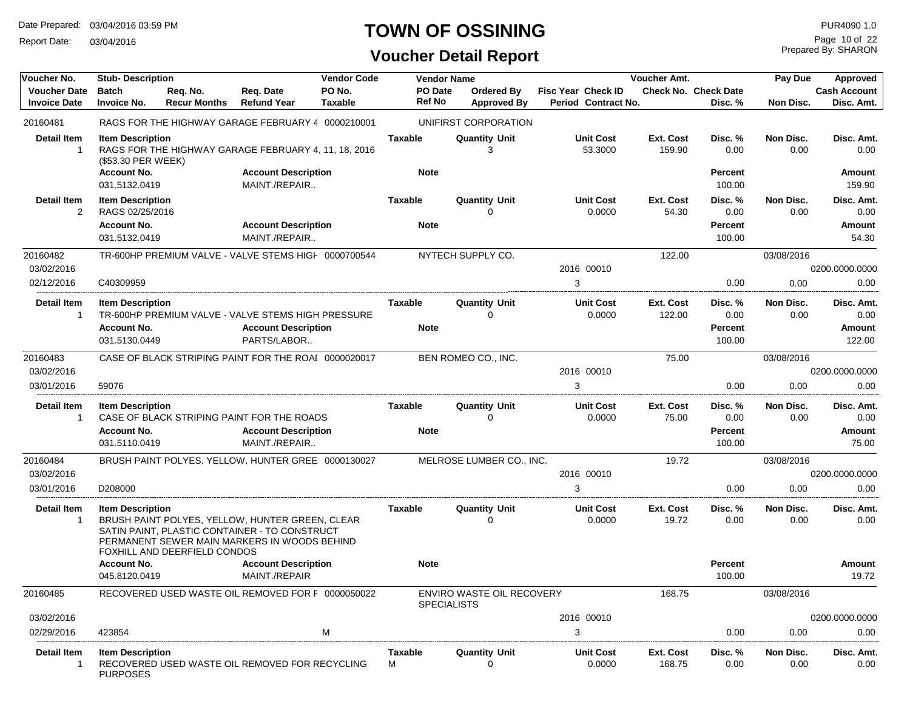Report Date: 03/04/2016

### **TOWN OF OSSINING**

### **Voucher Detail Report**

Prepared By: SHARON Page 10 of 22

| Voucher No.                                | <b>Stub-Description</b>                       |                                 |                                                                                                                                                  | <b>Vendor Code</b>       | <b>Vendor Name</b>       |                                                 |                                           | Voucher Amt.               |                                        | Pay Due           | Approved                   |
|--------------------------------------------|-----------------------------------------------|---------------------------------|--------------------------------------------------------------------------------------------------------------------------------------------------|--------------------------|--------------------------|-------------------------------------------------|-------------------------------------------|----------------------------|----------------------------------------|-------------------|----------------------------|
| <b>Voucher Date</b><br><b>Invoice Date</b> | <b>Batch</b><br><b>Invoice No.</b>            | Req. No.<br><b>Recur Months</b> | Req. Date<br><b>Refund Year</b>                                                                                                                  | PO No.<br><b>Taxable</b> | PO Date<br><b>Ref No</b> | <b>Ordered By</b><br><b>Approved By</b>         | Fisc Year Check ID<br>Period Contract No. |                            | <b>Check No. Check Date</b><br>Disc. % | Non Disc.         | Cash Account<br>Disc. Amt. |
| 20160481                                   |                                               |                                 | RAGS FOR THE HIGHWAY GARAGE FEBRUARY 4 0000210001                                                                                                |                          |                          | UNIFIRST CORPORATION                            |                                           |                            |                                        |                   |                            |
| <b>Detail Item</b><br>$\mathbf{1}$         | <b>Item Description</b><br>(\$53.30 PER WEEK) |                                 | RAGS FOR THE HIGHWAY GARAGE FEBRUARY 4, 11, 18, 2016                                                                                             |                          | Taxable                  | <b>Quantity Unit</b><br>3                       | <b>Unit Cost</b><br>53.3000               | <b>Ext. Cost</b><br>159.90 | Disc. %<br>0.00                        | Non Disc.<br>0.00 | Disc. Amt.<br>0.00         |
|                                            | <b>Account No.</b><br>031.5132.0419           |                                 | <b>Account Description</b><br>MAINT./REPAIR                                                                                                      |                          | <b>Note</b>              |                                                 |                                           |                            | <b>Percent</b><br>100.00               |                   | Amount<br>159.90           |
| <b>Detail Item</b><br>2                    | <b>Item Description</b><br>RAGS 02/25/2016    |                                 |                                                                                                                                                  |                          | <b>Taxable</b>           | <b>Quantity Unit</b><br>0                       | <b>Unit Cost</b><br>0.0000                | <b>Ext. Cost</b><br>54.30  | Disc. %<br>0.00                        | Non Disc.<br>0.00 | Disc. Amt.<br>0.00         |
|                                            | <b>Account No.</b><br>031.5132.0419           |                                 | <b>Account Description</b><br>MAINT./REPAIR                                                                                                      |                          | <b>Note</b>              |                                                 |                                           |                            | <b>Percent</b><br>100.00               |                   | Amount<br>54.30            |
| 20160482                                   |                                               |                                 | TR-600HP PREMIUM VALVE - VALVE STEMS HIGH 0000700544                                                                                             |                          |                          | NYTECH SUPPLY CO.                               |                                           | 122.00                     |                                        | 03/08/2016        |                            |
| 03/02/2016                                 |                                               |                                 |                                                                                                                                                  |                          |                          |                                                 | 2016 00010                                |                            |                                        |                   | 0200.0000.0000             |
| 02/12/2016                                 | C40309959                                     |                                 |                                                                                                                                                  |                          |                          |                                                 | 3                                         |                            | 0.00                                   | 0.00              | 0.00                       |
| <b>Detail Item</b><br>$\mathbf 1$          | <b>Item Description</b>                       |                                 | TR-600HP PREMIUM VALVE - VALVE STEMS HIGH PRESSURE                                                                                               |                          | <b>Taxable</b>           | <b>Quantity Unit</b><br>0                       | <b>Unit Cost</b><br>0.0000                | Ext. Cost<br>122.00        | Disc. %<br>0.00                        | Non Disc.<br>0.00 | Disc. Amt.<br>0.00         |
|                                            | <b>Account No.</b><br>031.5130.0449           |                                 | <b>Account Description</b><br>PARTS/LABOR                                                                                                        |                          | <b>Note</b>              |                                                 |                                           |                            | <b>Percent</b><br>100.00               |                   | Amount<br>122.00           |
| 20160483                                   |                                               |                                 | CASE OF BLACK STRIPING PAINT FOR THE ROAI 0000020017                                                                                             |                          |                          | BEN ROMEO CO., INC.                             |                                           | 75.00                      |                                        | 03/08/2016        |                            |
| 03/02/2016                                 |                                               |                                 |                                                                                                                                                  |                          |                          |                                                 | 2016 00010                                |                            |                                        |                   | 0200.0000.0000             |
| 03/01/2016                                 | 59076                                         |                                 |                                                                                                                                                  |                          |                          |                                                 | 3                                         |                            | 0.00                                   | 0.00              | 0.00                       |
| <b>Detail Item</b><br>$\mathbf{1}$         | <b>Item Description</b>                       |                                 | CASE OF BLACK STRIPING PAINT FOR THE ROADS                                                                                                       |                          | Taxable                  | <b>Quantity Unit</b><br>$\Omega$                | <b>Unit Cost</b><br>0.0000                | Ext. Cost<br>75.00         | Disc. %<br>0.00                        | Non Disc.<br>0.00 | Disc. Amt.<br>0.00         |
|                                            | <b>Account No.</b><br>031.5110.0419           |                                 | <b>Account Description</b><br>MAINT./REPAIR                                                                                                      |                          | <b>Note</b>              |                                                 |                                           |                            | <b>Percent</b><br>100.00               |                   | Amount<br>75.00            |
| 20160484                                   |                                               |                                 | BRUSH PAINT POLYES, YELLOW, HUNTER GREE 0000130027                                                                                               |                          |                          | MELROSE LUMBER CO., INC.                        |                                           | 19.72                      |                                        | 03/08/2016        |                            |
| 03/02/2016                                 |                                               |                                 |                                                                                                                                                  |                          |                          |                                                 | 2016 00010                                |                            |                                        |                   | 0200.0000.0000             |
| 03/01/2016                                 | D208000                                       |                                 |                                                                                                                                                  |                          |                          |                                                 | 3                                         |                            | 0.00                                   | 0.00              | 0.00                       |
| <b>Detail Item</b><br>$\mathbf{1}$         | <b>Item Description</b>                       | FOXHILL AND DEERFIELD CONDOS    | BRUSH PAINT POLYES, YELLOW, HUNTER GREEN, CLEAR<br>SATIN PAINT. PLASTIC CONTAINER - TO CONSTRUCT<br>PERMANENT SEWER MAIN MARKERS IN WOODS BEHIND |                          | <b>Taxable</b>           | <b>Quantity Unit</b><br>0                       | <b>Unit Cost</b><br>0.0000                | Ext. Cost<br>19.72         | Disc. %<br>0.00                        | Non Disc.<br>0.00 | Disc. Amt.<br>0.00         |
|                                            | <b>Account No.</b>                            |                                 | <b>Account Description</b>                                                                                                                       |                          | <b>Note</b>              |                                                 |                                           |                            | <b>Percent</b>                         |                   | Amount                     |
|                                            | 045.8120.0419                                 |                                 | MAINT./REPAIR                                                                                                                                    |                          |                          |                                                 |                                           |                            | 100.00                                 |                   | 19.72                      |
| 20160485                                   |                                               |                                 | RECOVERED USED WASTE OIL REMOVED FOR F 0000050022                                                                                                |                          |                          | ENVIRO WASTE OIL RECOVERY<br><b>SPECIALISTS</b> |                                           | 168.75                     |                                        | 03/08/2016        |                            |
| 03/02/2016                                 |                                               |                                 |                                                                                                                                                  |                          |                          |                                                 | 2016 00010                                |                            |                                        |                   | 0200.0000.0000             |
| 02/29/2016                                 | 423854                                        |                                 |                                                                                                                                                  | M                        |                          |                                                 | 3                                         |                            | 0.00                                   | 0.00              | 0.00                       |
| Detail Item<br>$\mathbf{1}$                | <b>Item Description</b><br><b>PURPOSES</b>    |                                 | RECOVERED USED WASTE OIL REMOVED FOR RECYCLING                                                                                                   |                          | <b>Taxable</b><br>М      | <b>Quantity Unit</b><br>0                       | <b>Unit Cost</b><br>0.0000                | Ext. Cost<br>168.75        | Disc. %<br>0.00                        | Non Disc.<br>0.00 | Disc. Amt.<br>$0.00\,$     |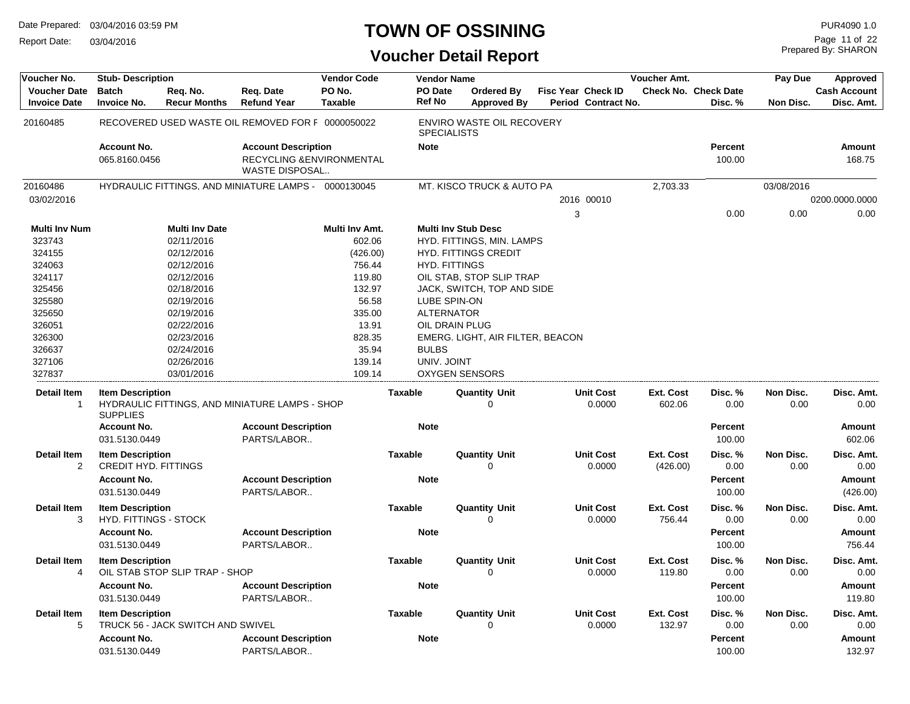Report Date: 03/04/2016

### **TOWN OF OSSINING**

Prepared By: SHARON Page 11 of 22

| Voucher No.                                | <b>Stub-Description</b>                                |                                   |                                                      | <b>Vendor Code</b>       |                          | <b>Vendor Name</b>                                     |                                                  | Voucher Amt.                 |                                        | Pay Due           | Approved                          |
|--------------------------------------------|--------------------------------------------------------|-----------------------------------|------------------------------------------------------|--------------------------|--------------------------|--------------------------------------------------------|--------------------------------------------------|------------------------------|----------------------------------------|-------------------|-----------------------------------|
| <b>Voucher Date</b><br><b>Invoice Date</b> | <b>Batch</b><br><b>Invoice No.</b>                     | Reg. No.<br><b>Recur Months</b>   | Reg. Date<br><b>Refund Year</b>                      | PO No.<br><b>Taxable</b> | PO Date<br><b>Ref No</b> | <b>Ordered By</b><br><b>Approved By</b>                | <b>Fisc Year Check ID</b><br>Period Contract No. |                              | <b>Check No. Check Date</b><br>Disc. % | Non Disc.         | <b>Cash Account</b><br>Disc. Amt. |
| 20160485                                   |                                                        |                                   | RECOVERED USED WASTE OIL REMOVED FOR F 0000050022    |                          |                          | <b>ENVIRO WASTE OIL RECOVERY</b><br><b>SPECIALISTS</b> |                                                  |                              |                                        |                   |                                   |
|                                            | <b>Account No.</b>                                     |                                   | <b>Account Description</b>                           |                          | <b>Note</b>              |                                                        |                                                  |                              | <b>Percent</b>                         |                   | Amount                            |
|                                            | 065.8160.0456                                          |                                   | RECYCLING & ENVIRONMENTAL<br>WASTE DISPOSAL          |                          |                          |                                                        |                                                  |                              | 100.00                                 |                   | 168.75                            |
| 20160486                                   |                                                        |                                   | HYDRAULIC FITTINGS, AND MINIATURE LAMPS - 0000130045 |                          |                          | MT. KISCO TRUCK & AUTO PA                              |                                                  | 2,703.33                     |                                        | 03/08/2016        |                                   |
| 03/02/2016                                 |                                                        |                                   |                                                      |                          |                          |                                                        | 2016 00010                                       |                              |                                        |                   | 0200.0000.0000                    |
|                                            |                                                        |                                   |                                                      |                          |                          |                                                        | 3                                                |                              | 0.00                                   | 0.00              | 0.00                              |
| <b>Multi Inv Num</b>                       |                                                        | <b>Multi Inv Date</b>             |                                                      | Multi Inv Amt.           |                          | <b>Multi Inv Stub Desc</b>                             |                                                  |                              |                                        |                   |                                   |
| 323743                                     |                                                        | 02/11/2016                        |                                                      | 602.06                   |                          | HYD. FITTINGS, MIN. LAMPS                              |                                                  |                              |                                        |                   |                                   |
| 324155                                     |                                                        | 02/12/2016                        |                                                      | (426.00)                 |                          | <b>HYD. FITTINGS CREDIT</b>                            |                                                  |                              |                                        |                   |                                   |
| 324063                                     |                                                        | 02/12/2016                        |                                                      | 756.44                   |                          | <b>HYD. FITTINGS</b>                                   |                                                  |                              |                                        |                   |                                   |
| 324117                                     |                                                        | 02/12/2016                        |                                                      | 119.80                   |                          | OIL STAB, STOP SLIP TRAP                               |                                                  |                              |                                        |                   |                                   |
| 325456                                     |                                                        | 02/18/2016                        |                                                      | 132.97                   |                          | JACK, SWITCH, TOP AND SIDE                             |                                                  |                              |                                        |                   |                                   |
| 325580                                     |                                                        | 02/19/2016                        |                                                      | 56.58                    |                          | LUBE SPIN-ON                                           |                                                  |                              |                                        |                   |                                   |
| 325650                                     |                                                        | 02/19/2016                        |                                                      | 335.00                   |                          | <b>ALTERNATOR</b>                                      |                                                  |                              |                                        |                   |                                   |
| 326051                                     |                                                        | 02/22/2016                        |                                                      | 13.91                    |                          | OIL DRAIN PLUG                                         |                                                  |                              |                                        |                   |                                   |
| 326300                                     |                                                        | 02/23/2016                        |                                                      | 828.35                   |                          | EMERG. LIGHT, AIR FILTER, BEACON                       |                                                  |                              |                                        |                   |                                   |
| 326637                                     |                                                        | 02/24/2016                        |                                                      | 35.94                    | <b>BULBS</b>             |                                                        |                                                  |                              |                                        |                   |                                   |
| 327106                                     |                                                        | 02/26/2016                        |                                                      | 139.14                   |                          | UNIV. JOINT                                            |                                                  |                              |                                        |                   |                                   |
| 327837                                     |                                                        | 03/01/2016                        |                                                      | 109.14                   |                          | OXYGEN SENSORS                                         |                                                  |                              |                                        |                   |                                   |
| <b>Detail Item</b><br>$\mathbf{1}$         | <b>Item Description</b><br><b>SUPPLIES</b>             |                                   | HYDRAULIC FITTINGS, AND MINIATURE LAMPS - SHOP       |                          | <b>Taxable</b>           | <b>Quantity Unit</b><br>$\mathbf 0$                    | <b>Unit Cost</b><br>0.0000                       | Ext. Cost<br>602.06          | Disc. %<br>0.00                        | Non Disc.<br>0.00 | Disc. Amt.<br>0.00                |
|                                            | <b>Account No.</b><br>031.5130.0449                    |                                   | <b>Account Description</b><br>PARTS/LABOR            |                          | <b>Note</b>              |                                                        |                                                  |                              | <b>Percent</b><br>100.00               |                   | <b>Amount</b><br>602.06           |
| <b>Detail Item</b><br>2                    | <b>Item Description</b><br><b>CREDIT HYD. FITTINGS</b> |                                   |                                                      |                          | <b>Taxable</b>           | <b>Quantity Unit</b><br>$\Omega$                       | <b>Unit Cost</b><br>0.0000                       | <b>Ext. Cost</b><br>(426.00) | Disc. %<br>0.00                        | Non Disc.<br>0.00 | Disc. Amt.<br>0.00                |
|                                            | <b>Account No.</b><br>031.5130.0449                    |                                   | <b>Account Description</b><br>PARTS/LABOR            |                          | <b>Note</b>              |                                                        |                                                  |                              | <b>Percent</b><br>100.00               |                   | Amount<br>(426.00)                |
| <b>Detail Item</b><br>3                    | <b>Item Description</b><br>HYD. FITTINGS - STOCK       |                                   |                                                      |                          | <b>Taxable</b>           | <b>Quantity Unit</b><br>$\Omega$                       | <b>Unit Cost</b><br>0.0000                       | <b>Ext. Cost</b><br>756.44   | Disc. %<br>0.00                        | Non Disc.<br>0.00 | Disc. Amt.<br>0.00                |
|                                            | <b>Account No.</b><br>031.5130.0449                    |                                   | <b>Account Description</b><br>PARTS/LABOR            |                          | <b>Note</b>              |                                                        |                                                  |                              | <b>Percent</b><br>100.00               |                   | Amount<br>756.44                  |
| <b>Detail Item</b><br>4                    | <b>Item Description</b>                                | OIL STAB STOP SLIP TRAP - SHOP    |                                                      |                          | <b>Taxable</b>           | <b>Quantity Unit</b><br>0                              | <b>Unit Cost</b><br>0.0000                       | Ext. Cost<br>119.80          | Disc. %<br>0.00                        | Non Disc.<br>0.00 | Disc. Amt.<br>0.00                |
|                                            | <b>Account No.</b><br>031.5130.0449                    |                                   | <b>Account Description</b><br>PARTS/LABOR            |                          | <b>Note</b>              |                                                        |                                                  |                              | Percent<br>100.00                      |                   | <b>Amount</b><br>119.80           |
| <b>Detail Item</b><br>5                    | <b>Item Description</b>                                | TRUCK 56 - JACK SWITCH AND SWIVEL |                                                      |                          | <b>Taxable</b>           | <b>Quantity Unit</b><br>0                              | <b>Unit Cost</b><br>0.0000                       | <b>Ext. Cost</b><br>132.97   | Disc. %<br>0.00                        | Non Disc.<br>0.00 | Disc. Amt.<br>0.00                |
|                                            | <b>Account No.</b><br>031.5130.0449                    |                                   | <b>Account Description</b><br>PARTS/LABOR            |                          | <b>Note</b>              |                                                        |                                                  |                              | <b>Percent</b><br>100.00               |                   | <b>Amount</b><br>132.97           |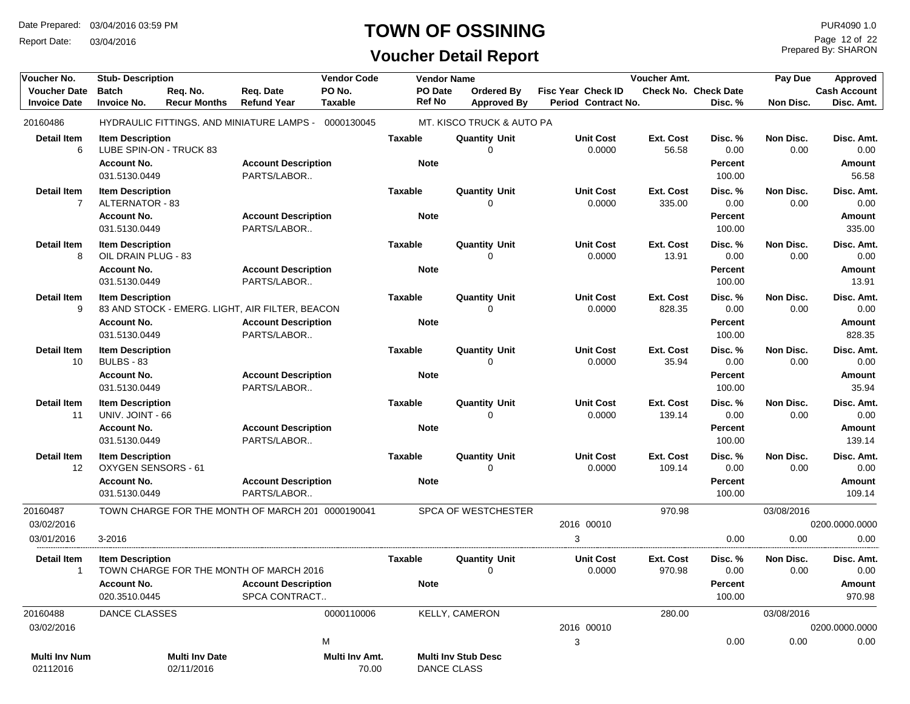Report Date: 03/04/2016

#### **TOWN OF OSSINING**

#### **Voucher Detail Report**

Prepared By: SHARON Page 12 of 22

| Voucher No.                                | <b>Stub-Description</b>                                                                  |                                     |                                                                                              | <b>Vendor Code</b>       |                               | <b>Vendor Name</b>                               |                                                  | <b>Voucher Amt.</b> |                                             | Pay Due            | Approved                               |
|--------------------------------------------|------------------------------------------------------------------------------------------|-------------------------------------|----------------------------------------------------------------------------------------------|--------------------------|-------------------------------|--------------------------------------------------|--------------------------------------------------|---------------------|---------------------------------------------|--------------------|----------------------------------------|
| <b>Voucher Date</b><br><b>Invoice Date</b> | <b>Batch</b><br><b>Invoice No.</b>                                                       | Req. No.<br><b>Recur Months</b>     | Req. Date<br><b>Refund Year</b>                                                              | PO No.<br><b>Taxable</b> | PO Date<br><b>Ref No</b>      | <b>Ordered By</b><br><b>Approved By</b>          | <b>Fisc Year Check ID</b><br>Period Contract No. |                     | Check No. Check Date<br>Disc. %             | Non Disc.          | <b>Cash Account</b><br>Disc. Amt.      |
| 20160486                                   |                                                                                          |                                     | HYDRAULIC FITTINGS, AND MINIATURE LAMPS -                                                    | 0000130045               |                               | MT. KISCO TRUCK & AUTO PA                        |                                                  |                     |                                             |                    |                                        |
| <b>Detail Item</b><br>6                    | <b>Item Description</b><br><b>Account No.</b><br>031.5130.0449                           | LUBE SPIN-ON - TRUCK 83             | <b>Account Description</b><br>PARTS/LABOR                                                    |                          | <b>Taxable</b><br><b>Note</b> | <b>Quantity Unit</b><br>0                        | <b>Unit Cost</b><br>0.0000                       | Ext. Cost<br>56.58  | Disc.%<br>0.00<br>Percent<br>100.00         | Non Disc.<br>0.00  | Disc. Amt.<br>0.00<br>Amount<br>56.58  |
| <b>Detail Item</b><br>$\overline{7}$       | <b>Item Description</b><br><b>ALTERNATOR - 83</b><br><b>Account No.</b><br>031.5130.0449 |                                     | <b>Account Description</b><br>PARTS/LABOR                                                    |                          | <b>Taxable</b><br><b>Note</b> | <b>Quantity Unit</b><br>0                        | <b>Unit Cost</b><br>0.0000                       | Ext. Cost<br>335.00 | Disc. %<br>0.00<br><b>Percent</b><br>100.00 | Non Disc.<br>0.00  | Disc. Amt.<br>0.00<br>Amount<br>335.00 |
| <b>Detail Item</b><br>8                    | <b>Item Description</b><br>OIL DRAIN PLUG - 83<br><b>Account No.</b>                     |                                     | <b>Account Description</b>                                                                   |                          | <b>Taxable</b><br><b>Note</b> | <b>Quantity Unit</b><br>$\Omega$                 | <b>Unit Cost</b><br>0.0000                       | Ext. Cost<br>13.91  | Disc.%<br>0.00<br><b>Percent</b>            | Non Disc.<br>0.00  | Disc. Amt.<br>0.00<br>Amount           |
| <b>Detail Item</b><br>9                    | 031.5130.0449<br><b>Item Description</b><br><b>Account No.</b>                           |                                     | PARTS/LABOR<br>83 AND STOCK - EMERG. LIGHT, AIR FILTER, BEACON<br><b>Account Description</b> |                          | <b>Taxable</b><br><b>Note</b> | <b>Quantity Unit</b><br>$\Omega$                 | <b>Unit Cost</b><br>0.0000                       | Ext. Cost<br>828.35 | 100.00<br>Disc. %<br>0.00<br>Percent        | Non Disc.<br>0.00  | 13.91<br>Disc. Amt.<br>0.00<br>Amount  |
|                                            | 031.5130.0449                                                                            |                                     | PARTS/LABOR                                                                                  |                          |                               |                                                  |                                                  |                     | 100.00                                      |                    | 828.35                                 |
| <b>Detail Item</b><br>10                   | <b>Item Description</b><br>BULBS - 83                                                    |                                     |                                                                                              |                          | <b>Taxable</b>                | <b>Quantity Unit</b><br>$\Omega$                 | <b>Unit Cost</b><br>0.0000                       | Ext. Cost<br>35.94  | Disc. %<br>0.00                             | Non Disc.<br>0.00  | Disc. Amt.<br>0.00                     |
|                                            | <b>Account No.</b>                                                                       |                                     | <b>Account Description</b><br>PARTS/LABOR                                                    |                          | <b>Note</b>                   |                                                  |                                                  |                     | <b>Percent</b><br>100.00                    |                    | Amount<br>35.94                        |
| <b>Detail Item</b><br>11                   | 031.5130.0449<br><b>Item Description</b><br>UNIV. JOINT - 66                             |                                     |                                                                                              | <b>Taxable</b>           | <b>Quantity Unit</b><br>0     | <b>Unit Cost</b><br>0.0000                       | <b>Ext. Cost</b><br>139.14                       | Disc. %<br>0.00     | Non Disc.<br>0.00                           | Disc. Amt.<br>0.00 |                                        |
|                                            | <b>Account No.</b><br>031.5130.0449                                                      |                                     | <b>Account Description</b><br>PARTS/LABOR                                                    |                          | <b>Note</b>                   |                                                  |                                                  |                     | <b>Percent</b><br>100.00                    |                    | Amount<br>139.14                       |
| <b>Detail Item</b><br>12                   | <b>Item Description</b><br>OXYGEN SENSORS - 61                                           |                                     |                                                                                              |                          | <b>Taxable</b>                | <b>Quantity Unit</b><br>$\Omega$                 | <b>Unit Cost</b><br>0.0000                       | Ext. Cost<br>109.14 | Disc. %<br>0.00                             | Non Disc.<br>0.00  | Disc. Amt.<br>0.00                     |
|                                            | <b>Account No.</b><br>031.5130.0449                                                      |                                     | <b>Account Description</b><br>PARTS/LABOR                                                    |                          | <b>Note</b>                   |                                                  |                                                  |                     | <b>Percent</b><br>100.00                    |                    | Amount<br>109.14                       |
| 20160487                                   |                                                                                          |                                     | TOWN CHARGE FOR THE MONTH OF MARCH 201 0000190041                                            |                          |                               | <b>SPCA OF WESTCHESTER</b>                       |                                                  | 970.98              |                                             | 03/08/2016         |                                        |
| 03/02/2016<br>03/01/2016                   |                                                                                          |                                     |                                                                                              |                          |                               |                                                  | 2016 00010                                       |                     |                                             | 0.00               | 0200.0000.0000                         |
|                                            | $3 - 2016$                                                                               |                                     |                                                                                              |                          |                               |                                                  | 3                                                |                     | 0.00                                        |                    | 0.00                                   |
| <b>Detail Item</b><br>-1                   | <b>Item Description</b><br><b>Account No.</b><br>020.3510.0445                           |                                     | TOWN CHARGE FOR THE MONTH OF MARCH 2016<br><b>Account Description</b><br>SPCA CONTRACT       |                          | <b>Taxable</b><br><b>Note</b> | <b>Quantity Unit</b><br>$\mathbf 0$              | <b>Unit Cost</b><br>0.0000                       | Ext. Cost<br>970.98 | Disc. %<br>0.00<br><b>Percent</b><br>100.00 | Non Disc.<br>0.00  | Disc. Amt.<br>0.00<br>Amount<br>970.98 |
| 20160488                                   | <b>DANCE CLASSES</b>                                                                     |                                     |                                                                                              | 0000110006               |                               | KELLY, CAMERON                                   |                                                  | 280.00              |                                             | 03/08/2016         |                                        |
| 03/02/2016                                 |                                                                                          |                                     |                                                                                              |                          |                               |                                                  | 2016 00010                                       |                     |                                             |                    | 0200.0000.0000                         |
|                                            |                                                                                          |                                     |                                                                                              | M                        |                               |                                                  | 3                                                |                     | 0.00                                        | 0.00               | 0.00                                   |
| <b>Multi Inv Num</b><br>02112016           |                                                                                          | <b>Multi Inv Date</b><br>02/11/2016 |                                                                                              | Multi Inv Amt.<br>70.00  |                               | <b>Multi Inv Stub Desc</b><br><b>DANCE CLASS</b> |                                                  |                     |                                             |                    |                                        |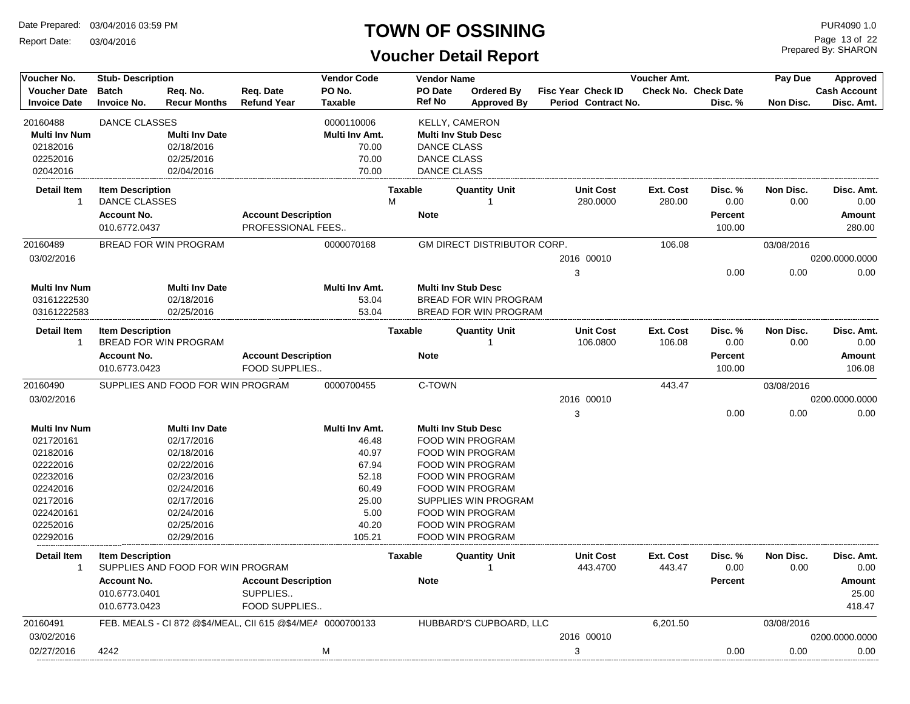Report Date: 03/04/2016

#### **TOWN OF OSSINING**

### **Voucher Detail Report**

Prepared By: SHARON Page 13 of 22

| Voucher No.                                              | <b>Vendor Code</b><br><b>Stub-Description</b><br><b>Vendor Name</b> |                                                   |                                                 |                                                |                     |                                                                                   |                                         | Voucher Amt. |                                           | Pay Due                    | Approved                        |                   |                                   |
|----------------------------------------------------------|---------------------------------------------------------------------|---------------------------------------------------|-------------------------------------------------|------------------------------------------------|---------------------|-----------------------------------------------------------------------------------|-----------------------------------------|--------------|-------------------------------------------|----------------------------|---------------------------------|-------------------|-----------------------------------|
| <b>Voucher Date</b><br><b>Invoice Date</b>               | <b>Batch</b><br>Req. No.<br><b>Invoice No.</b>                      | <b>Recur Months</b>                               | Req. Date<br><b>Refund Year</b>                 | PO No.<br><b>Taxable</b>                       |                     | <b>PO Date</b><br><b>Ref No</b>                                                   | <b>Ordered By</b><br><b>Approved By</b> |              | Fisc Year Check ID<br>Period Contract No. |                            | Check No. Check Date<br>Disc. % | <b>Non Disc.</b>  | <b>Cash Account</b><br>Disc. Amt. |
| 20160488<br><b>Multi Inv Num</b><br>02182016<br>02252016 | <b>DANCE CLASSES</b>                                                | <b>Multi Inv Date</b><br>02/18/2016<br>02/25/2016 |                                                 | 0000110006<br>Multi Inv Amt.<br>70.00<br>70.00 |                     | KELLY, CAMERON<br><b>Multi Inv Stub Desc</b><br><b>DANCE CLASS</b><br>DANCE CLASS |                                         |              |                                           |                            |                                 |                   |                                   |
| 02042016                                                 |                                                                     | 02/04/2016                                        |                                                 | 70.00                                          |                     | <b>DANCE CLASS</b>                                                                |                                         |              |                                           |                            |                                 |                   |                                   |
| <b>Detail Item</b><br>$\mathbf 1$                        | <b>Item Description</b><br><b>DANCE CLASSES</b>                     |                                                   |                                                 |                                                | <b>Taxable</b><br>М |                                                                                   | <b>Quantity Unit</b><br>1               |              | <b>Unit Cost</b><br>280.0000              | <b>Ext. Cost</b><br>280.00 | Disc. %<br>0.00                 | Non Disc.<br>0.00 | Disc. Amt.<br>0.00                |
|                                                          | <b>Account No.</b><br>010.6772.0437                                 |                                                   | <b>Account Description</b><br>PROFESSIONAL FEES |                                                |                     | <b>Note</b>                                                                       |                                         |              |                                           |                            | <b>Percent</b><br>100.00        |                   | Amount<br>280.00                  |
| 20160489                                                 | <b>BREAD FOR WIN PROGRAM</b>                                        |                                                   |                                                 | 0000070168                                     |                     |                                                                                   | GM DIRECT DISTRIBUTOR CORP.             |              |                                           | 106.08                     |                                 | 03/08/2016        |                                   |
| 03/02/2016                                               |                                                                     |                                                   |                                                 |                                                |                     |                                                                                   |                                         |              | 2016 00010                                |                            |                                 |                   | 0200.0000.0000                    |
|                                                          |                                                                     |                                                   |                                                 |                                                |                     |                                                                                   |                                         | 3            |                                           |                            | 0.00                            | 0.00              | 0.00                              |
| <b>Multi Inv Num</b>                                     |                                                                     | <b>Multi Inv Date</b>                             |                                                 | Multi Inv Amt.                                 |                     | <b>Multi Inv Stub Desc</b>                                                        |                                         |              |                                           |                            |                                 |                   |                                   |
| 03161222530                                              |                                                                     | 02/18/2016                                        |                                                 | 53.04                                          |                     |                                                                                   | <b>BREAD FOR WIN PROGRAM</b>            |              |                                           |                            |                                 |                   |                                   |
| 03161222583                                              |                                                                     | 02/25/2016                                        |                                                 | 53.04                                          |                     |                                                                                   | <b>BREAD FOR WIN PROGRAM</b>            |              |                                           |                            |                                 |                   |                                   |
| Detail Item<br>$\mathbf 1$                               | <b>Item Description</b><br><b>BREAD FOR WIN PROGRAM</b>             |                                                   |                                                 |                                                | <b>Taxable</b>      |                                                                                   | <b>Quantity Unit</b><br>-1              |              | <b>Unit Cost</b><br>106.0800              | Ext. Cost<br>106.08        | Disc. %<br>0.00                 | Non Disc.<br>0.00 | Disc. Amt.<br>0.00                |
|                                                          | <b>Account No.</b><br>010.6773.0423                                 |                                                   | <b>Account Description</b><br>FOOD SUPPLIES     |                                                |                     | <b>Note</b>                                                                       |                                         |              |                                           |                            | <b>Percent</b><br>100.00        |                   | Amount<br>106.08                  |
| 20160490                                                 | SUPPLIES AND FOOD FOR WIN PROGRAM                                   |                                                   |                                                 | 0000700455                                     |                     | C-TOWN                                                                            |                                         |              |                                           | 443.47                     |                                 | 03/08/2016        |                                   |
| 03/02/2016                                               |                                                                     |                                                   |                                                 |                                                |                     |                                                                                   |                                         |              | 2016 00010                                |                            |                                 |                   | 0200.0000.0000                    |
|                                                          |                                                                     |                                                   |                                                 |                                                |                     |                                                                                   |                                         | 3            |                                           |                            | 0.00                            | 0.00              | 0.00                              |
| <b>Multi Inv Num</b>                                     |                                                                     | <b>Multi Inv Date</b>                             |                                                 | Multi Inv Amt.                                 |                     | <b>Multi Inv Stub Desc</b>                                                        |                                         |              |                                           |                            |                                 |                   |                                   |
| 021720161                                                |                                                                     | 02/17/2016                                        |                                                 | 46.48                                          |                     |                                                                                   | <b>FOOD WIN PROGRAM</b>                 |              |                                           |                            |                                 |                   |                                   |
| 02182016                                                 |                                                                     | 02/18/2016                                        |                                                 | 40.97                                          |                     |                                                                                   | <b>FOOD WIN PROGRAM</b>                 |              |                                           |                            |                                 |                   |                                   |
| 02222016                                                 |                                                                     | 02/22/2016                                        |                                                 | 67.94                                          |                     |                                                                                   | <b>FOOD WIN PROGRAM</b>                 |              |                                           |                            |                                 |                   |                                   |
| 02232016                                                 |                                                                     | 02/23/2016                                        |                                                 | 52.18                                          |                     |                                                                                   | <b>FOOD WIN PROGRAM</b>                 |              |                                           |                            |                                 |                   |                                   |
| 02242016                                                 |                                                                     | 02/24/2016                                        |                                                 | 60.49                                          |                     |                                                                                   | <b>FOOD WIN PROGRAM</b>                 |              |                                           |                            |                                 |                   |                                   |
| 02172016                                                 |                                                                     | 02/17/2016                                        |                                                 | 25.00                                          |                     |                                                                                   | SUPPLIES WIN PROGRAM                    |              |                                           |                            |                                 |                   |                                   |
| 022420161                                                |                                                                     | 02/24/2016                                        |                                                 | 5.00                                           |                     |                                                                                   | <b>FOOD WIN PROGRAM</b>                 |              |                                           |                            |                                 |                   |                                   |
| 02252016                                                 |                                                                     | 02/25/2016                                        |                                                 | 40.20                                          |                     |                                                                                   | <b>FOOD WIN PROGRAM</b>                 |              |                                           |                            |                                 |                   |                                   |
| 02292016                                                 |                                                                     | 02/29/2016                                        |                                                 | 105.21                                         |                     |                                                                                   | <b>FOOD WIN PROGRAM</b>                 |              |                                           |                            |                                 |                   |                                   |
| <b>Detail Item</b><br>$\mathbf 1$                        | <b>Item Description</b><br>SUPPLIES AND FOOD FOR WIN PROGRAM        |                                                   |                                                 |                                                | <b>Taxable</b>      |                                                                                   | <b>Quantity Unit</b>                    |              | <b>Unit Cost</b><br>443.4700              | <b>Ext. Cost</b><br>443.47 | Disc. %<br>0.00                 | Non Disc.<br>0.00 | Disc. Amt.<br>0.00                |
|                                                          | <b>Account No.</b>                                                  |                                                   | <b>Account Description</b>                      |                                                |                     | <b>Note</b>                                                                       |                                         |              |                                           |                            | <b>Percent</b>                  |                   | <b>Amount</b>                     |
|                                                          | 010.6773.0401<br>010.6773.0423                                      |                                                   | SUPPLIES<br>FOOD SUPPLIES                       |                                                |                     |                                                                                   |                                         |              |                                           |                            |                                 |                   | 25.00<br>418.47                   |
| 20160491                                                 | FEB. MEALS - CI 872 @ \$4/MEAL. CII 615 @ \$4/MEA 0000700133        |                                                   |                                                 |                                                |                     |                                                                                   | HUBBARD'S CUPBOARD, LLC                 |              |                                           | 6,201.50                   |                                 | 03/08/2016        |                                   |
| 03/02/2016                                               |                                                                     |                                                   |                                                 |                                                |                     |                                                                                   |                                         |              | 2016 00010                                |                            |                                 |                   | 0200.0000.0000                    |
| 02/27/2016                                               | 4242                                                                |                                                   |                                                 | M                                              |                     |                                                                                   |                                         | 3            |                                           |                            | 0.00                            | 0.00              | 0.00                              |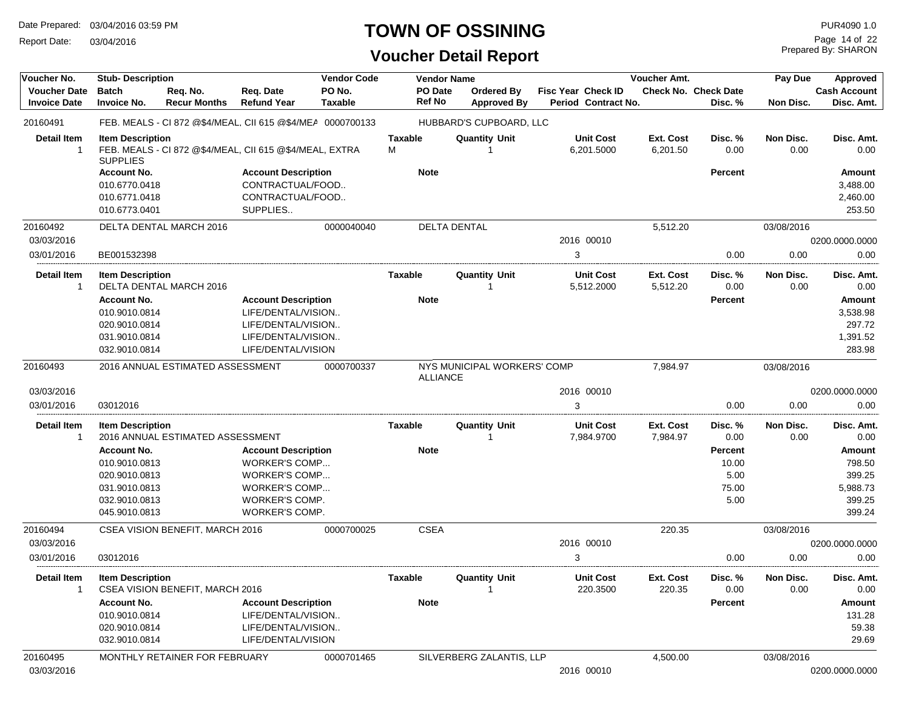Report Date: 03/04/2016

### **TOWN OF OSSINING**

### **Voucher Detail Report**

Prepared By: SHARON Page 14 of 22

| Voucher No.                                | <b>Stub-Description</b>                                                                |                                        |                                                                                                                    | <b>Vendor Code</b>       |                | <b>Vendor Name</b>       |                                  |                                                  | Voucher Amt.          |                                        | Pay Due           | Approved                                                  |
|--------------------------------------------|----------------------------------------------------------------------------------------|----------------------------------------|--------------------------------------------------------------------------------------------------------------------|--------------------------|----------------|--------------------------|----------------------------------|--------------------------------------------------|-----------------------|----------------------------------------|-------------------|-----------------------------------------------------------|
| <b>Voucher Date</b><br><b>Invoice Date</b> | <b>Batch</b><br><b>Invoice No.</b>                                                     | Req. No.<br><b>Recur Months</b>        | Req. Date<br><b>Refund Year</b>                                                                                    | PO No.<br><b>Taxable</b> |                | PO Date<br><b>Ref No</b> | Ordered By<br><b>Approved By</b> | <b>Fisc Year Check ID</b><br>Period Contract No. |                       | <b>Check No. Check Date</b><br>Disc. % | Non Disc.         | <b>Cash Account</b><br>Disc. Amt.                         |
| 20160491                                   |                                                                                        |                                        | FEB. MEALS - CI 872 @\$4/MEAL, CII 615 @\$4/MEA   0000700133                                                       |                          |                |                          | HUBBARD'S CUPBOARD, LLC          |                                                  |                       |                                        |                   |                                                           |
| <b>Detail Item</b><br>$\mathbf{1}$         | <b>Item Description</b><br><b>SUPPLIES</b>                                             |                                        | FEB. MEALS - CI 872 @\$4/MEAL, CII 615 @\$4/MEAL, EXTRA                                                            |                          | Taxable<br>М   |                          | <b>Quantity Unit</b>             | <b>Unit Cost</b><br>6,201.5000                   | Ext. Cost<br>6,201.50 | Disc. %<br>0.00                        | Non Disc.<br>0.00 | Disc. Amt.<br>0.00                                        |
|                                            | <b>Account No.</b><br>010.6770.0418<br>010.6771.0418<br>010.6773.0401                  |                                        | <b>Account Description</b><br>CONTRACTUAL/FOOD<br>CONTRACTUAL/FOOD<br>SUPPLIES                                     |                          |                | <b>Note</b>              |                                  |                                                  |                       | <b>Percent</b>                         |                   | <b>Amount</b><br>3,488.00<br>2,460.00<br>253.50           |
| 20160492<br>03/03/2016                     |                                                                                        | DELTA DENTAL MARCH 2016                |                                                                                                                    | 0000040040               |                | <b>DELTA DENTAL</b>      |                                  | 2016 00010                                       | 5,512.20              |                                        | 03/08/2016        | 0200.0000.0000                                            |
| 03/01/2016                                 | BE001532398                                                                            |                                        |                                                                                                                    |                          |                |                          |                                  | 3                                                |                       | 0.00                                   | 0.00              | 0.00                                                      |
| <b>Detail Item</b><br>-1                   | <b>Item Description</b>                                                                | DELTA DENTAL MARCH 2016                |                                                                                                                    |                          | <b>Taxable</b> |                          | <b>Quantity Unit</b>             | <b>Unit Cost</b><br>5,512.2000                   | Ext. Cost<br>5,512.20 | Disc. %<br>0.00                        | Non Disc.<br>0.00 | Disc. Amt.<br>0.00                                        |
|                                            | <b>Account No.</b><br>010.9010.0814<br>020.9010.0814<br>031.9010.0814<br>032.9010.0814 |                                        | <b>Account Description</b><br>LIFE/DENTAL/VISION<br>LIFE/DENTAL/VISION<br>LIFE/DENTAL/VISION<br>LIFE/DENTAL/VISION |                          |                | <b>Note</b>              |                                  |                                                  |                       | <b>Percent</b>                         |                   | <b>Amount</b><br>3,538.98<br>297.72<br>1,391.52<br>283.98 |
| 20160493                                   | 2016 ANNUAL ESTIMATED ASSESSMENT                                                       |                                        |                                                                                                                    | 0000700337               |                | <b>ALLIANCE</b>          | NYS MUNICIPAL WORKERS' COMP      |                                                  | 7,984.97              |                                        | 03/08/2016        |                                                           |
| 03/03/2016                                 |                                                                                        |                                        |                                                                                                                    |                          |                |                          |                                  | 2016 00010                                       |                       |                                        |                   | 0200.0000.0000                                            |
| 03/01/2016                                 | 03012016                                                                               |                                        |                                                                                                                    |                          |                |                          |                                  | 3                                                |                       | 0.00                                   | 0.00              | 0.00                                                      |
| <b>Detail Item</b><br>-1                   | <b>Item Description</b>                                                                | 2016 ANNUAL ESTIMATED ASSESSMENT       |                                                                                                                    |                          | <b>Taxable</b> |                          | <b>Quantity Unit</b><br>1        | <b>Unit Cost</b><br>7,984.9700                   | Ext. Cost<br>7,984.97 | Disc. %<br>0.00                        | Non Disc.<br>0.00 | Disc. Amt.<br>0.00                                        |
|                                            | <b>Account No.</b>                                                                     |                                        | <b>Account Description</b>                                                                                         |                          |                | <b>Note</b>              |                                  |                                                  |                       | <b>Percent</b>                         |                   | Amount                                                    |
|                                            | 010.9010.0813                                                                          |                                        | <b>WORKER'S COMP</b>                                                                                               |                          |                |                          |                                  |                                                  |                       | 10.00                                  |                   | 798.50                                                    |
|                                            | 020.9010.0813                                                                          |                                        | <b>WORKER'S COMP</b>                                                                                               |                          |                |                          |                                  |                                                  |                       | 5.00                                   |                   | 399.25                                                    |
|                                            | 031.9010.0813                                                                          |                                        | <b>WORKER'S COMP</b>                                                                                               |                          |                |                          |                                  |                                                  |                       | 75.00                                  |                   | 5,988.73                                                  |
|                                            | 032.9010.0813                                                                          |                                        | WORKER'S COMP.                                                                                                     |                          |                |                          |                                  |                                                  |                       | 5.00                                   |                   | 399.25                                                    |
|                                            | 045.9010.0813                                                                          |                                        | WORKER'S COMP.                                                                                                     |                          |                |                          |                                  |                                                  |                       |                                        |                   | 399.24                                                    |
| 20160494                                   |                                                                                        | <b>CSEA VISION BENEFIT, MARCH 2016</b> |                                                                                                                    | 0000700025               |                | <b>CSEA</b>              |                                  |                                                  | 220.35                |                                        | 03/08/2016        |                                                           |
| 03/03/2016                                 |                                                                                        |                                        |                                                                                                                    |                          |                |                          |                                  | 2016 00010                                       |                       |                                        |                   | 0200.0000.0000                                            |
| 03/01/2016                                 | 03012016                                                                               |                                        |                                                                                                                    |                          |                |                          |                                  | 3                                                |                       | 0.00                                   | 0.00              | 0.00                                                      |
| Detail Item                                | <b>Item Description</b>                                                                | CSEA VISION BENEFIT, MARCH 2016        |                                                                                                                    |                          | Taxable        |                          | <b>Quantity Unit</b>             | <b>Unit Cost</b><br>220.3500                     | Ext. Cost<br>220.35   | Disc. %<br>0.00                        | Non Disc.<br>0.00 | Disc. Amt.<br>0.00                                        |
|                                            | <b>Account No.</b><br>010.9010.0814<br>020.9010.0814<br>032.9010.0814                  |                                        | <b>Account Description</b><br>LIFE/DENTAL/VISION<br>LIFE/DENTAL/VISION<br>LIFE/DENTAL/VISION                       |                          |                | <b>Note</b>              |                                  |                                                  |                       | Percent                                |                   | Amount<br>131.28<br>59.38<br>29.69                        |
| 20160495                                   |                                                                                        | MONTHLY RETAINER FOR FEBRUARY          |                                                                                                                    | 0000701465               |                |                          | SILVERBERG ZALANTIS, LLP         |                                                  | 4,500.00              |                                        | 03/08/2016        |                                                           |
| 03/03/2016                                 |                                                                                        |                                        |                                                                                                                    |                          |                |                          |                                  | 2016 00010                                       |                       |                                        |                   | 0200.0000.0000                                            |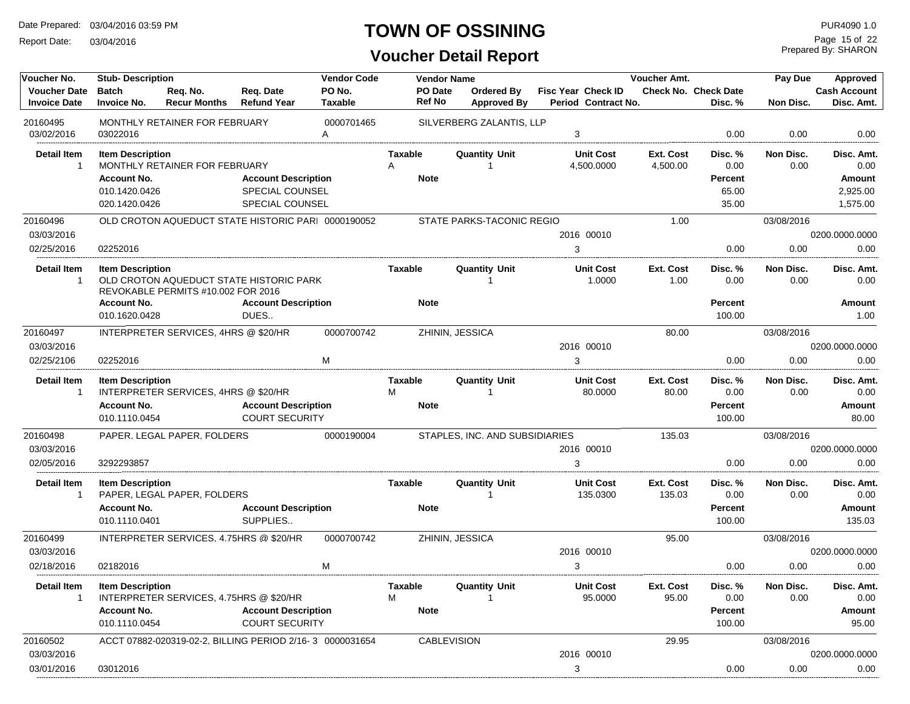Report Date: 03/04/2016

### **TOWN OF OSSINING**

Prepared By: SHARON Page 15 of 22

| Voucher No.                                | <b>Stub-Description</b>             |                                         |                                                          | <b>Vendor Code</b>       |                     | <b>Vendor Name</b>                   |                                                  | Voucher Amt.          |                                        | Pay Due           | Approved                          |
|--------------------------------------------|-------------------------------------|-----------------------------------------|----------------------------------------------------------|--------------------------|---------------------|--------------------------------------|--------------------------------------------------|-----------------------|----------------------------------------|-------------------|-----------------------------------|
| <b>Voucher Date</b><br><b>Invoice Date</b> | <b>Batch</b><br><b>Invoice No.</b>  | Reg. No.<br><b>Recur Months</b>         | Reg. Date<br><b>Refund Year</b>                          | PO No.<br><b>Taxable</b> | PO Date<br>Ref No   | Ordered By<br><b>Approved By</b>     | <b>Fisc Year Check ID</b><br>Period Contract No. |                       | <b>Check No. Check Date</b><br>Disc. % | Non Disc.         | <b>Cash Account</b><br>Disc. Amt. |
| 20160495<br>03/02/2016                     | 03022016                            | MONTHLY RETAINER FOR FEBRUARY           |                                                          | 0000701465<br>A          |                     | SILVERBERG ZALANTIS, LLP             |                                                  |                       | 0.00                                   | 0.00              | 0.00                              |
|                                            |                                     |                                         |                                                          |                          |                     |                                      | 3                                                |                       |                                        |                   |                                   |
| <b>Detail Item</b><br>$\overline{1}$       | <b>Item Description</b>             | MONTHLY RETAINER FOR FEBRUARY           |                                                          |                          | Taxable<br>A        | <b>Quantity Unit</b>                 | <b>Unit Cost</b><br>4,500.0000                   | Ext. Cost<br>4,500.00 | Disc. %<br>0.00                        | Non Disc.<br>0.00 | Disc. Amt.<br>0.00                |
|                                            | <b>Account No.</b>                  |                                         | <b>Account Description</b>                               |                          | <b>Note</b>         |                                      |                                                  |                       | Percent                                |                   | Amount                            |
|                                            | 010.1420.0426                       |                                         | SPECIAL COUNSEL                                          |                          |                     |                                      |                                                  |                       | 65.00                                  |                   | 2,925.00                          |
|                                            | 020.1420.0426                       |                                         | SPECIAL COUNSEL                                          |                          |                     |                                      |                                                  |                       | 35.00                                  |                   | 1,575.00                          |
| 20160496                                   |                                     |                                         | OLD CROTON AQUEDUCT STATE HISTORIC PARI 0000190052       |                          |                     | STATE PARKS-TACONIC REGIO            |                                                  | 1.00                  |                                        | 03/08/2016        |                                   |
| 03/03/2016<br>02/25/2016                   | 02252016                            |                                         |                                                          |                          |                     |                                      | 2016 00010<br>3                                  |                       | 0.00                                   | 0.00              | 0200.0000.0000<br>0.00            |
|                                            |                                     |                                         |                                                          |                          |                     |                                      |                                                  |                       |                                        |                   |                                   |
| <b>Detail Item</b><br>$\overline{1}$       | <b>Item Description</b>             | REVOKABLE PERMITS #10.002 FOR 2016      | OLD CROTON AQUEDUCT STATE HISTORIC PARK                  |                          | Taxable             | <b>Quantity Unit</b><br>1            | <b>Unit Cost</b><br>1.0000                       | Ext. Cost<br>1.00     | Disc. %<br>0.00                        | Non Disc.<br>0.00 | Disc. Amt.<br>0.00                |
|                                            | <b>Account No.</b>                  |                                         | <b>Account Description</b>                               |                          | <b>Note</b>         |                                      |                                                  |                       | Percent                                |                   | Amount                            |
|                                            | 010.1620.0428                       |                                         | DUES                                                     |                          |                     |                                      |                                                  |                       | 100.00                                 |                   | 1.00                              |
| 20160497                                   |                                     | INTERPRETER SERVICES, 4HRS @ \$20/HR    |                                                          | 0000700742               |                     | ZHININ, JESSICA                      |                                                  | 80.00                 |                                        | 03/08/2016        |                                   |
| 03/03/2016                                 |                                     |                                         |                                                          |                          |                     |                                      | 2016 00010                                       |                       |                                        |                   | 0200.0000.0000                    |
| 02/25/2106                                 | 02252016                            |                                         |                                                          | м                        |                     |                                      | 3                                                |                       | 0.00                                   | 0.00              | 0.00                              |
| <b>Detail Item</b><br>$\overline{1}$       | <b>Item Description</b>             | INTERPRETER SERVICES, 4HRS @ \$20/HR    |                                                          |                          | <b>Taxable</b><br>M | <b>Quantity Unit</b><br>-1           | <b>Unit Cost</b><br>80.0000                      | Ext. Cost<br>80.00    | Disc. %<br>0.00                        | Non Disc.<br>0.00 | Disc. Amt.<br>0.00                |
|                                            | <b>Account No.</b><br>010.1110.0454 |                                         | <b>Account Description</b><br><b>COURT SECURITY</b>      |                          | <b>Note</b>         |                                      |                                                  |                       | Percent<br>100.00                      |                   | Amount<br>80.00                   |
| 20160498                                   |                                     | PAPER, LEGAL PAPER, FOLDERS             |                                                          | 0000190004               |                     | STAPLES, INC. AND SUBSIDIARIES       |                                                  | 135.03                |                                        | 03/08/2016        |                                   |
| 03/03/2016                                 |                                     |                                         |                                                          |                          |                     |                                      | 2016 00010                                       |                       |                                        |                   | 0200.0000.0000                    |
| 02/05/2016                                 | 3292293857                          |                                         |                                                          |                          |                     |                                      | 3                                                |                       | 0.00                                   | 0.00              | 0.00                              |
| <b>Detail Item</b><br>$\overline{1}$       | <b>Item Description</b>             | PAPER, LEGAL PAPER, FOLDERS             |                                                          |                          | Taxable             | <b>Quantity Unit</b>                 | <b>Unit Cost</b><br>135.0300                     | Ext. Cost<br>135.03   | Disc. %<br>0.00                        | Non Disc.<br>0.00 | Disc. Amt.<br>0.00                |
|                                            | <b>Account No.</b><br>010.1110.0401 |                                         | <b>Account Description</b><br>SUPPLIES                   |                          | <b>Note</b>         |                                      |                                                  |                       | Percent<br>100.00                      |                   | Amount<br>135.03                  |
| 20160499                                   |                                     | INTERPRETER SERVICES, 4.75HRS @ \$20/HR |                                                          | 0000700742               |                     | ZHININ, JESSICA                      |                                                  | 95.00                 |                                        | 03/08/2016        |                                   |
| 03/03/2016                                 |                                     |                                         |                                                          |                          |                     |                                      | 2016 00010                                       |                       |                                        |                   | 0200.0000.0000                    |
| 02/18/2016                                 | 02182016                            |                                         |                                                          | M                        |                     |                                      | 3                                                |                       | 0.00                                   | 0.00              | 0.00                              |
| <b>Detail Item</b><br>$\overline{1}$       | <b>Item Description</b>             | INTERPRETER SERVICES, 4.75HRS @ \$20/HR |                                                          |                          | Taxable<br>M        | <b>Quantity Unit</b><br>$\mathbf{1}$ | <b>Unit Cost</b><br>95.0000                      | Ext. Cost<br>95.00    | Disc. %<br>0.00                        | Non Disc.<br>0.00 | Disc. Amt.<br>0.00                |
|                                            | <b>Account No.</b>                  |                                         | <b>Account Description</b>                               |                          | <b>Note</b>         |                                      |                                                  |                       | <b>Percent</b>                         |                   | Amount                            |
|                                            | 010.1110.0454                       |                                         | <b>COURT SECURITY</b>                                    |                          |                     |                                      |                                                  |                       | 100.00                                 |                   | 95.00                             |
| 20160502                                   |                                     |                                         | ACCT 07882-020319-02-2. BILLING PERIOD 2/16-3 0000031654 |                          |                     | <b>CABLEVISION</b>                   |                                                  | 29.95                 |                                        | 03/08/2016        |                                   |
| 03/03/2016                                 |                                     |                                         |                                                          |                          |                     |                                      | 2016 00010                                       |                       |                                        |                   | 0200.0000.0000                    |
| 03/01/2016                                 | 03012016                            |                                         |                                                          |                          |                     |                                      | 3                                                |                       | 0.00                                   | 0.00              | 0.00                              |
|                                            |                                     |                                         |                                                          |                          |                     |                                      |                                                  |                       |                                        |                   |                                   |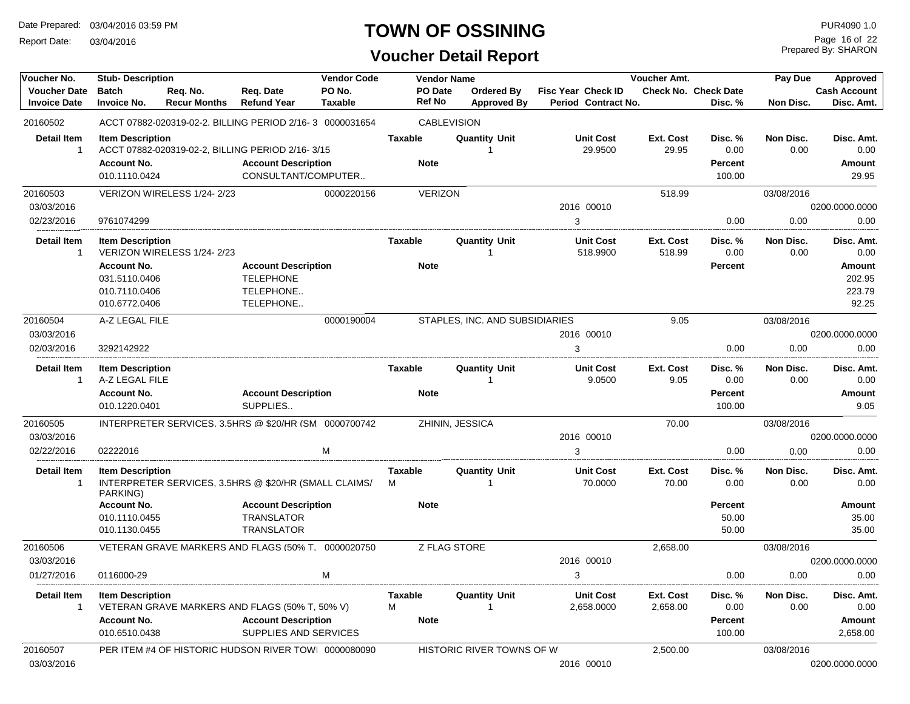Report Date: 03/04/2016

### **TOWN OF OSSINING**

### **Voucher Detail Report**

Prepared By: SHARON Page 16 of 22

| Voucher No.                                | <b>Stub-Description</b>            |                                 |                                                          | <b>Vendor Code</b> |                | <b>Vendor Name</b>       |                                  |                                                  | Voucher Amt.        |                                        | Pay Due           | Approved                          |
|--------------------------------------------|------------------------------------|---------------------------------|----------------------------------------------------------|--------------------|----------------|--------------------------|----------------------------------|--------------------------------------------------|---------------------|----------------------------------------|-------------------|-----------------------------------|
| <b>Voucher Date</b><br><b>Invoice Date</b> | <b>Batch</b><br><b>Invoice No.</b> | Req. No.<br><b>Recur Months</b> | Req. Date<br><b>Refund Year</b>                          | PO No.<br>Taxable  |                | PO Date<br><b>Ref No</b> | Ordered By<br><b>Approved By</b> | <b>Fisc Year Check ID</b><br>Period Contract No. |                     | <b>Check No. Check Date</b><br>Disc. % | Non Disc.         | <b>Cash Account</b><br>Disc. Amt. |
| 20160502                                   |                                    |                                 | ACCT 07882-020319-02-2, BILLING PERIOD 2/16-3 0000031654 |                    |                | <b>CABLEVISION</b>       |                                  |                                                  |                     |                                        |                   |                                   |
| <b>Detail Item</b>                         | <b>Item Description</b>            |                                 |                                                          |                    | <b>Taxable</b> |                          | <b>Quantity Unit</b>             | <b>Unit Cost</b>                                 | Ext. Cost           | Disc. %                                | Non Disc.         | Disc. Amt.                        |
| $\mathbf 1$                                |                                    |                                 | ACCT 07882-020319-02-2, BILLING PERIOD 2/16-3/15         |                    |                |                          |                                  | 29.9500                                          | 29.95               | 0.00                                   | 0.00              | 0.00                              |
|                                            | <b>Account No.</b>                 |                                 | <b>Account Description</b>                               |                    |                | <b>Note</b>              |                                  |                                                  |                     | <b>Percent</b>                         |                   | Amount                            |
|                                            | 010.1110.0424                      |                                 | CONSULTANT/COMPUTER                                      |                    |                |                          |                                  |                                                  |                     | 100.00                                 |                   | 29.95                             |
| 20160503                                   |                                    | VERIZON WIRELESS 1/24-2/23      |                                                          | 0000220156         |                | <b>VERIZON</b>           |                                  |                                                  | 518.99              |                                        | 03/08/2016        |                                   |
| 03/03/2016                                 |                                    |                                 |                                                          |                    |                |                          |                                  | 2016 00010                                       |                     |                                        |                   | 0200.0000.0000                    |
| 02/23/2016                                 | 9761074299                         |                                 |                                                          |                    |                |                          |                                  | 3                                                |                     | 0.00                                   | 0.00              | 0.00                              |
| <b>Detail Item</b><br>-1                   | <b>Item Description</b>            | VERIZON WIRELESS 1/24-2/23      |                                                          |                    | Taxable        |                          | <b>Quantity Unit</b>             | <b>Unit Cost</b><br>518.9900                     | Ext. Cost<br>518.99 | Disc. %<br>0.00                        | Non Disc.<br>0.00 | Disc. Amt.<br>0.00                |
|                                            | <b>Account No.</b>                 |                                 | <b>Account Description</b>                               |                    |                | <b>Note</b>              |                                  |                                                  |                     | <b>Percent</b>                         |                   | Amount                            |
|                                            | 031.5110.0406                      |                                 | <b>TELEPHONE</b>                                         |                    |                |                          |                                  |                                                  |                     |                                        |                   | 202.95                            |
|                                            | 010.7110.0406                      |                                 | TELEPHONE                                                |                    |                |                          |                                  |                                                  |                     |                                        |                   | 223.79                            |
|                                            | 010.6772.0406                      |                                 | TELEPHONE                                                |                    |                |                          |                                  |                                                  |                     |                                        |                   | 92.25                             |
| 20160504                                   | A-Z LEGAL FILE                     |                                 |                                                          | 0000190004         |                |                          | STAPLES, INC. AND SUBSIDIARIES   |                                                  | 9.05                |                                        | 03/08/2016        |                                   |
| 03/03/2016                                 |                                    |                                 |                                                          |                    |                |                          |                                  | 2016 00010                                       |                     |                                        |                   | 0200.0000.0000                    |
| 02/03/2016                                 | 3292142922                         |                                 |                                                          |                    |                |                          |                                  | 3                                                |                     | 0.00                                   | 0.00              | 0.00                              |
| Detail Item                                | <b>Item Description</b>            |                                 |                                                          |                    | Taxable        |                          | <b>Quantity Unit</b>             | <b>Unit Cost</b>                                 | Ext. Cost           | Disc. %                                | Non Disc.         | Disc. Amt.                        |
| $\mathbf{1}$                               | A-Z LEGAL FILE                     |                                 |                                                          |                    |                |                          |                                  | 9.0500                                           | 9.05                | 0.00                                   | 0.00              | 0.00                              |
|                                            | <b>Account No.</b>                 |                                 | <b>Account Description</b>                               |                    |                | <b>Note</b>              |                                  |                                                  |                     | <b>Percent</b>                         |                   | Amount                            |
|                                            | 010.1220.0401                      |                                 | SUPPLIES                                                 |                    |                |                          |                                  |                                                  |                     | 100.00                                 |                   | 9.05                              |
| 20160505                                   |                                    |                                 | INTERPRETER SERVICES, 3.5HRS @ \$20/HR (SM 0000700742    |                    |                | ZHININ, JESSICA          |                                  |                                                  | 70.00               |                                        | 03/08/2016        |                                   |
| 03/03/2016                                 |                                    |                                 |                                                          |                    |                |                          |                                  | 2016 00010                                       |                     |                                        |                   | 0200.0000.0000                    |
| 02/22/2016                                 | 02222016                           |                                 |                                                          | M                  |                |                          |                                  | 3                                                |                     | 0.00                                   | 0.00              | 0.00                              |
| <b>Detail Item</b>                         | <b>Item Description</b>            |                                 |                                                          |                    | Taxable        |                          | <b>Quantity Unit</b>             | <b>Unit Cost</b>                                 | Ext. Cost           | Disc. %                                | Non Disc.         | Disc. Amt.                        |
| $\mathbf 1$                                | PARKING)                           |                                 | INTERPRETER SERVICES, 3.5HRS @ \$20/HR (SMALL CLAIMS/    |                    | М              |                          |                                  | 70.0000                                          | 70.00               | 0.00                                   | 0.00              | 0.00                              |
|                                            | <b>Account No.</b>                 |                                 | <b>Account Description</b>                               |                    |                | <b>Note</b>              |                                  |                                                  |                     | <b>Percent</b>                         |                   | Amount                            |
|                                            | 010.1110.0455                      |                                 | <b>TRANSLATOR</b>                                        |                    |                |                          |                                  |                                                  |                     | 50.00                                  |                   | 35.00                             |
|                                            | 010.1130.0455                      |                                 | <b>TRANSLATOR</b>                                        |                    |                |                          |                                  |                                                  |                     | 50.00                                  |                   | 35.00                             |
| 20160506                                   |                                    |                                 | VETERAN GRAVE MARKERS AND FLAGS (50% T. 0000020750       |                    |                | <b>Z FLAG STORE</b>      |                                  |                                                  | 2,658.00            |                                        | 03/08/2016        |                                   |
| 03/03/2016                                 |                                    |                                 |                                                          |                    |                |                          |                                  | 2016 00010                                       |                     |                                        |                   | 0200.0000.0000                    |
| 01/27/2016                                 | 0116000-29                         |                                 |                                                          | M                  |                |                          |                                  | 3                                                |                     | 0.00                                   | 0.00              | 0.00                              |
| <b>Detail Item</b>                         | <b>Item Description</b>            |                                 |                                                          |                    | <b>Taxable</b> |                          | <b>Quantity Unit</b>             | <b>Unit Cost</b>                                 | Ext. Cost           | Disc. %                                | Non Disc.         | Disc. Amt.                        |
| -1                                         |                                    |                                 | VETERAN GRAVE MARKERS AND FLAGS (50% T, 50% V)           |                    | м              |                          |                                  | 2,658.0000                                       | 2,658.00            | 0.00                                   | 0.00              | 0.00                              |
|                                            | <b>Account No.</b>                 |                                 | <b>Account Description</b>                               |                    |                | <b>Note</b>              |                                  |                                                  |                     | <b>Percent</b>                         |                   | Amount                            |
|                                            | 010.6510.0438                      |                                 | SUPPLIES AND SERVICES                                    |                    |                |                          |                                  |                                                  |                     | 100.00                                 |                   | 2,658.00                          |
| 20160507                                   |                                    |                                 | PER ITEM #4 OF HISTORIC HUDSON RIVER TOWI 0000080090     |                    |                |                          | HISTORIC RIVER TOWNS OF W        |                                                  | 2,500.00            |                                        | 03/08/2016        |                                   |
| 03/03/2016                                 |                                    |                                 |                                                          |                    |                |                          |                                  | 2016 00010                                       |                     |                                        |                   | 0200.0000.0000                    |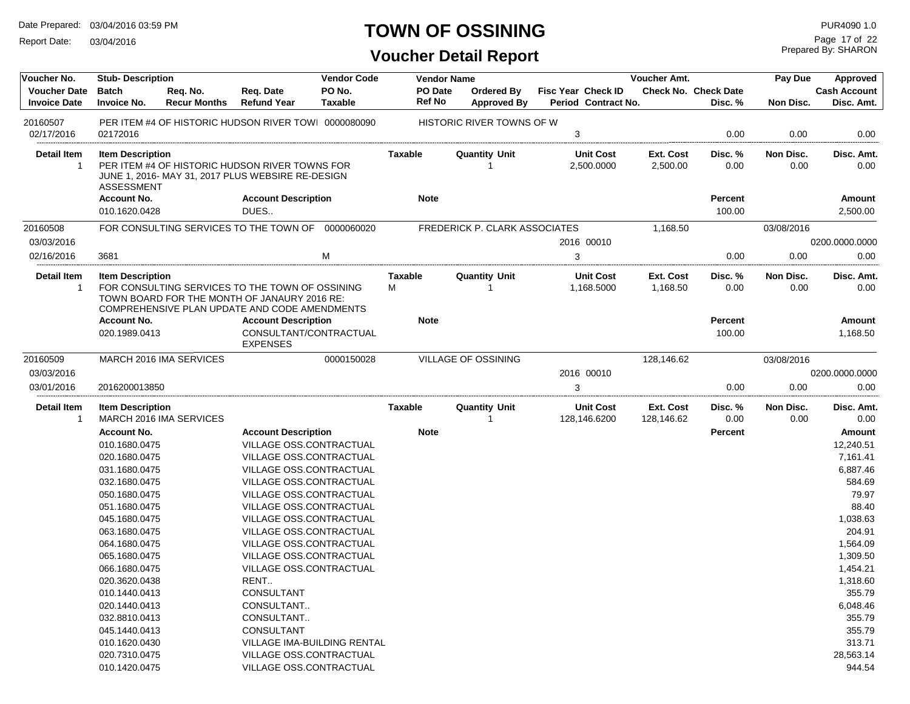Report Date: 03/04/2016

### **TOWN OF OSSINING**

Prepared By: SHARON Page 17 of 22

| Voucher No.                                | <b>Stub-Description</b>                      |                                 |                                                                                                                                                  | <b>Vendor Code</b>       | <b>Vendor Name</b> |                                         |                                                  | Voucher Amt.            |                                        | Pay Due           | Approved                          |
|--------------------------------------------|----------------------------------------------|---------------------------------|--------------------------------------------------------------------------------------------------------------------------------------------------|--------------------------|--------------------|-----------------------------------------|--------------------------------------------------|-------------------------|----------------------------------------|-------------------|-----------------------------------|
| <b>Voucher Date</b><br><b>Invoice Date</b> | <b>Batch</b><br><b>Invoice No.</b>           | Req. No.<br><b>Recur Months</b> | Req. Date<br><b>Refund Year</b>                                                                                                                  | PO No.<br><b>Taxable</b> | PO Date<br>Ref No  | <b>Ordered By</b><br><b>Approved By</b> | <b>Fisc Year Check ID</b><br>Period Contract No. |                         | <b>Check No. Check Date</b><br>Disc. % | Non Disc.         | <b>Cash Account</b><br>Disc. Amt. |
| 20160507                                   |                                              |                                 | PER ITEM #4 OF HISTORIC HUDSON RIVER TOWI 0000080090                                                                                             |                          |                    | HISTORIC RIVER TOWNS OF W               |                                                  |                         |                                        |                   |                                   |
| 02/17/2016                                 | 02172016                                     |                                 |                                                                                                                                                  |                          |                    |                                         | 3                                                |                         | 0.00                                   | 0.00              | 0.00                              |
| <b>Detail Item</b><br>1                    | <b>Item Description</b><br><b>ASSESSMENT</b> |                                 | PER ITEM #4 OF HISTORIC HUDSON RIVER TOWNS FOR<br>JUNE 1, 2016- MAY 31, 2017 PLUS WEBSIRE RE-DESIGN                                              |                          | Taxable            | Quantity Unit                           | <b>Unit Cost</b><br>2,500.0000                   | Ext. Cost<br>2,500.00   | Disc. %<br>0.00                        | Non Disc.<br>0.00 | Disc. Amt.<br>0.00                |
|                                            | <b>Account No.</b><br>010.1620.0428          |                                 | <b>Account Description</b><br>DUES                                                                                                               |                          | <b>Note</b>        |                                         |                                                  |                         | <b>Percent</b><br>100.00               |                   | Amount<br>2,500.00                |
| 20160508                                   |                                              |                                 | FOR CONSULTING SERVICES TO THE TOWN OF 0000060020                                                                                                |                          |                    | FREDERICK P. CLARK ASSOCIATES           |                                                  | 1,168.50                |                                        | 03/08/2016        |                                   |
| 03/03/2016                                 |                                              |                                 |                                                                                                                                                  |                          |                    |                                         | 2016 00010                                       |                         |                                        |                   | 0200.0000.0000                    |
| 02/16/2016                                 | 3681                                         |                                 |                                                                                                                                                  | M                        |                    |                                         | 3                                                |                         | 0.00                                   | 0.00              | 0.00                              |
| Detail Item<br>$\mathbf{1}$                | <b>Item Description</b>                      |                                 | FOR CONSULTING SERVICES TO THE TOWN OF OSSINING<br>TOWN BOARD FOR THE MONTH OF JANAURY 2016 RE:<br>COMPREHENSIVE PLAN UPDATE AND CODE AMENDMENTS |                          | Taxable<br>М       | <b>Quantity Unit</b><br>-1              | <b>Unit Cost</b><br>1,168.5000                   | Ext. Cost<br>1,168.50   | Disc. %<br>0.00                        | Non Disc.<br>0.00 | Disc. Amt.<br>0.00                |
|                                            | <b>Account No.</b><br>020.1989.0413          |                                 | <b>Account Description</b><br>CONSULTANT/CONTRACTUAL<br><b>EXPENSES</b>                                                                          |                          | <b>Note</b>        |                                         |                                                  |                         | <b>Percent</b><br>100.00               |                   | Amount<br>1,168.50                |
| 20160509                                   |                                              | MARCH 2016 IMA SERVICES         |                                                                                                                                                  | 0000150028               |                    | VILLAGE OF OSSINING                     |                                                  | 128,146.62              |                                        | 03/08/2016        |                                   |
| 03/03/2016<br>03/01/2016                   |                                              |                                 |                                                                                                                                                  |                          |                    |                                         | 2016 00010<br>3                                  |                         |                                        |                   | 0200.0000.0000                    |
|                                            | 2016200013850                                |                                 |                                                                                                                                                  |                          |                    |                                         |                                                  |                         | 0.00                                   | 0.00              | 0.00                              |
| <b>Detail Item</b><br>$\mathbf{1}$         | <b>Item Description</b>                      | MARCH 2016 IMA SERVICES         |                                                                                                                                                  |                          | Taxable            | <b>Quantity Unit</b><br>-1              | <b>Unit Cost</b><br>128,146.6200                 | Ext. Cost<br>128,146.62 | Disc. %<br>0.00                        | Non Disc.<br>0.00 | Disc. Amt.<br>0.00                |
|                                            | <b>Account No.</b>                           |                                 | <b>Account Description</b>                                                                                                                       |                          | <b>Note</b>        |                                         |                                                  |                         | <b>Percent</b>                         |                   | Amount                            |
|                                            | 010.1680.0475                                |                                 | VILLAGE OSS.CONTRACTUAL                                                                                                                          |                          |                    |                                         |                                                  |                         |                                        |                   | 12,240.51                         |
|                                            | 020.1680.0475                                |                                 | VILLAGE OSS.CONTRACTUAL                                                                                                                          |                          |                    |                                         |                                                  |                         |                                        |                   | 7,161.41                          |
|                                            | 031.1680.0475                                |                                 | VILLAGE OSS.CONTRACTUAL                                                                                                                          |                          |                    |                                         |                                                  |                         |                                        |                   | 6,887.46                          |
|                                            | 032.1680.0475                                |                                 | VILLAGE OSS.CONTRACTUAL                                                                                                                          |                          |                    |                                         |                                                  |                         |                                        |                   | 584.69                            |
|                                            | 050.1680.0475                                |                                 | VILLAGE OSS.CONTRACTUAL                                                                                                                          |                          |                    |                                         |                                                  |                         |                                        |                   | 79.97                             |
|                                            | 051.1680.0475                                |                                 | VILLAGE OSS.CONTRACTUAL                                                                                                                          |                          |                    |                                         |                                                  |                         |                                        |                   | 88.40                             |
|                                            | 045.1680.0475                                |                                 | <b>VILLAGE OSS.CONTRACTUAL</b>                                                                                                                   |                          |                    |                                         |                                                  |                         |                                        |                   | 1,038.63                          |
|                                            | 063.1680.0475                                |                                 | <b>VILLAGE OSS.CONTRACTUAL</b>                                                                                                                   |                          |                    |                                         |                                                  |                         |                                        |                   | 204.91                            |
|                                            | 064.1680.0475                                |                                 | VILLAGE OSS.CONTRACTUAL                                                                                                                          |                          |                    |                                         |                                                  |                         |                                        |                   | 1,564.09                          |
|                                            | 065.1680.0475                                |                                 | VILLAGE OSS.CONTRACTUAL                                                                                                                          |                          |                    |                                         |                                                  |                         |                                        |                   | 1,309.50                          |
|                                            | 066.1680.0475                                |                                 | VILLAGE OSS.CONTRACTUAL                                                                                                                          |                          |                    |                                         |                                                  |                         |                                        |                   | 1,454.21                          |
|                                            | 020.3620.0438                                |                                 | RENT                                                                                                                                             |                          |                    |                                         |                                                  |                         |                                        |                   | 1,318.60                          |
|                                            | 010.1440.0413                                |                                 | CONSULTANT                                                                                                                                       |                          |                    |                                         |                                                  |                         |                                        |                   | 355.79                            |
|                                            | 020.1440.0413                                |                                 | CONSULTANT                                                                                                                                       |                          |                    |                                         |                                                  |                         |                                        |                   | 6,048.46                          |
|                                            | 032.8810.0413                                |                                 | CONSULTANT                                                                                                                                       |                          |                    |                                         |                                                  |                         |                                        |                   | 355.79                            |
|                                            | 045.1440.0413                                |                                 | CONSULTANT                                                                                                                                       |                          |                    |                                         |                                                  |                         |                                        |                   | 355.79                            |
|                                            | 010.1620.0430                                |                                 | VILLAGE IMA-BUILDING RENTAL                                                                                                                      |                          |                    |                                         |                                                  |                         |                                        |                   | 313.71                            |
|                                            | 020.7310.0475                                |                                 | VILLAGE OSS.CONTRACTUAL                                                                                                                          |                          |                    |                                         |                                                  |                         |                                        |                   | 28,563.14                         |
|                                            | 010.1420.0475                                |                                 | VILLAGE OSS.CONTRACTUAL                                                                                                                          |                          |                    |                                         |                                                  |                         |                                        |                   | 944.54                            |
|                                            |                                              |                                 |                                                                                                                                                  |                          |                    |                                         |                                                  |                         |                                        |                   |                                   |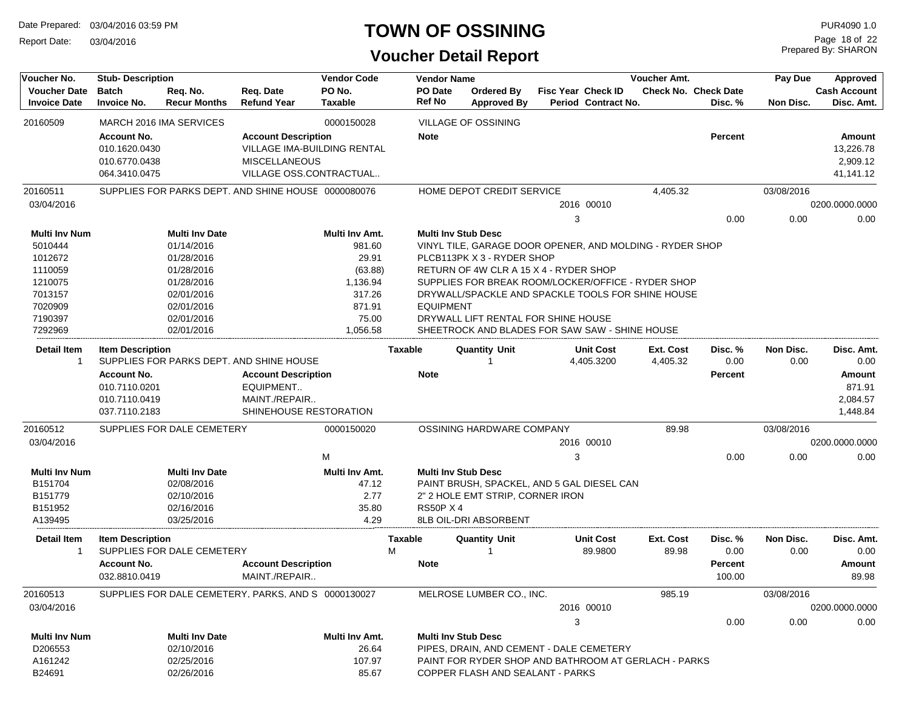Report Date: 03/04/2016

### **TOWN OF OSSINING**

Prepared By: SHARON Page 18 of 22

| Voucher No.                                | <b>Stub-Description</b>                                               |                                                                                                              | <b>Vendor Code</b>       | <b>Vendor Name</b>       |                                                          |                                           | Voucher Amt.          |                                        | Pay Due           | Approved                                     |
|--------------------------------------------|-----------------------------------------------------------------------|--------------------------------------------------------------------------------------------------------------|--------------------------|--------------------------|----------------------------------------------------------|-------------------------------------------|-----------------------|----------------------------------------|-------------------|----------------------------------------------|
| <b>Voucher Date</b><br><b>Invoice Date</b> | <b>Batch</b><br>Req. No.<br><b>Invoice No.</b><br><b>Recur Months</b> | Req. Date<br><b>Refund Year</b>                                                                              | PO No.<br><b>Taxable</b> | PO Date<br><b>Ref No</b> | <b>Ordered By</b><br><b>Approved By</b>                  | Fisc Year Check ID<br>Period Contract No. |                       | <b>Check No. Check Date</b><br>Disc. % | Non Disc.         | <b>Cash Account</b><br>Disc. Amt.            |
| 20160509                                   | MARCH 2016 IMA SERVICES                                               |                                                                                                              | 0000150028               |                          | VILLAGE OF OSSINING                                      |                                           |                       |                                        |                   |                                              |
|                                            | <b>Account No.</b><br>010.1620.0430<br>010.6770.0438<br>064.3410.0475 | <b>Account Description</b><br>VILLAGE IMA-BUILDING RENTAL<br><b>MISCELLANEOUS</b><br>VILLAGE OSS.CONTRACTUAL |                          | <b>Note</b>              |                                                          |                                           |                       | <b>Percent</b>                         |                   | Amount<br>13,226.78<br>2,909.12<br>41,141.12 |
| 20160511                                   | SUPPLIES FOR PARKS DEPT. AND SHINE HOUSE 0000080076                   |                                                                                                              |                          |                          | HOME DEPOT CREDIT SERVICE                                |                                           | 4,405.32              |                                        | 03/08/2016        |                                              |
| 03/04/2016                                 |                                                                       |                                                                                                              |                          |                          |                                                          | 2016 00010                                |                       |                                        |                   | 0200.0000.0000                               |
|                                            |                                                                       |                                                                                                              |                          |                          |                                                          | 3                                         |                       | 0.00                                   | 0.00              | 0.00                                         |
| <b>Multi Inv Num</b>                       | <b>Multi Inv Date</b>                                                 |                                                                                                              | Multi Inv Amt.           |                          | <b>Multi Inv Stub Desc</b>                               |                                           |                       |                                        |                   |                                              |
| 5010444                                    | 01/14/2016                                                            |                                                                                                              | 981.60                   |                          | VINYL TILE, GARAGE DOOR OPENER, AND MOLDING - RYDER SHOP |                                           |                       |                                        |                   |                                              |
| 1012672                                    | 01/28/2016                                                            |                                                                                                              | 29.91                    |                          | PLCB113PK X 3 - RYDER SHOP                               |                                           |                       |                                        |                   |                                              |
| 1110059                                    | 01/28/2016                                                            |                                                                                                              | (63.88)                  |                          | RETURN OF 4W CLR A 15 X 4 - RYDER SHOP                   |                                           |                       |                                        |                   |                                              |
| 1210075                                    | 01/28/2016                                                            |                                                                                                              | 1,136.94                 |                          | SUPPLIES FOR BREAK ROOM/LOCKER/OFFICE - RYDER SHOP       |                                           |                       |                                        |                   |                                              |
| 7013157                                    | 02/01/2016                                                            |                                                                                                              | 317.26                   |                          | DRYWALL/SPACKLE AND SPACKLE TOOLS FOR SHINE HOUSE        |                                           |                       |                                        |                   |                                              |
| 7020909                                    | 02/01/2016                                                            |                                                                                                              | 871.91                   | <b>EQUIPMENT</b>         |                                                          |                                           |                       |                                        |                   |                                              |
| 7190397                                    | 02/01/2016                                                            |                                                                                                              | 75.00                    |                          | DRYWALL LIFT RENTAL FOR SHINE HOUSE                      |                                           |                       |                                        |                   |                                              |
| 7292969                                    | 02/01/2016                                                            |                                                                                                              | 1,056.58                 |                          | SHEETROCK AND BLADES FOR SAW SAW - SHINE HOUSE           |                                           |                       |                                        |                   |                                              |
| Detail Item<br>1                           | <b>Item Description</b><br>SUPPLIES FOR PARKS DEPT. AND SHINE HOUSE   |                                                                                                              |                          | <b>Taxable</b>           | <b>Quantity Unit</b>                                     | <b>Unit Cost</b><br>4,405.3200            | Ext. Cost<br>4,405.32 | Disc. %<br>0.00                        | Non Disc.<br>0.00 | Disc. Amt.<br>0.00                           |
|                                            | <b>Account No.</b>                                                    | <b>Account Description</b>                                                                                   |                          | <b>Note</b>              |                                                          |                                           |                       | <b>Percent</b>                         |                   | Amount                                       |
|                                            | 010.7110.0201                                                         | EQUIPMENT                                                                                                    |                          |                          |                                                          |                                           |                       |                                        |                   | 871.91                                       |
|                                            | 010.7110.0419                                                         | MAINT./REPAIR                                                                                                |                          |                          |                                                          |                                           |                       |                                        |                   | 2,084.57                                     |
|                                            | 037.7110.2183                                                         | SHINEHOUSE RESTORATION                                                                                       |                          |                          |                                                          |                                           |                       |                                        |                   | 1,448.84                                     |
| 20160512                                   | SUPPLIES FOR DALE CEMETERY                                            |                                                                                                              | 0000150020               |                          | OSSINING HARDWARE COMPANY                                |                                           | 89.98                 |                                        | 03/08/2016        |                                              |
| 03/04/2016                                 |                                                                       |                                                                                                              |                          |                          |                                                          | 2016 00010                                |                       |                                        |                   | 0200.0000.0000                               |
|                                            |                                                                       |                                                                                                              | М                        |                          |                                                          | 3                                         |                       | 0.00                                   | 0.00              | 0.00                                         |
| <b>Multi Inv Num</b>                       | <b>Multi Inv Date</b>                                                 |                                                                                                              | Multi Inv Amt.           |                          | <b>Multi Inv Stub Desc</b>                               |                                           |                       |                                        |                   |                                              |
| B151704                                    | 02/08/2016                                                            |                                                                                                              | 47.12                    |                          | PAINT BRUSH, SPACKEL, AND 5 GAL DIESEL CAN               |                                           |                       |                                        |                   |                                              |
| B151779                                    | 02/10/2016                                                            |                                                                                                              | 2.77                     |                          | 2" 2 HOLE EMT STRIP, CORNER IRON                         |                                           |                       |                                        |                   |                                              |
| B151952                                    | 02/16/2016                                                            |                                                                                                              | 35.80                    | <b>RS50P X 4</b>         |                                                          |                                           |                       |                                        |                   |                                              |
| A139495                                    | 03/25/2016                                                            |                                                                                                              | 4.29                     |                          | <b>8LB OIL-DRI ABSORBENT</b>                             |                                           |                       |                                        |                   |                                              |
| Detail Item                                | <b>Item Description</b>                                               |                                                                                                              |                          | <b>Taxable</b>           | <b>Quantity Unit</b>                                     | <b>Unit Cost</b>                          | Ext. Cost             | Disc. %                                | Non Disc.         | Disc. Amt.                                   |
| 1                                          | SUPPLIES FOR DALE CEMETERY                                            |                                                                                                              |                          | М                        | -1                                                       | 89.9800                                   | 89.98                 | 0.00                                   | 0.00              | 0.00                                         |
|                                            | <b>Account No.</b>                                                    | <b>Account Description</b>                                                                                   |                          | <b>Note</b>              |                                                          |                                           |                       | <b>Percent</b>                         |                   | Amount                                       |
|                                            | 032.8810.0419                                                         | MAINT./REPAIR                                                                                                |                          |                          |                                                          |                                           |                       | 100.00                                 |                   | 89.98                                        |
| 20160513                                   | SUPPLIES FOR DALE CEMETERY, PARKS, AND S 0000130027                   |                                                                                                              |                          |                          | MELROSE LUMBER CO., INC.                                 |                                           | 985.19                |                                        | 03/08/2016        |                                              |
| 03/04/2016                                 |                                                                       |                                                                                                              |                          |                          |                                                          | 2016 00010                                |                       |                                        |                   | 0200.0000.0000                               |
|                                            |                                                                       |                                                                                                              |                          |                          |                                                          |                                           |                       |                                        |                   |                                              |
| Multi Inv Num                              | <b>Multi Inv Date</b>                                                 |                                                                                                              | Multi Inv Amt.           |                          | <b>Multi Inv Stub Desc</b>                               | 3                                         |                       | 0.00                                   | 0.00              | 0.00                                         |
| D206553                                    | 02/10/2016                                                            |                                                                                                              | 26.64                    |                          | PIPES, DRAIN, AND CEMENT - DALE CEMETERY                 |                                           |                       |                                        |                   |                                              |
| A161242                                    | 02/25/2016                                                            |                                                                                                              | 107.97                   |                          | PAINT FOR RYDER SHOP AND BATHROOM AT GERLACH - PARKS     |                                           |                       |                                        |                   |                                              |
| B24691                                     | 02/26/2016                                                            |                                                                                                              | 85.67                    |                          | COPPER FLASH AND SEALANT - PARKS                         |                                           |                       |                                        |                   |                                              |
|                                            |                                                                       |                                                                                                              |                          |                          |                                                          |                                           |                       |                                        |                   |                                              |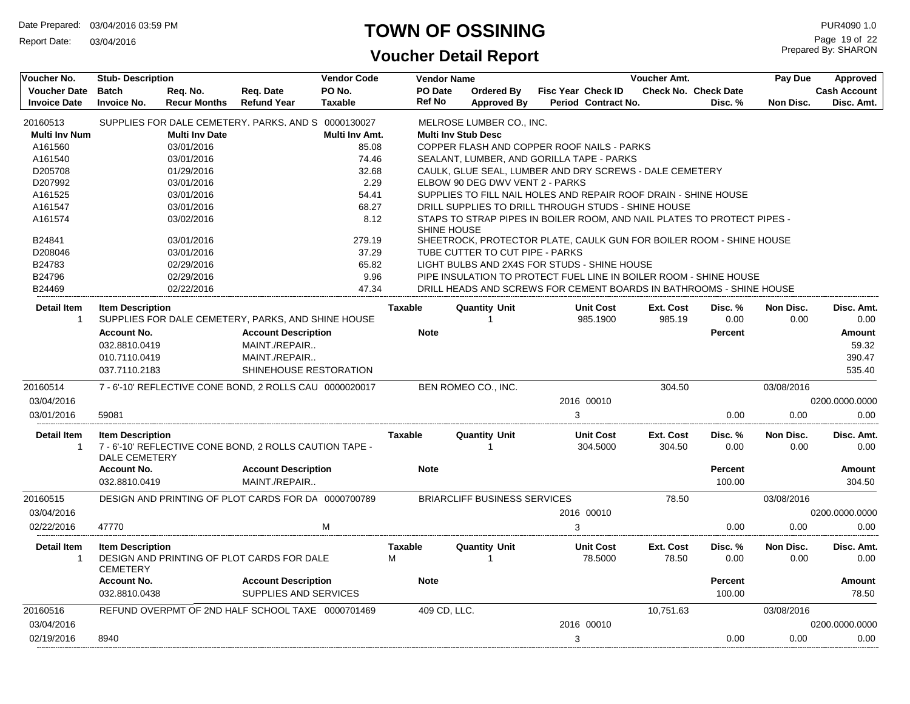Report Date: 03/04/2016

#### **TOWN OF OSSINING**

**Voucher Detail Report**

Prepared By: SHARON Page 19 of 22

| Voucher No.                                | <b>Stub-Description</b>                         | <b>Vendor Code</b>              |                                                         | <b>Vendor Name</b>       |                          |              |                                                                         | <b>Voucher Amt.</b> |                                                  | Pay Due             | Approved                        |                   |                                   |
|--------------------------------------------|-------------------------------------------------|---------------------------------|---------------------------------------------------------|--------------------------|--------------------------|--------------|-------------------------------------------------------------------------|---------------------|--------------------------------------------------|---------------------|---------------------------------|-------------------|-----------------------------------|
| <b>Voucher Date</b><br><b>Invoice Date</b> | <b>Batch</b><br><b>Invoice No.</b>              | Req. No.<br><b>Recur Months</b> | Req. Date<br><b>Refund Year</b>                         | PO No.<br><b>Taxable</b> | PO Date<br><b>Ref No</b> |              | <b>Ordered By</b><br><b>Approved By</b>                                 |                     | <b>Fisc Year Check ID</b><br>Period Contract No. |                     | Check No. Check Date<br>Disc. % | Non Disc.         | <b>Cash Account</b><br>Disc. Amt. |
| 20160513                                   |                                                 |                                 | SUPPLIES FOR DALE CEMETERY, PARKS, AND S 0000130027     |                          |                          |              | MELROSE LUMBER CO., INC.                                                |                     |                                                  |                     |                                 |                   |                                   |
| <b>Multi Inv Num</b>                       |                                                 | <b>Multi Inv Date</b>           |                                                         | Multi Inv Amt.           |                          |              | <b>Multi Inv Stub Desc</b>                                              |                     |                                                  |                     |                                 |                   |                                   |
| A161560                                    |                                                 | 03/01/2016                      |                                                         | 85.08                    |                          |              | COPPER FLASH AND COPPER ROOF NAILS - PARKS                              |                     |                                                  |                     |                                 |                   |                                   |
| A161540                                    |                                                 | 03/01/2016                      |                                                         | 74.46                    |                          |              | SEALANT, LUMBER, AND GORILLA TAPE - PARKS                               |                     |                                                  |                     |                                 |                   |                                   |
| D205708                                    |                                                 | 01/29/2016                      |                                                         | 32.68                    |                          |              | CAULK, GLUE SEAL, LUMBER AND DRY SCREWS - DALE CEMETERY                 |                     |                                                  |                     |                                 |                   |                                   |
| D207992                                    |                                                 | 03/01/2016                      |                                                         | 2.29                     |                          |              | ELBOW 90 DEG DWV VENT 2 - PARKS                                         |                     |                                                  |                     |                                 |                   |                                   |
| A161525                                    |                                                 | 03/01/2016                      |                                                         | 54.41                    |                          |              | SUPPLIES TO FILL NAIL HOLES AND REPAIR ROOF DRAIN - SHINE HOUSE         |                     |                                                  |                     |                                 |                   |                                   |
| A161547                                    |                                                 | 03/01/2016                      |                                                         | 68.27                    |                          |              | DRILL SUPPLIES TO DRILL THROUGH STUDS - SHINE HOUSE                     |                     |                                                  |                     |                                 |                   |                                   |
| A161574                                    |                                                 | 03/02/2016                      |                                                         | 8.12                     |                          | SHINE HOUSE  | STAPS TO STRAP PIPES IN BOILER ROOM, AND NAIL PLATES TO PROTECT PIPES - |                     |                                                  |                     |                                 |                   |                                   |
| B24841                                     |                                                 | 03/01/2016                      |                                                         | 279.19                   |                          |              | SHEETROCK, PROTECTOR PLATE, CAULK GUN FOR BOILER ROOM - SHINE HOUSE     |                     |                                                  |                     |                                 |                   |                                   |
| D208046                                    |                                                 | 03/01/2016                      |                                                         | 37.29                    |                          |              | TUBE CUTTER TO CUT PIPE - PARKS                                         |                     |                                                  |                     |                                 |                   |                                   |
| B24783                                     |                                                 | 02/29/2016                      |                                                         | 65.82                    |                          |              | LIGHT BULBS AND 2X4S FOR STUDS - SHINE HOUSE                            |                     |                                                  |                     |                                 |                   |                                   |
| B24796                                     |                                                 | 02/29/2016                      |                                                         | 9.96                     |                          |              | PIPE INSULATION TO PROTECT FUEL LINE IN BOILER ROOM - SHINE HOUSE       |                     |                                                  |                     |                                 |                   |                                   |
| B24469                                     |                                                 | 02/22/2016                      |                                                         | 47.34                    |                          |              | DRILL HEADS AND SCREWS FOR CEMENT BOARDS IN BATHROOMS - SHINE HOUSE     |                     |                                                  |                     |                                 |                   |                                   |
| <b>Detail Item</b><br>$\overline{1}$       | <b>Item Description</b>                         |                                 | SUPPLIES FOR DALE CEMETERY, PARKS, AND SHINE HOUSE      |                          | <b>Taxable</b>           |              | <b>Quantity Unit</b><br>-1                                              |                     | <b>Unit Cost</b><br>985.1900                     | Ext. Cost<br>985.19 | Disc. %<br>0.00                 | Non Disc.<br>0.00 | Disc. Amt.<br>0.00                |
|                                            | <b>Account No.</b>                              |                                 | <b>Account Description</b>                              |                          | <b>Note</b>              |              |                                                                         |                     |                                                  |                     | <b>Percent</b>                  |                   | <b>Amount</b>                     |
|                                            | 032.8810.0419                                   |                                 | MAINT./REPAIR                                           |                          |                          |              |                                                                         |                     |                                                  |                     |                                 |                   | 59.32                             |
|                                            | 010.7110.0419                                   |                                 | MAINT./REPAIR                                           |                          |                          |              |                                                                         |                     |                                                  |                     |                                 |                   | 390.47                            |
|                                            | 037.7110.2183                                   |                                 | SHINEHOUSE RESTORATION                                  |                          |                          |              |                                                                         |                     |                                                  |                     |                                 |                   | 535.40                            |
| 20160514                                   |                                                 |                                 | 7 - 6'-10' REFLECTIVE CONE BOND, 2 ROLLS CAU 0000020017 |                          |                          |              | BEN ROMEO CO., INC.                                                     |                     |                                                  | 304.50              |                                 | 03/08/2016        |                                   |
| 03/04/2016                                 |                                                 |                                 |                                                         |                          |                          |              |                                                                         |                     | 2016 00010                                       |                     |                                 |                   | 0200.0000.0000                    |
| 03/01/2016                                 | 59081                                           |                                 |                                                         |                          |                          |              |                                                                         | 3                   |                                                  |                     | 0.00                            | 0.00              | 0.00                              |
| <b>Detail Item</b><br>-1                   | <b>Item Description</b><br><b>DALE CEMETERY</b> |                                 | 7 - 6'-10' REFLECTIVE CONE BOND, 2 ROLLS CAUTION TAPE - |                          | <b>Taxable</b>           |              | <b>Quantity Unit</b><br>-1                                              |                     | <b>Unit Cost</b><br>304.5000                     | Ext. Cost<br>304.50 | Disc. %<br>0.00                 | Non Disc.<br>0.00 | Disc. Amt.<br>0.00                |
|                                            | <b>Account No.</b><br>032.8810.0419             |                                 | <b>Account Description</b><br>MAINT./REPAIR             |                          | <b>Note</b>              |              |                                                                         |                     |                                                  |                     | Percent<br>100.00               |                   | <b>Amount</b><br>304.50           |
| 20160515                                   |                                                 |                                 | DESIGN AND PRINTING OF PLOT CARDS FOR DA 0000700789     |                          |                          |              | <b>BRIARCLIFF BUSINESS SERVICES</b>                                     |                     |                                                  | 78.50               |                                 | 03/08/2016        |                                   |
| 03/04/2016                                 |                                                 |                                 |                                                         |                          |                          |              |                                                                         |                     | 2016 00010                                       |                     |                                 |                   | 0200.0000.0000                    |
| 02/22/2016                                 | 47770                                           |                                 |                                                         | M                        |                          |              |                                                                         | 3                   |                                                  |                     | 0.00                            | 0.00              | 0.00                              |
| <b>Detail Item</b><br>-1                   | <b>Item Description</b><br><b>CEMETERY</b>      |                                 | DESIGN AND PRINTING OF PLOT CARDS FOR DALE              |                          | <b>Taxable</b><br>м      |              | <b>Quantity Unit</b><br>-1                                              |                     | <b>Unit Cost</b><br>78.5000                      | Ext. Cost<br>78.50  | Disc. %<br>0.00                 | Non Disc.<br>0.00 | Disc. Amt.<br>0.00                |
|                                            | <b>Account No.</b><br>032.8810.0438             |                                 | <b>Account Description</b><br>SUPPLIES AND SERVICES     |                          | <b>Note</b>              |              |                                                                         |                     |                                                  |                     | Percent<br>100.00               |                   | Amount<br>78.50                   |
| 20160516                                   |                                                 |                                 | REFUND OVERPMT OF 2ND HALF SCHOOL TAXE 0000701469       |                          |                          | 409 CD, LLC. |                                                                         |                     |                                                  | 10,751.63           |                                 | 03/08/2016        |                                   |
| 03/04/2016                                 |                                                 |                                 |                                                         |                          |                          |              |                                                                         |                     | 2016 00010                                       |                     |                                 |                   | 0200.0000.0000                    |
| 02/19/2016                                 | 8940                                            |                                 |                                                         |                          |                          |              |                                                                         | 3                   |                                                  |                     | 0.00                            | 0.00              | 0.00                              |
|                                            |                                                 |                                 |                                                         |                          |                          |              |                                                                         |                     |                                                  |                     |                                 |                   |                                   |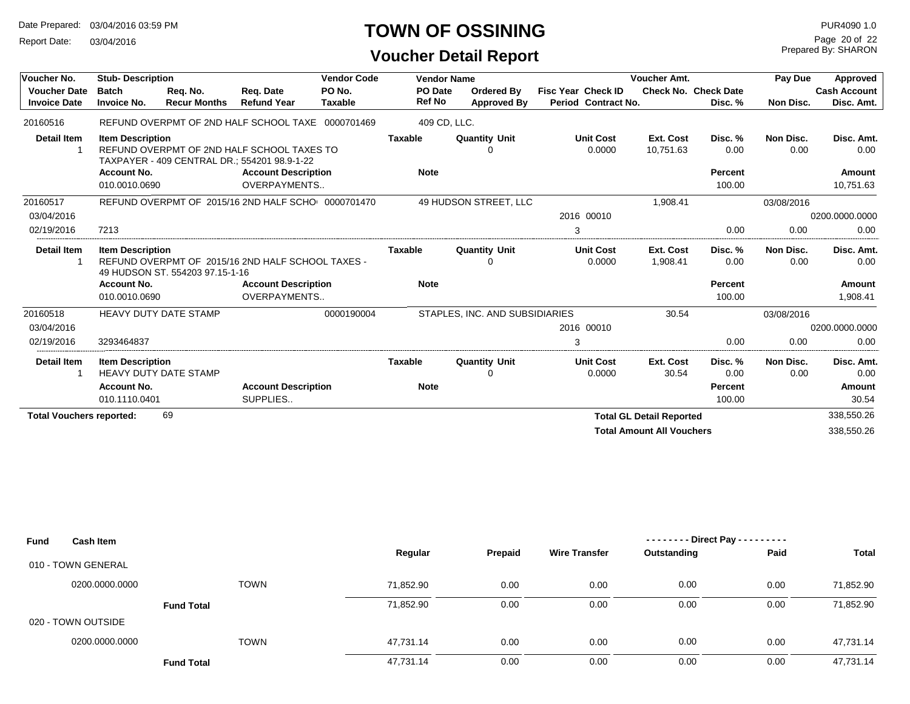Report Date: 03/04/2016

### **TOWN OF OSSINING**

### **Voucher Detail Report**

Prepared By: SHARON Page 20 of 22

| Voucher No.                                | <b>Stub-Description</b>                       |                                 |                                                                                            | <b>Vendor Code</b>       |                               | <b>Vendor Name</b>               |                                           | <b>Voucher Amt.</b>             |                                        | Pay Due           | Approved                          |
|--------------------------------------------|-----------------------------------------------|---------------------------------|--------------------------------------------------------------------------------------------|--------------------------|-------------------------------|----------------------------------|-------------------------------------------|---------------------------------|----------------------------------------|-------------------|-----------------------------------|
| <b>Voucher Date</b><br><b>Invoice Date</b> | <b>Batch</b><br><b>Invoice No.</b>            | Reg. No.<br><b>Recur Months</b> | Reg. Date<br><b>Refund Year</b>                                                            | PO No.<br><b>Taxable</b> | PO Date<br><b>Ref No</b>      | Ordered By<br><b>Approved By</b> | Fisc Year Check ID<br>Period Contract No. |                                 | <b>Check No. Check Date</b><br>Disc. % | Non Disc.         | <b>Cash Account</b><br>Disc. Amt. |
| 20160516                                   |                                               |                                 | REFUND OVERPMT OF 2ND HALF SCHOOL TAXE                                                     | 0000701469               |                               | 409 CD, LLC.                     |                                           |                                 |                                        |                   |                                   |
| <b>Detail Item</b>                         | <b>Item Description</b>                       |                                 | REFUND OVERPMT OF 2ND HALF SCHOOL TAXES TO<br>TAXPAYER - 409 CENTRAL DR.; 554201 98.9-1-22 |                          | <b>Taxable</b>                | <b>Quantity Unit</b><br>∩        | <b>Unit Cost</b><br>0.0000                | <b>Ext. Cost</b><br>10,751.63   | Disc. %<br>0.00                        | Non Disc.<br>0.00 | Disc. Amt.<br>0.00                |
|                                            | <b>Account No.</b><br>010.0010.0690           |                                 | <b>Account Description</b><br>OVERPAYMENTS                                                 |                          | <b>Note</b>                   |                                  |                                           |                                 | Percent<br>100.00                      |                   | Amount<br>10,751.63               |
| 20160517                                   |                                               |                                 | REFUND OVERPMT OF 2015/16 2ND HALF SCHO 0000701470                                         |                          |                               | 49 HUDSON STREET, LLC            |                                           | 1,908.41                        |                                        | 03/08/2016        |                                   |
| 03/04/2016                                 |                                               |                                 |                                                                                            |                          |                               |                                  | 2016 00010                                |                                 |                                        |                   | 0200.0000.0000                    |
| 02/19/2016                                 | 7213                                          |                                 |                                                                                            |                          |                               |                                  | 3                                         |                                 | 0.00                                   | 0.00              | 0.00                              |
| <b>Detail Item</b>                         | <b>Item Description</b>                       | 49 HUDSON ST. 554203 97.15-1-16 | REFUND OVERPMT OF 2015/16 2ND HALF SCHOOL TAXES -                                          |                          | <b>Taxable</b>                | <b>Quantity Unit</b>             | <b>Unit Cost</b><br>0.0000                | Ext. Cost<br>1,908.41           | Disc. %<br>0.00                        | Non Disc.<br>0.00 | Disc. Amt.<br>0.00                |
|                                            | <b>Account No.</b><br>010.0010.0690           |                                 | <b>Account Description</b><br>OVERPAYMENTS                                                 |                          | <b>Note</b>                   |                                  |                                           |                                 | Percent<br>100.00                      |                   | Amount<br>1,908.41                |
| 20160518                                   |                                               | HEAVY DUTY DATE STAMP           |                                                                                            | 0000190004               |                               | STAPLES, INC. AND SUBSIDIARIES   |                                           | 30.54                           |                                        | 03/08/2016        |                                   |
| 03/04/2016                                 |                                               |                                 |                                                                                            |                          |                               |                                  | 2016 00010                                |                                 |                                        |                   | 0200.0000.0000                    |
| 02/19/2016                                 | 3293464837                                    |                                 |                                                                                            |                          |                               |                                  |                                           |                                 | 0.00                                   | 0.00              | 0.00                              |
| <b>Detail Item</b>                         | <b>Item Description</b><br><b>Account No.</b> | <b>HEAVY DUTY DATE STAMP</b>    | <b>Account Description</b>                                                                 |                          | <b>Taxable</b><br><b>Note</b> | <b>Quantity Unit</b>             | <b>Unit Cost</b><br>0.0000                | Ext. Cost<br>30.54              | Disc. %<br>0.00<br>Percent             | Non Disc.<br>0.00 | Disc. Amt.<br>0.00<br>Amount      |
|                                            | 010.1110.0401                                 |                                 | SUPPLIES                                                                                   |                          |                               |                                  |                                           |                                 | 100.00                                 |                   | 30.54                             |
| <b>Total Vouchers reported:</b>            |                                               | 69                              |                                                                                            |                          |                               |                                  |                                           | <b>Total GL Detail Reported</b> |                                        |                   | 338,550.26                        |
|                                            |                                               |                                 |                                                                                            |                          |                               |                                  | <b>Total Amount All Vouchers</b>          |                                 |                                        | 338,550.26        |                                   |

| <b>Fund</b><br><b>Cash Item</b> |                   |           |         |                      | $\cdots$ $\cdots$ - Direct Pay - - - - - - - - - |      |              |
|---------------------------------|-------------------|-----------|---------|----------------------|--------------------------------------------------|------|--------------|
|                                 |                   | Regular   | Prepaid | <b>Wire Transfer</b> | Outstanding                                      | Paid | <b>Total</b> |
| 010 - TOWN GENERAL              |                   |           |         |                      |                                                  |      |              |
| 0200.0000.0000                  | <b>TOWN</b>       | 71.852.90 | 0.00    | 0.00                 | 0.00                                             | 0.00 | 71,852.90    |
|                                 | <b>Fund Total</b> | 71,852.90 | 0.00    | 0.00                 | 0.00                                             | 0.00 | 71,852.90    |
| 020 - TOWN OUTSIDE              |                   |           |         |                      |                                                  |      |              |
| 0200.0000.0000                  | <b>TOWN</b>       | 47.731.14 | 0.00    | 0.00                 | 0.00                                             | 0.00 | 47,731.14    |
|                                 | <b>Fund Total</b> | 47,731.14 | 0.00    | 0.00                 | 0.00                                             | 0.00 | 47,731.14    |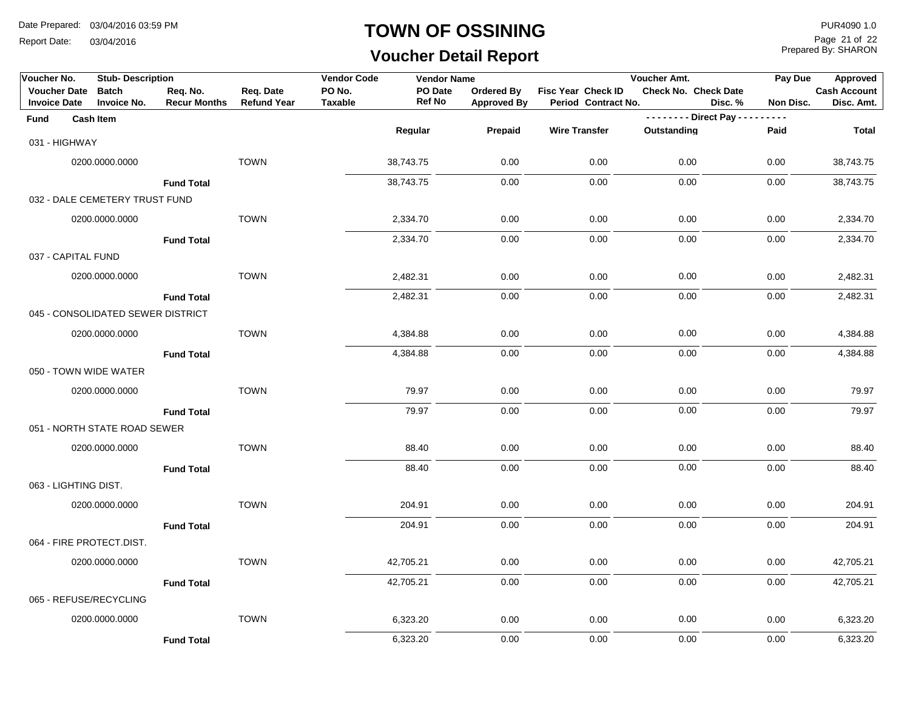Report Date: 03/04/2016

#### **TOWN OF OSSINING**

## **Voucher Detail Report**

Prepared By: SHARON Page 21 of 22

| Voucher No.<br><b>Stub-Description</b>     |  |                                    | <b>Vendor Code</b>              | <b>Vendor Name</b>              |                          |                          | Voucher Amt.                     |                                           | Pay Due                   | Approved |           |                                   |
|--------------------------------------------|--|------------------------------------|---------------------------------|---------------------------------|--------------------------|--------------------------|----------------------------------|-------------------------------------------|---------------------------|----------|-----------|-----------------------------------|
| <b>Voucher Date</b><br><b>Invoice Date</b> |  | <b>Batch</b><br><b>Invoice No.</b> | Req. No.<br><b>Recur Months</b> | Req. Date<br><b>Refund Year</b> | PO No.<br><b>Taxable</b> | PO Date<br><b>Ref No</b> | Ordered By<br><b>Approved By</b> | Fisc Year Check ID<br>Period Contract No. | Check No. Check Date      | Disc. %  | Non Disc. | <b>Cash Account</b><br>Disc. Amt. |
| Fund                                       |  | <b>Cash Item</b>                   |                                 |                                 |                          |                          |                                  |                                           | -------- Direct Pay - - - |          | .         |                                   |
| 031 - HIGHWAY                              |  |                                    |                                 |                                 |                          | Regular                  | Prepaid                          | <b>Wire Transfer</b>                      | Outstanding               |          | Paid      | <b>Total</b>                      |
|                                            |  | 0200.0000.0000                     |                                 | <b>TOWN</b>                     |                          | 38,743.75                | 0.00                             | 0.00                                      | 0.00                      |          | 0.00      | 38,743.75                         |
|                                            |  |                                    | <b>Fund Total</b>               |                                 |                          | 38,743.75                | 0.00                             | 0.00                                      | 0.00                      |          | 0.00      | 38,743.75                         |
|                                            |  | 032 - DALE CEMETERY TRUST FUND     |                                 |                                 |                          |                          |                                  |                                           |                           |          |           |                                   |
|                                            |  | 0200.0000.0000                     |                                 | <b>TOWN</b>                     |                          | 2,334.70                 | 0.00                             | 0.00                                      | 0.00                      |          | 0.00      | 2,334.70                          |
|                                            |  |                                    | <b>Fund Total</b>               |                                 |                          | 2,334.70                 | 0.00                             | 0.00                                      | 0.00                      |          | 0.00      | 2,334.70                          |
| 037 - CAPITAL FUND                         |  |                                    |                                 |                                 |                          |                          |                                  |                                           |                           |          |           |                                   |
|                                            |  | 0200.0000.0000                     |                                 | <b>TOWN</b>                     |                          | 2,482.31                 | 0.00                             | 0.00                                      | 0.00                      |          | 0.00      | 2,482.31                          |
|                                            |  |                                    | <b>Fund Total</b>               |                                 |                          | 2,482.31                 | 0.00                             | 0.00                                      | 0.00                      |          | 0.00      | 2,482.31                          |
|                                            |  | 045 - CONSOLIDATED SEWER DISTRICT  |                                 |                                 |                          |                          |                                  |                                           |                           |          |           |                                   |
|                                            |  | 0200.0000.0000                     |                                 | <b>TOWN</b>                     |                          | 4,384.88                 | 0.00                             | 0.00                                      | 0.00                      |          | 0.00      | 4,384.88                          |
|                                            |  |                                    | <b>Fund Total</b>               |                                 |                          | 4,384.88                 | 0.00                             | 0.00                                      | 0.00                      |          | 0.00      | 4,384.88                          |
|                                            |  | 050 - TOWN WIDE WATER              |                                 |                                 |                          |                          |                                  |                                           |                           |          |           |                                   |
|                                            |  | 0200.0000.0000                     |                                 | <b>TOWN</b>                     |                          | 79.97                    | 0.00                             | 0.00                                      | 0.00                      |          | 0.00      | 79.97                             |
|                                            |  |                                    | <b>Fund Total</b>               |                                 |                          | 79.97                    | 0.00                             | 0.00                                      | 0.00                      |          | 0.00      | 79.97                             |
|                                            |  | 051 - NORTH STATE ROAD SEWER       |                                 |                                 |                          |                          |                                  |                                           |                           |          |           |                                   |
|                                            |  | 0200.0000.0000                     |                                 | <b>TOWN</b>                     |                          | 88.40                    | 0.00                             | 0.00                                      | 0.00                      |          | 0.00      | 88.40                             |
|                                            |  |                                    | <b>Fund Total</b>               |                                 |                          | 88.40                    | 0.00                             | 0.00                                      | 0.00                      |          | 0.00      | 88.40                             |
| 063 - LIGHTING DIST.                       |  |                                    |                                 |                                 |                          |                          |                                  |                                           |                           |          |           |                                   |
|                                            |  | 0200.0000.0000                     |                                 | <b>TOWN</b>                     |                          | 204.91                   | 0.00                             | 0.00                                      | 0.00                      |          | 0.00      | 204.91                            |
|                                            |  |                                    | <b>Fund Total</b>               |                                 |                          | 204.91                   | 0.00                             | 0.00                                      | 0.00                      |          | 0.00      | 204.91                            |
|                                            |  | 064 - FIRE PROTECT.DIST.           |                                 |                                 |                          |                          |                                  |                                           |                           |          |           |                                   |
|                                            |  | 0200.0000.0000                     |                                 | <b>TOWN</b>                     |                          | 42,705.21                | 0.00                             | 0.00                                      | 0.00                      |          | 0.00      | 42,705.21                         |
|                                            |  |                                    | <b>Fund Total</b>               |                                 |                          | 42,705.21                | 0.00                             | 0.00                                      | 0.00                      |          | 0.00      | 42,705.21                         |
|                                            |  | 065 - REFUSE/RECYCLING             |                                 |                                 |                          |                          |                                  |                                           |                           |          |           |                                   |
|                                            |  | 0200.0000.0000                     |                                 | <b>TOWN</b>                     |                          | 6,323.20                 | 0.00                             | 0.00                                      | 0.00                      |          | 0.00      | 6,323.20                          |
|                                            |  |                                    | <b>Fund Total</b>               |                                 |                          | 6,323.20                 | 0.00                             | 0.00                                      | 0.00                      |          | 0.00      | 6,323.20                          |